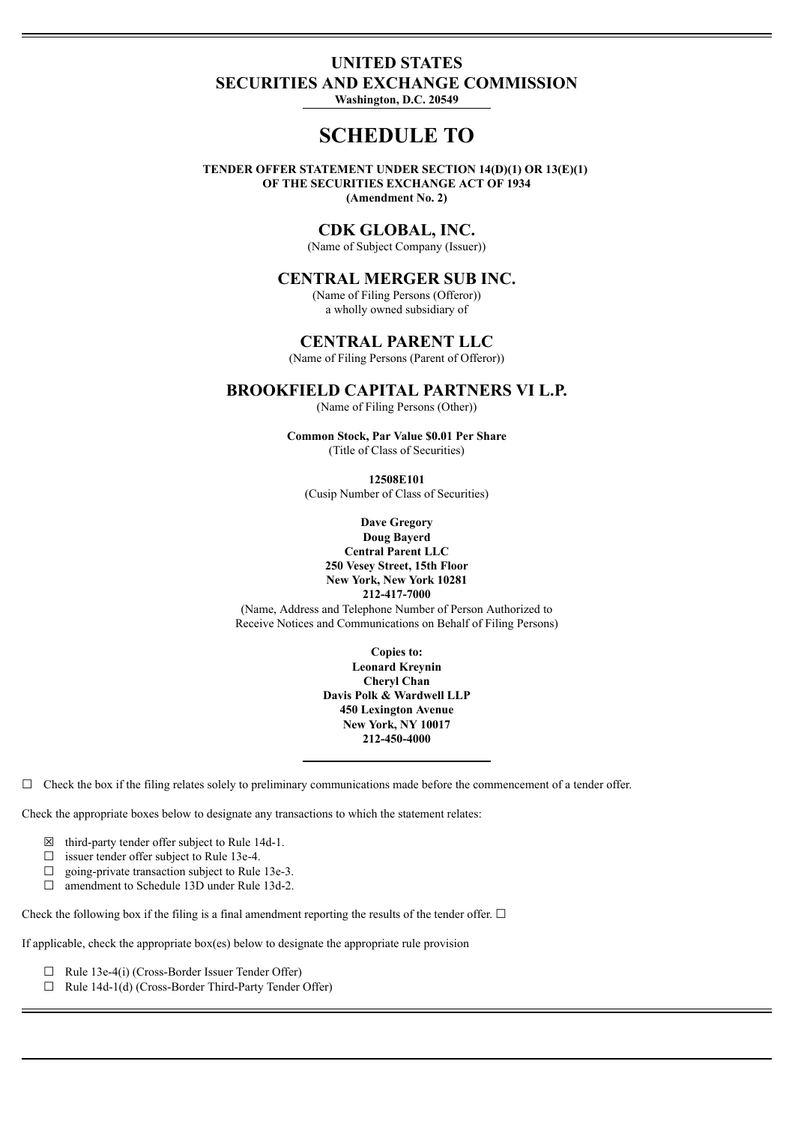# **UNITED STATES SECURITIES AND EXCHANGE COMMISSION**

**Washington, D.C. 20549**

# **SCHEDULE TO**

**TENDER OFFER STATEMENT UNDER SECTION 14(D)(1) OR 13(E)(1) OF THE SECURITIES EXCHANGE ACT OF 1934 (Amendment No. 2)**

## **CDK GLOBAL, INC.**

(Name of Subject Company (Issuer))

## **CENTRAL MERGER SUB INC.**

(Name of Filing Persons (Offeror)) a wholly owned subsidiary of

## **CENTRAL PARENT LLC**

(Name of Filing Persons (Parent of Offeror))

## **BROOKFIELD CAPITAL PARTNERS VI L.P.**

(Name of Filing Persons (Other))

**Common Stock, Par Value \$0.01 Per Share** (Title of Class of Securities)

**12508E101** (Cusip Number of Class of Securities)

**Dave Gregory Doug Bayerd Central Parent LLC 250 Vesey Street, 15th Floor New York, New York 10281 212-417-7000**

(Name, Address and Telephone Number of Person Authorized to Receive Notices and Communications on Behalf of Filing Persons)

> **Copies to: Leonard Kreynin Cheryl Chan Davis Polk & Wardwell LLP 450 Lexington Avenue New York, NY 10017 212-450-4000**

 $\Box$  Check the box if the filing relates solely to preliminary communications made before the commencement of a tender offer.

Check the appropriate boxes below to designate any transactions to which the statement relates:

- $\boxtimes$  third-party tender offer subject to Rule 14d-1.
- ☐ issuer tender offer subject to Rule 13e-4.
- $\Box$  going-private transaction subject to Rule 13e-3.
- ☐ amendment to Schedule 13D under Rule 13d-2.

Check the following box if the filing is a final amendment reporting the results of the tender offer.  $\Box$ 

If applicable, check the appropriate box(es) below to designate the appropriate rule provision

- ☐ Rule 13e-4(i) (Cross-Border Issuer Tender Offer)
- ☐ Rule 14d-1(d) (Cross-Border Third-Party Tender Offer)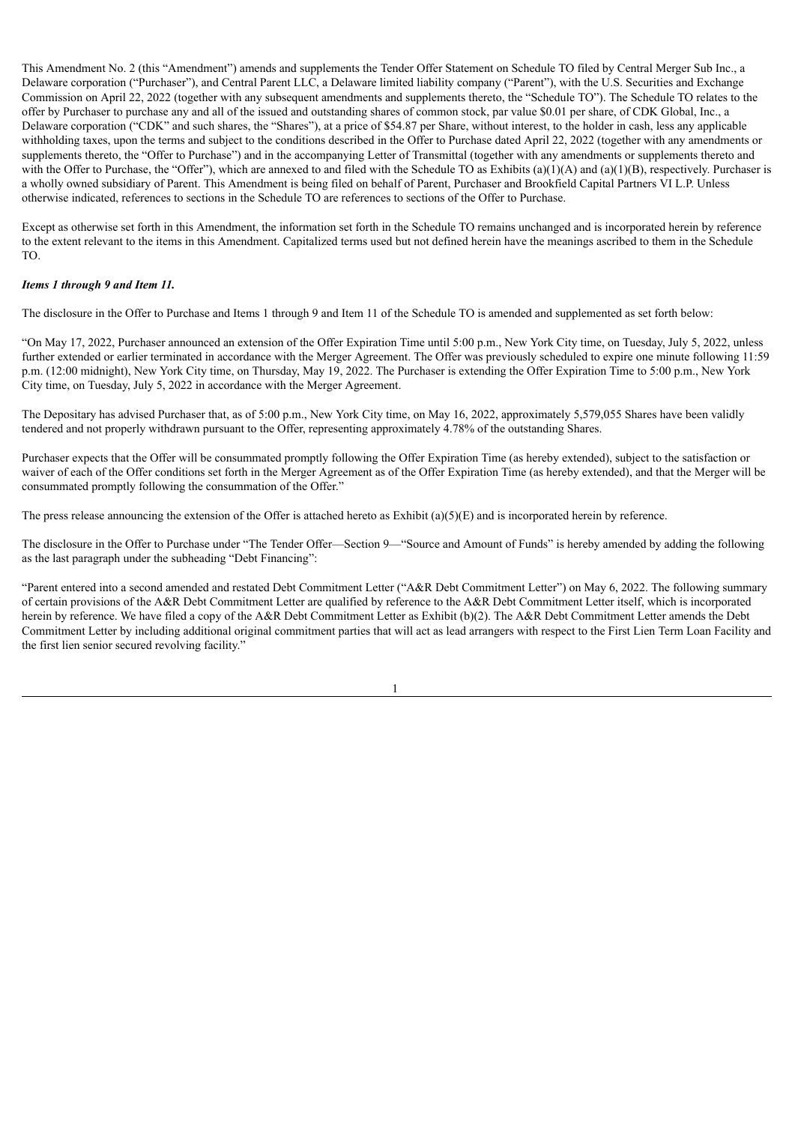This Amendment No. 2 (this "Amendment") amends and supplements the Tender Offer Statement on Schedule TO filed by Central Merger Sub Inc., a Delaware corporation ("Purchaser"), and Central Parent LLC, a Delaware limited liability company ("Parent"), with the U.S. Securities and Exchange Commission on April 22, 2022 (together with any subsequent amendments and supplements thereto, the "Schedule TO"). The Schedule TO relates to the offer by Purchaser to purchase any and all of the issued and outstanding shares of common stock, par value \$0.01 per share, of CDK Global, Inc., a Delaware corporation ("CDK" and such shares, the "Shares"), at a price of \$54.87 per Share, without interest, to the holder in cash, less any applicable withholding taxes, upon the terms and subject to the conditions described in the Offer to Purchase dated April 22, 2022 (together with any amendments or supplements thereto, the "Offer to Purchase") and in the accompanying Letter of Transmittal (together with any amendments or supplements thereto and with the Offer to Purchase, the "Offer"), which are annexed to and filed with the Schedule TO as Exhibits (a)(1)(A) and (a)(1)(B), respectively. Purchaser is a wholly owned subsidiary of Parent. This Amendment is being filed on behalf of Parent, Purchaser and Brookfield Capital Partners VI L.P. Unless otherwise indicated, references to sections in the Schedule TO are references to sections of the Offer to Purchase.

Except as otherwise set forth in this Amendment, the information set forth in the Schedule TO remains unchanged and is incorporated herein by reference to the extent relevant to the items in this Amendment. Capitalized terms used but not defined herein have the meanings ascribed to them in the Schedule TO.

## *Items 1 through 9 and Item 11.*

The disclosure in the Offer to Purchase and Items 1 through 9 and Item 11 of the Schedule TO is amended and supplemented as set forth below:

"On May 17, 2022, Purchaser announced an extension of the Offer Expiration Time until 5:00 p.m., New York City time, on Tuesday, July 5, 2022, unless further extended or earlier terminated in accordance with the Merger Agreement. The Offer was previously scheduled to expire one minute following 11:59 p.m. (12:00 midnight), New York City time, on Thursday, May 19, 2022. The Purchaser is extending the Offer Expiration Time to 5:00 p.m., New York City time, on Tuesday, July 5, 2022 in accordance with the Merger Agreement.

The Depositary has advised Purchaser that, as of 5:00 p.m., New York City time, on May 16, 2022, approximately 5,579,055 Shares have been validly tendered and not properly withdrawn pursuant to the Offer, representing approximately 4.78% of the outstanding Shares.

Purchaser expects that the Offer will be consummated promptly following the Offer Expiration Time (as hereby extended), subject to the satisfaction or waiver of each of the Offer conditions set forth in the Merger Agreement as of the Offer Expiration Time (as hereby extended), and that the Merger will be consummated promptly following the consummation of the Offer."

The press release announcing the extension of the Offer is attached hereto as Exhibit  $(a)(5)(E)$  and is incorporated herein by reference.

The disclosure in the Offer to Purchase under "The Tender Offer—Section 9—"Source and Amount of Funds" is hereby amended by adding the following as the last paragraph under the subheading "Debt Financing":

"Parent entered into a second amended and restated Debt Commitment Letter ("A&R Debt Commitment Letter") on May 6, 2022. The following summary of certain provisions of the A&R Debt Commitment Letter are qualified by reference to the A&R Debt Commitment Letter itself, which is incorporated herein by reference. We have filed a copy of the A&R Debt Commitment Letter as Exhibit (b)(2). The A&R Debt Commitment Letter amends the Debt Commitment Letter by including additional original commitment parties that will act as lead arrangers with respect to the First Lien Term Loan Facility and the first lien senior secured revolving facility."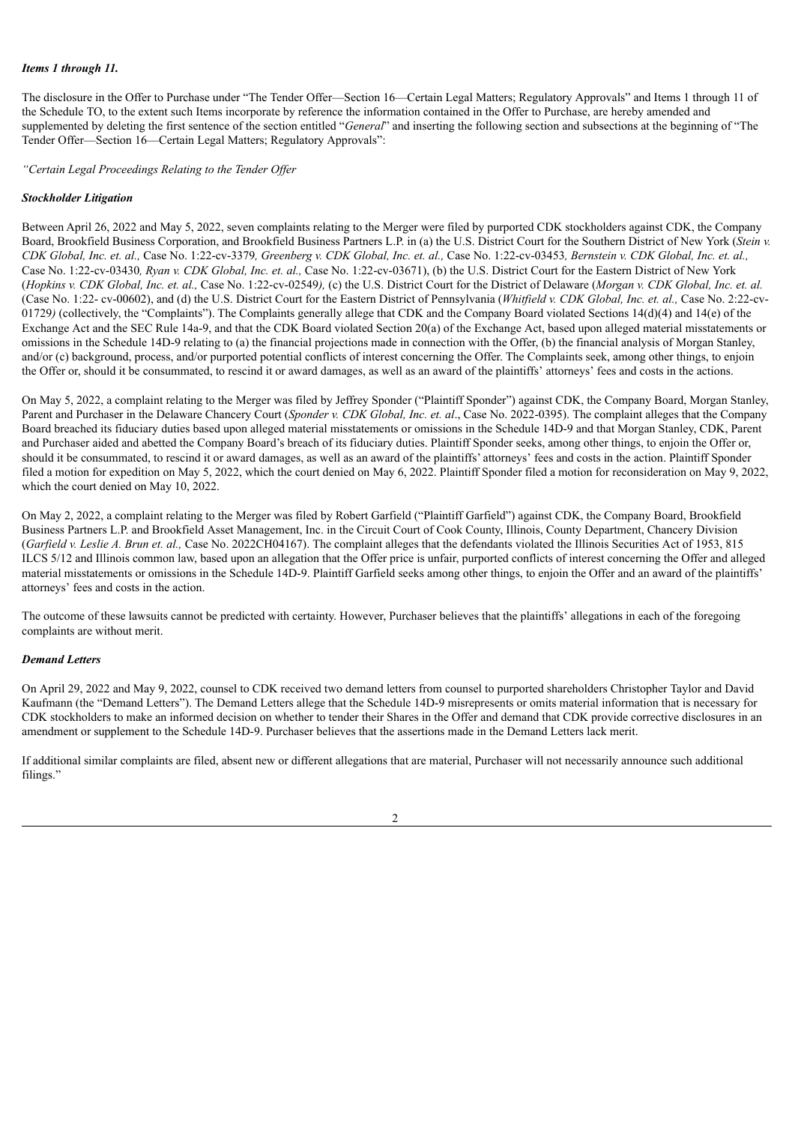#### *Items 1 through 11.*

The disclosure in the Offer to Purchase under "The Tender Offer—Section 16—Certain Legal Matters; Regulatory Approvals" and Items 1 through 11 of the Schedule TO, to the extent such Items incorporate by reference the information contained in the Offer to Purchase, are hereby amended and supplemented by deleting the first sentence of the section entitled "*General*" and inserting the following section and subsections at the beginning of "The Tender Offer—Section 16—Certain Legal Matters; Regulatory Approvals":

*"Certain Legal Proceedings Relating to the Tender Of er*

#### *Stockholder Litigation*

Between April 26, 2022 and May 5, 2022, seven complaints relating to the Merger were filed by purported CDK stockholders against CDK, the Company Board, Brookfield Business Corporation, and Brookfield Business Partners L.P. in (a) the U.S. District Court for the Southern District of New York (*Stein v.* CDK Global, Inc. et. al., Case No. 1:22-cv-3379, Greenberg v. CDK Global, Inc. et. al., Case No. 1:22-cv-03453, Bernstein v. CDK Global, Inc. et. al., Case No. 1:22-cv-03430*, Ryan v. CDK Global, Inc. et. al.,* Case No. 1:22-cv-03671), (b) the U.S. District Court for the Eastern District of New York (Hopkins v. CDK Global, Inc. et. al., Case No. 1:22-cv-02549), (c) the U.S. District Court for the District of Delaware (Morgan v. CDK Global, Inc. et. al. (Case No. 1:22- cv-00602), and (d) the U.S. District Court for the Eastern District of Pennsylvania (*Whitfield v. CDK Global, Inc. et. al.,* Case No. 2:22-cv-01729) (collectively, the "Complaints"). The Complaints generally allege that CDK and the Company Board violated Sections  $14(d)(4)$  and  $14(e)$  of the Exchange Act and the SEC Rule 14a-9, and that the CDK Board violated Section 20(a) of the Exchange Act, based upon alleged material misstatements or omissions in the Schedule 14D-9 relating to (a) the financial projections made in connection with the Offer, (b) the financial analysis of Morgan Stanley, and/or (c) background, process, and/or purported potential conflicts of interest concerning the Offer. The Complaints seek, among other things, to enjoin the Offer or, should it be consummated, to rescind it or award damages, as well as an award of the plaintiffs' attorneys' fees and costs in the actions.

On May 5, 2022, a complaint relating to the Merger was filed by Jeffrey Sponder ("Plaintiff Sponder") against CDK, the Company Board, Morgan Stanley, Parent and Purchaser in the Delaware Chancery Court (*Sponder v. CDK Global, Inc. et. al*., Case No. 2022-0395). The complaint alleges that the Company Board breached its fiduciary duties based upon alleged material misstatements or omissions in the Schedule 14D-9 and that Morgan Stanley, CDK, Parent and Purchaser aided and abetted the Company Board's breach of its fiduciary duties. Plaintiff Sponder seeks, among other things, to enjoin the Offer or, should it be consummated, to rescind it or award damages, as well as an award of the plaintiffs' attorneys' fees and costs in the action. Plaintiff Sponder filed a motion for expedition on May 5, 2022, which the court denied on May 6, 2022. Plaintiff Sponder filed a motion for reconsideration on May 9, 2022, which the court denied on May 10, 2022.

On May 2, 2022, a complaint relating to the Merger was filed by Robert Garfield ("Plaintiff Garfield") against CDK, the Company Board, Brookfield Business Partners L.P. and Brookfield Asset Management, Inc. in the Circuit Court of Cook County, Illinois, County Department, Chancery Division (*Garfield v. Leslie A. Brun et. al.,* Case No. 2022CH04167). The complaint alleges that the defendants violated the Illinois Securities Act of 1953, 815 ILCS 5/12 and Illinois common law, based upon an allegation that the Offer price is unfair, purported conflicts of interest concerning the Offer and alleged material misstatements or omissions in the Schedule 14D-9. Plaintiff Garfield seeks among other things, to enjoin the Offer and an award of the plaintiffs' attorneys' fees and costs in the action.

The outcome of these lawsuits cannot be predicted with certainty. However, Purchaser believes that the plaintiffs' allegations in each of the foregoing complaints are without merit.

#### *Demand Letters*

On April 29, 2022 and May 9, 2022, counsel to CDK received two demand letters from counsel to purported shareholders Christopher Taylor and David Kaufmann (the "Demand Letters"). The Demand Letters allege that the Schedule 14D-9 misrepresents or omits material information that is necessary for CDK stockholders to make an informed decision on whether to tender their Shares in the Offer and demand that CDK provide corrective disclosures in an amendment or supplement to the Schedule 14D-9. Purchaser believes that the assertions made in the Demand Letters lack merit.

If additional similar complaints are filed, absent new or different allegations that are material, Purchaser will not necessarily announce such additional filings."

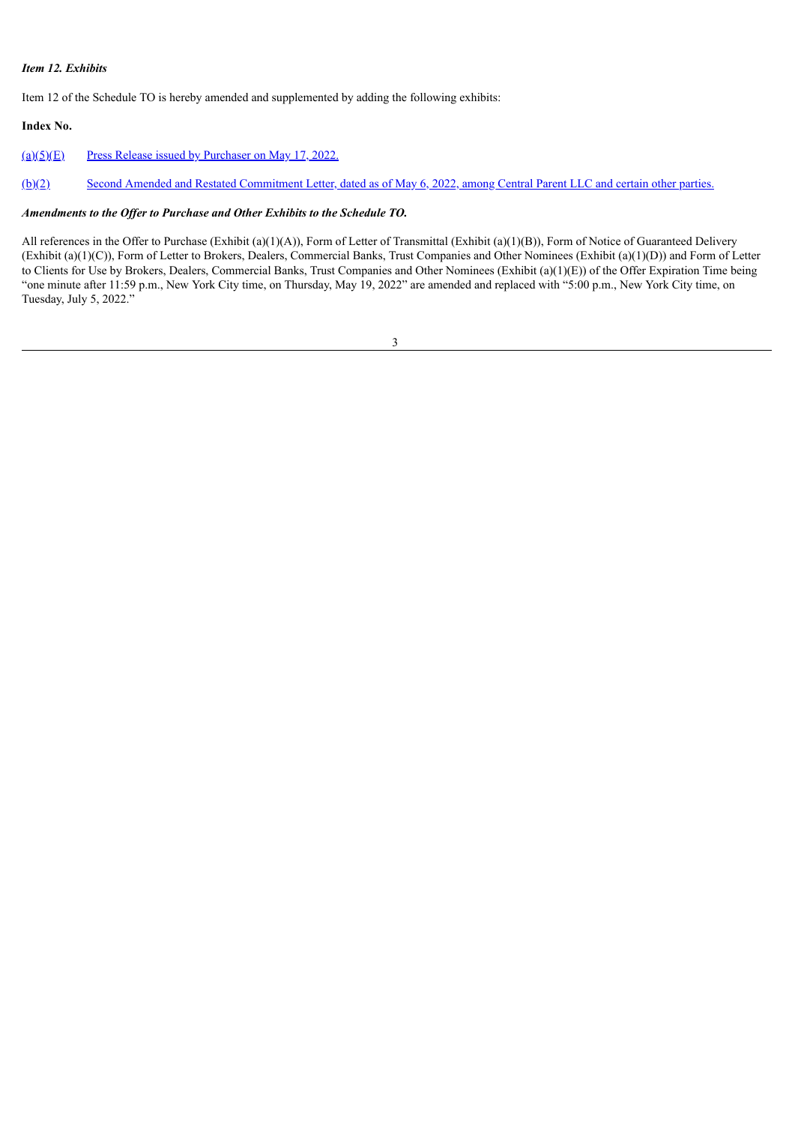## *Item 12. Exhibits*

Item 12 of the Schedule TO is hereby amended and supplemented by adding the following exhibits:

## **Index No.**

 $(a)(5)(E)$  Press Release issued by [Purchaser](#page-5-0) on May 17, 2022.

[\(b\)\(2\)](#page-7-0) Second Amended and Restated [Commitment](#page-7-0) Letter, dated as of May 6, 2022, among Central Parent LLC and certain other parties.

## *Amendments to the Of er to Purchase and Other Exhibits to the Schedule TO.*

All references in the Offer to Purchase (Exhibit (a)(1)(A)), Form of Letter of Transmittal (Exhibit (a)(1)(B)), Form of Notice of Guaranteed Delivery (Exhibit (a)(1)(C)), Form of Letter to Brokers, Dealers, Commercial Banks, Trust Companies and Other Nominees (Exhibit (a)(1)(D)) and Form of Letter to Clients for Use by Brokers, Dealers, Commercial Banks, Trust Companies and Other Nominees (Exhibit (a)(1)(E)) of the Offer Expiration Time being "one minute after 11:59 p.m., New York City time, on Thursday, May 19, 2022" are amended and replaced with "5:00 p.m., New York City time, on Tuesday, July 5, 2022."

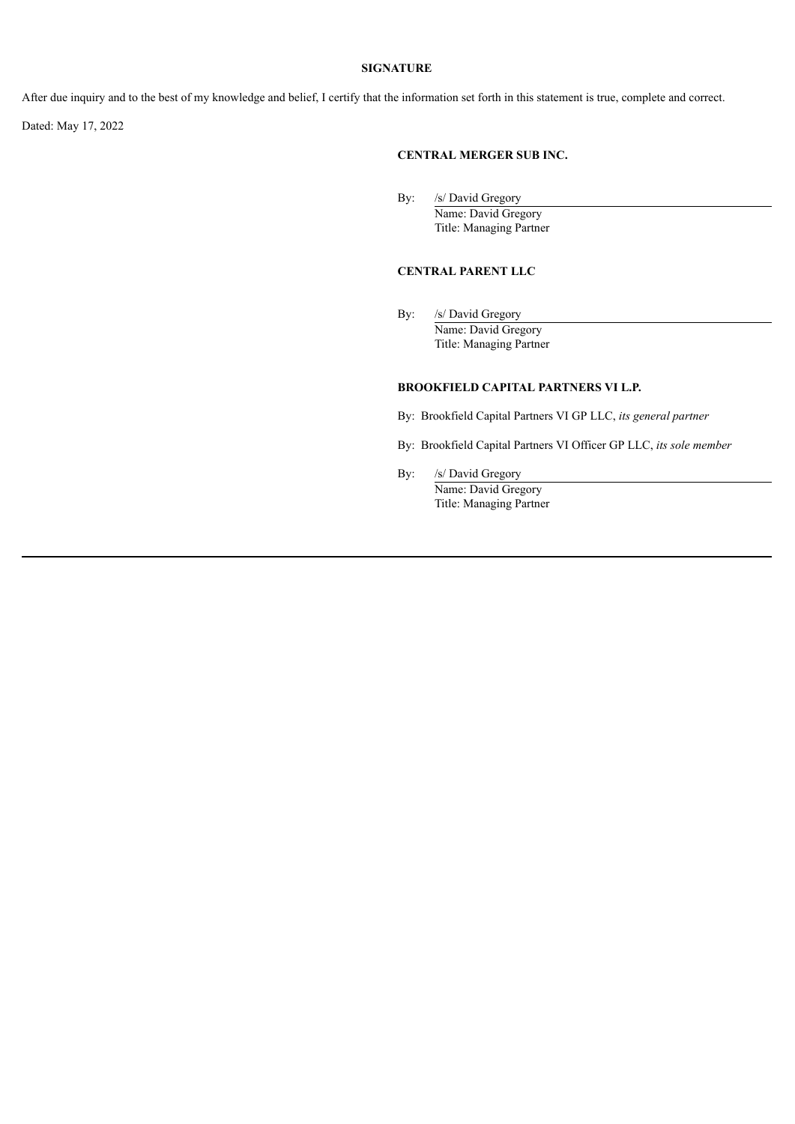#### **SIGNATURE**

After due inquiry and to the best of my knowledge and belief, I certify that the information set forth in this statement is true, complete and correct.

Dated: May 17, 2022

## **CENTRAL MERGER SUB INC.**

By: /s/ David Gregory Name: David Gregory Title: Managing Partner

## **CENTRAL PARENT LLC**

By: /s/ David Gregory Name: David Gregory Title: Managing Partner

## **BROOKFIELD CAPITAL PARTNERS VI L.P.**

By: Brookfield Capital Partners VI GP LLC, *its general partner*

By: Brookfield Capital Partners VI Officer GP LLC, *its sole member*

By: /s/ David Gregory Name: David Gregory Title: Managing Partner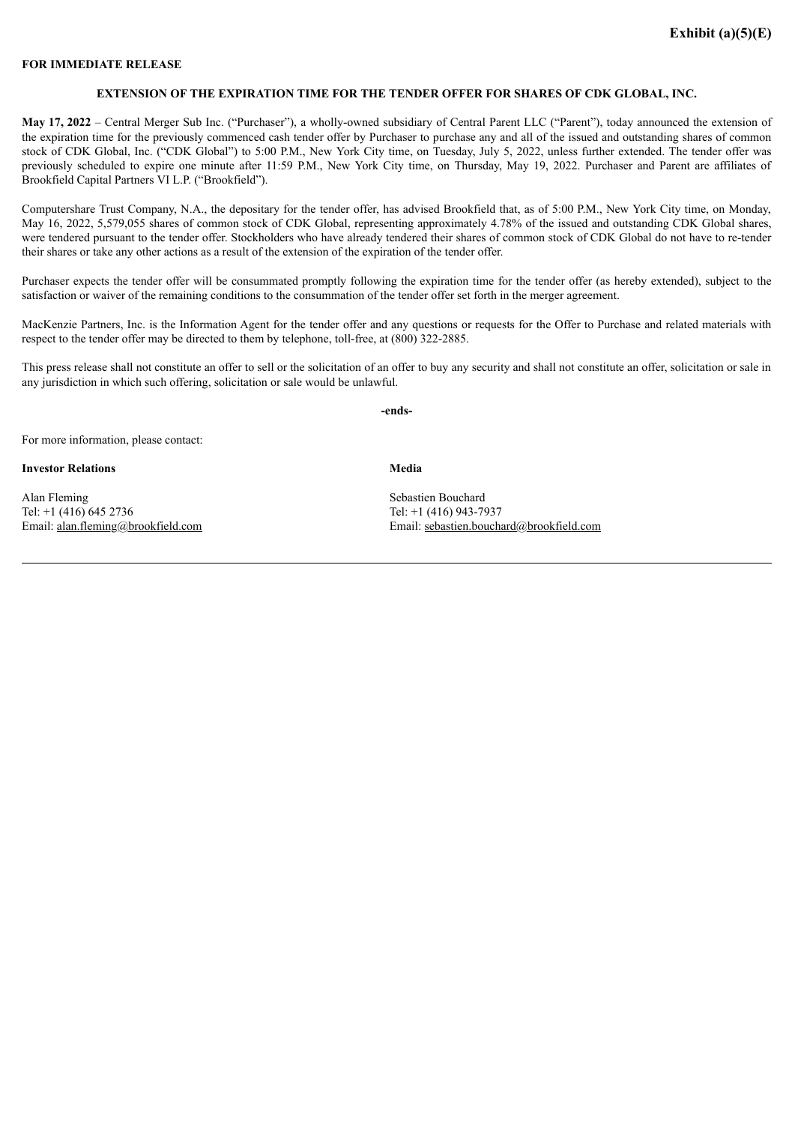#### <span id="page-5-0"></span>**FOR IMMEDIATE RELEASE**

#### **EXTENSION OF THE EXPIRATION TIME FOR THE TENDER OFFER FOR SHARES OF CDK GLOBAL, INC.**

**May 17, 2022** – Central Merger Sub Inc. ("Purchaser"), a wholly-owned subsidiary of Central Parent LLC ("Parent"), today announced the extension of the expiration time for the previously commenced cash tender offer by Purchaser to purchase any and all of the issued and outstanding shares of common stock of CDK Global, Inc. ("CDK Global") to 5:00 P.M., New York City time, on Tuesday, July 5, 2022, unless further extended. The tender offer was previously scheduled to expire one minute after 11:59 P.M., New York City time, on Thursday, May 19, 2022. Purchaser and Parent are affiliates of Brookfield Capital Partners VI L.P. ("Brookfield").

Computershare Trust Company, N.A., the depositary for the tender offer, has advised Brookfield that, as of 5:00 P.M., New York City time, on Monday, May 16, 2022, 5,579,055 shares of common stock of CDK Global, representing approximately 4.78% of the issued and outstanding CDK Global shares, were tendered pursuant to the tender offer. Stockholders who have already tendered their shares of common stock of CDK Global do not have to re-tender their shares or take any other actions as a result of the extension of the expiration of the tender offer.

Purchaser expects the tender offer will be consummated promptly following the expiration time for the tender offer (as hereby extended), subject to the satisfaction or waiver of the remaining conditions to the consummation of the tender offer set forth in the merger agreement.

MacKenzie Partners, Inc. is the Information Agent for the tender offer and any questions or requests for the Offer to Purchase and related materials with respect to the tender offer may be directed to them by telephone, toll-free, at (800) 322-2885.

This press release shall not constitute an offer to sell or the solicitation of an offer to buy any security and shall not constitute an offer, solicitation or sale in any jurisdiction in which such offering, solicitation or sale would be unlawful.

**-ends-**

**Media**

For more information, please contact:

**Investor Relations**

Alan Fleming Tel: +1 (416) 645 2736 Email: alan.fleming@brookfield.com Sebastien Bouchard Tel: +1 (416) 943-7937 Email: sebastien.bouchard@brookfield.com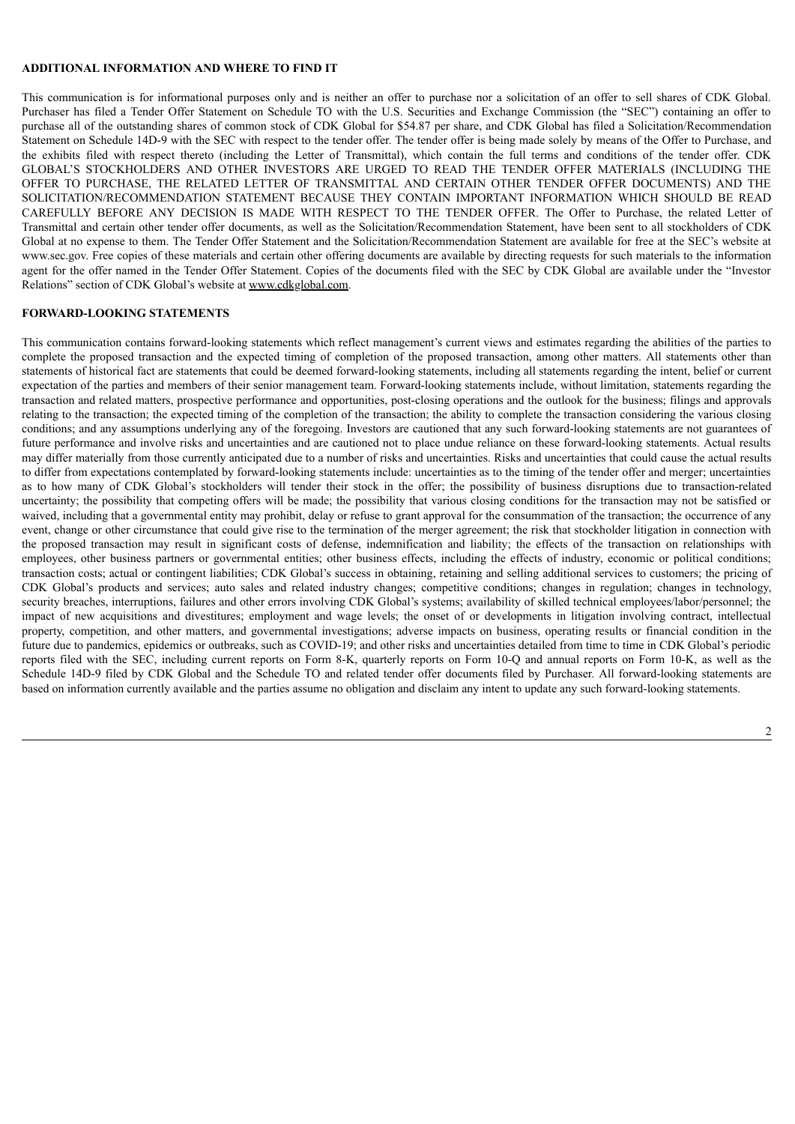#### **ADDITIONAL INFORMATION AND WHERE TO FIND IT**

This communication is for informational purposes only and is neither an offer to purchase nor a solicitation of an offer to sell shares of CDK Global. Purchaser has filed a Tender Offer Statement on Schedule TO with the U.S. Securities and Exchange Commission (the "SEC") containing an offer to purchase all of the outstanding shares of common stock of CDK Global for \$54.87 per share, and CDK Global has filed a Solicitation/Recommendation Statement on Schedule 14D-9 with the SEC with respect to the tender offer. The tender offer is being made solely by means of the Offer to Purchase, and the exhibits filed with respect thereto (including the Letter of Transmittal), which contain the full terms and conditions of the tender offer. CDK GLOBAL'S STOCKHOLDERS AND OTHER INVESTORS ARE URGED TO READ THE TENDER OFFER MATERIALS (INCLUDING THE OFFER TO PURCHASE, THE RELATED LETTER OF TRANSMITTAL AND CERTAIN OTHER TENDER OFFER DOCUMENTS) AND THE SOLICITATION/RECOMMENDATION STATEMENT BECAUSE THEY CONTAIN IMPORTANT INFORMATION WHICH SHOULD BE READ CAREFULLY BEFORE ANY DECISION IS MADE WITH RESPECT TO THE TENDER OFFER. The Offer to Purchase, the related Letter of Transmittal and certain other tender offer documents, as well as the Solicitation/Recommendation Statement, have been sent to all stockholders of CDK Global at no expense to them. The Tender Offer Statement and the Solicitation/Recommendation Statement are available for free at the SEC's website at www.sec.gov. Free copies of these materials and certain other offering documents are available by directing requests for such materials to the information agent for the offer named in the Tender Offer Statement. Copies of the documents filed with the SEC by CDK Global are available under the "Investor Relations" section of CDK Global's website at www.cdkglobal.com.

## **FORWARD-LOOKING STATEMENTS**

This communication contains forward-looking statements which reflect management's current views and estimates regarding the abilities of the parties to complete the proposed transaction and the expected timing of completion of the proposed transaction, among other matters. All statements other than statements of historical fact are statements that could be deemed forward-looking statements, including all statements regarding the intent, belief or current expectation of the parties and members of their senior management team. Forward-looking statements include, without limitation, statements regarding the transaction and related matters, prospective performance and opportunities, post-closing operations and the outlook for the business; filings and approvals relating to the transaction; the expected timing of the completion of the transaction; the ability to complete the transaction considering the various closing conditions; and any assumptions underlying any of the foregoing. Investors are cautioned that any such forward-looking statements are not guarantees of future performance and involve risks and uncertainties and are cautioned not to place undue reliance on these forward-looking statements. Actual results may differ materially from those currently anticipated due to a number of risks and uncertainties. Risks and uncertainties that could cause the actual results to differ from expectations contemplated by forward-looking statements include: uncertainties as to the timing of the tender offer and merger; uncertainties as to how many of CDK Global's stockholders will tender their stock in the offer; the possibility of business disruptions due to transaction-related uncertainty; the possibility that competing offers will be made; the possibility that various closing conditions for the transaction may not be satisfied or waived, including that a governmental entity may prohibit, delay or refuse to grant approval for the consummation of the transaction; the occurrence of any event, change or other circumstance that could give rise to the termination of the merger agreement; the risk that stockholder litigation in connection with the proposed transaction may result in significant costs of defense, indemnification and liability; the effects of the transaction on relationships with employees, other business partners or governmental entities; other business effects, including the effects of industry, economic or political conditions; transaction costs; actual or contingent liabilities; CDK Global's success in obtaining, retaining and selling additional services to customers; the pricing of CDK Global's products and services; auto sales and related industry changes; competitive conditions; changes in regulation; changes in technology, security breaches, interruptions, failures and other errors involving CDK Global's systems; availability of skilled technical employees/labor/personnel; the impact of new acquisitions and divestitures; employment and wage levels; the onset of or developments in litigation involving contract, intellectual property, competition, and other matters, and governmental investigations; adverse impacts on business, operating results or financial condition in the future due to pandemics, epidemics or outbreaks, such as COVID-19; and other risks and uncertainties detailed from time to time in CDK Global's periodic reports filed with the SEC, including current reports on Form 8-K, quarterly reports on Form 10-Q and annual reports on Form 10-K, as well as the Schedule 14D-9 filed by CDK Global and the Schedule TO and related tender offer documents filed by Purchaser. All forward-looking statements are based on information currently available and the parties assume no obligation and disclaim any intent to update any such forward-looking statements.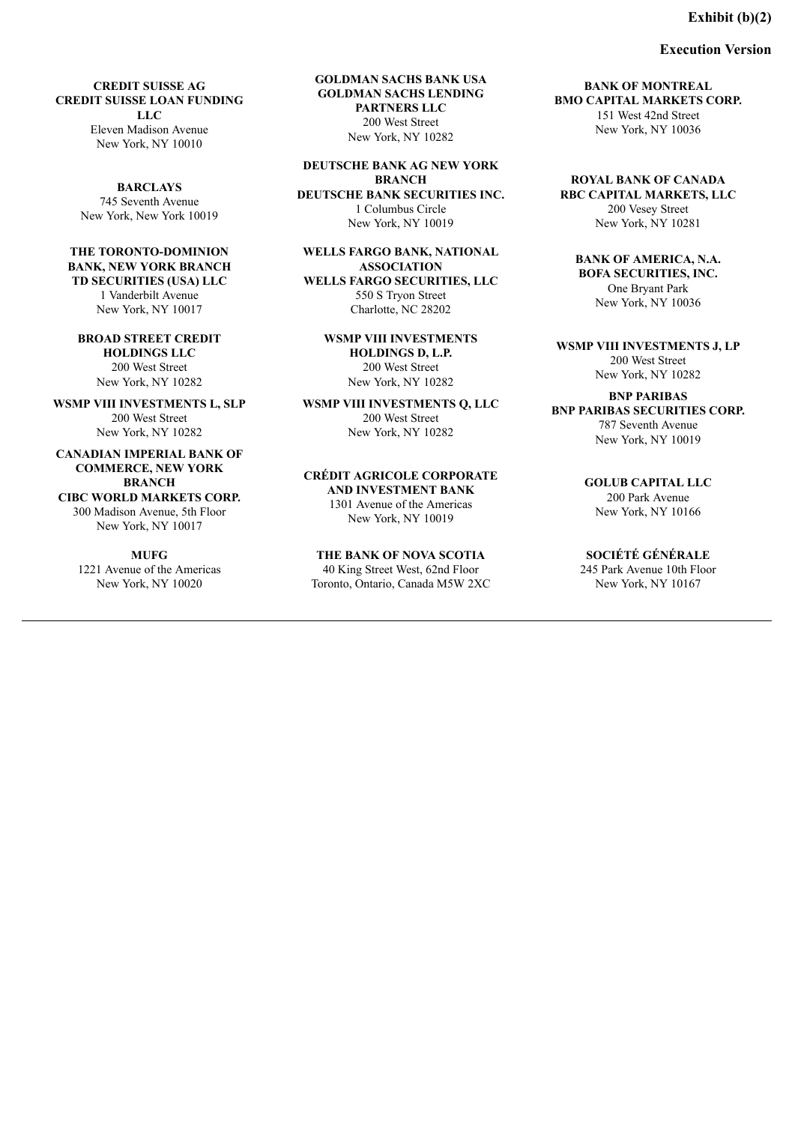## **Exhibit (b)(2)**

#### **Execution Version**

<span id="page-7-0"></span>**CREDIT SUISSE AG CREDIT SUISSE LOAN FUNDING LLC** Eleven Madison Avenue New York, NY 10010

> **BARCLAYS** 745 Seventh Avenue New York, New York 10019

**THE TORONTO-DOMINION BANK, NEW YORK BRANCH TD SECURITIES (USA) LLC** 1 Vanderbilt Avenue New York, NY 10017

**BROAD STREET CREDIT HOLDINGS LLC** 200 West Street New York, NY 10282

**WSMP VIII INVESTMENTS L, SLP** 200 West Street New York, NY 10282

**CANADIAN IMPERIAL BANK OF COMMERCE, NEW YORK BRANCH CIBC WORLD MARKETS CORP.** 300 Madison Avenue, 5th Floor

New York, NY 10017

## **MUFG**

1221 Avenue of the Americas New York, NY 10020

**GOLDMAN SACHS BANK USA GOLDMAN SACHS LENDING PARTNERS LLC** 200 West Street New York, NY 10282

**DEUTSCHE BANK AG NEW YORK BRANCH DEUTSCHE BANK SECURITIES INC.** 1 Columbus Circle New York, NY 10019

**WELLS FARGO BANK, NATIONAL ASSOCIATION WELLS FARGO SECURITIES, LLC** 550 S Tryon Street Charlotte, NC 28202

> **WSMP VIII INVESTMENTS HOLDINGS D, L.P.** 200 West Street New York, NY 10282

**WSMP VIII INVESTMENTS Q, LLC** 200 West Street New York, NY 10282

**CRÉDIT AGRICOLE CORPORATE AND INVESTMENT BANK** 1301 Avenue of the Americas New York, NY 10019

**THE BANK OF NOVA SCOTIA**

40 King Street West, 62nd Floor Toronto, Ontario, Canada M5W 2XC

**BANK OF MONTREAL BMO CAPITAL MARKETS CORP.** 151 West 42nd Street New York, NY 10036

**ROYAL BANK OF CANADA RBC CAPITAL MARKETS, LLC** 200 Vesey Street New York, NY 10281

**BANK OF AMERICA, N.A. BOFA SECURITIES, INC.** One Bryant Park New York, NY 10036

**WSMP VIII INVESTMENTS J, LP** 200 West Street New York, NY 10282

**BNP PARIBAS BNP PARIBAS SECURITIES CORP.** 787 Seventh Avenue New York, NY 10019

> **GOLUB CAPITAL LLC** 200 Park Avenue New York, NY 10166

**SOCIÉTÉ GÉNÉRALE** 245 Park Avenue 10th Floor New York, NY 10167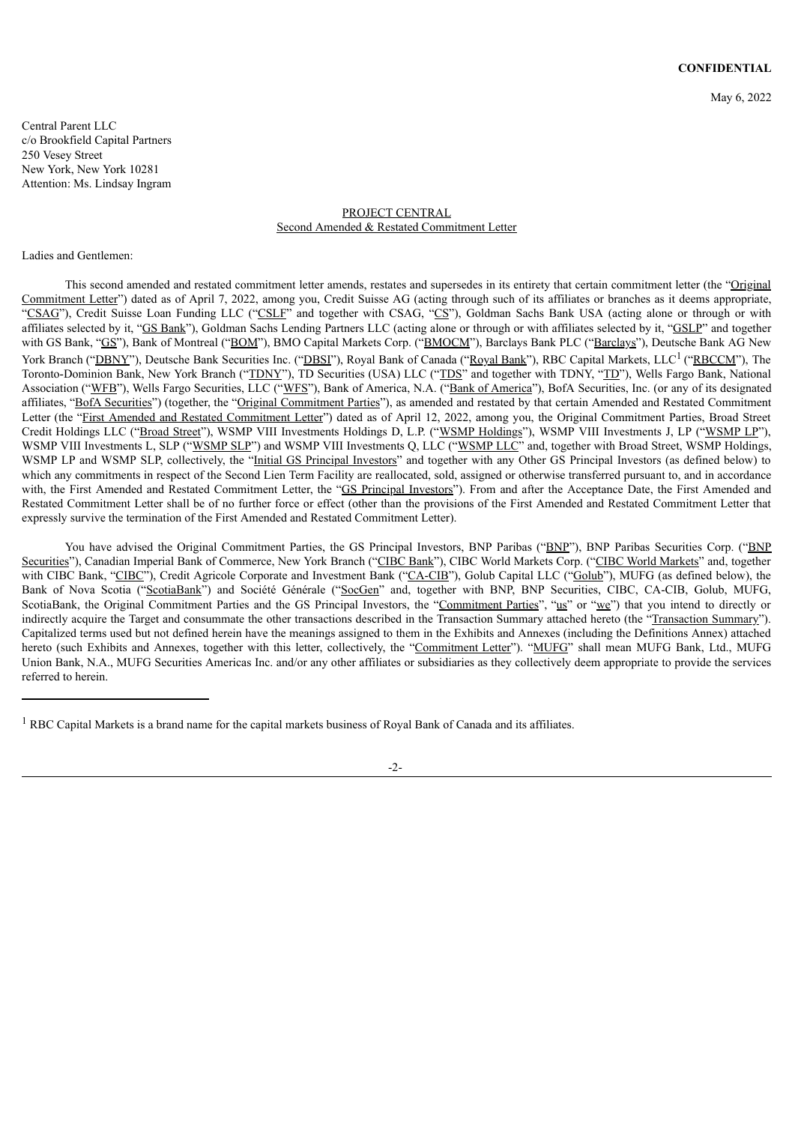Central Parent LLC c/o Brookfield Capital Partners 250 Vesey Street New York, New York 10281 Attention: Ms. Lindsay Ingram

## PROJECT CENTRAL Second Amended & Restated Commitment Letter

#### Ladies and Gentlemen:

This second amended and restated commitment letter amends, restates and supersedes in its entirety that certain commitment letter (the "Original") Commitment Letter") dated as of April 7, 2022, among you, Credit Suisse AG (acting through such of its affiliates or branches as it deems appropriate, "CSAG"), Credit Suisse Loan Funding LLC ("CSLF" and together with CSAG, "CS"), Goldman Sachs Bank USA (acting alone or through or with affiliates selected by it, "GS Bank"), Goldman Sachs Lending Partners LLC (acting alone or through or with affiliates selected by it, "GSLP" and together with GS Bank, "GS"), Bank of Montreal ("BOM"), BMO Capital Markets Corp. ("BMOCM"), Barclays Bank PLC ("Barclays"), Deutsche Bank AG New York Branch ("DBNY"), Deutsche Bank Securities Inc. ("DBSI"), Royal Bank of Canada ("Royal Bank"), RBC Capital Markets, LLC<sup>1</sup> ("RBCCM"), The Toronto-Dominion Bank, New York Branch ("TDNY"), TD Securities (USA) LLC ("TDS" and together with TDNY, "TD"), Wells Fargo Bank, National Association ("WFB"), Wells Fargo Securities, LLC ("WFS"), Bank of America, N.A. ("Bank of America"), BofA Securities, Inc. (or any of its designated affiliates, "BofA Securities") (together, the "Original Commitment Parties"), as amended and restated by that certain Amended and Restated Commitment Letter (the "First Amended and Restated Commitment Letter") dated as of April 12, 2022, among you, the Original Commitment Parties, Broad Street Credit Holdings LLC ("Broad Street"), WSMP VIII Investments Holdings D, L.P. ("WSMP Holdings"), WSMP VIII Investments J, LP ("WSMP LP"), WSMP VIII Investments L, SLP ("WSMP SLP") and WSMP VIII Investments Q, LLC ("WSMP LLC" and, together with Broad Street, WSMP Holdings, WSMP LP and WSMP SLP, collectively, the "Initial GS Principal Investors" and together with any Other GS Principal Investors (as defined below) to which any commitments in respect of the Second Lien Term Facility are reallocated, sold, assigned or otherwise transferred pursuant to, and in accordance with, the First Amended and Restated Commitment Letter, the "GS Principal Investors"). From and after the Acceptance Date, the First Amended and Restated Commitment Letter shall be of no further force or effect (other than the provisions of the First Amended and Restated Commitment Letter that expressly survive the termination of the First Amended and Restated Commitment Letter).

You have advised the Original Commitment Parties, the GS Principal Investors, BNP Paribas ("BNP"), BNP Paribas Securities Corp. ("BNP Securities"), Canadian Imperial Bank of Commerce, New York Branch ("CIBC Bank"), CIBC World Markets Corp. ("CIBC World Markets" and, together with CIBC Bank, "CIBC"), Credit Agricole Corporate and Investment Bank ("CA-CIB"), Golub Capital LLC ("Golub"), MUFG (as defined below), the Bank of Nova Scotia ("ScotiaBank") and Société Générale ("SocGen" and, together with BNP, BNP Securities, CIBC, CA-CIB, Golub, MUFG, ScotiaBank, the Original Commitment Parties and the GS Principal Investors, the "Commitment Parties", "us" or "we") that you intend to directly or indirectly acquire the Target and consummate the other transactions described in the Transaction Summary attached hereto (the "Transaction Summary"). Capitalized terms used but not defined herein have the meanings assigned to them in the Exhibits and Annexes (including the Definitions Annex) attached hereto (such Exhibits and Annexes, together with this letter, collectively, the "Commitment Letter"). "MUFG" shall mean MUFG Bank, Ltd., MUFG Union Bank, N.A., MUFG Securities Americas Inc. and/or any other affiliates or subsidiaries as they collectively deem appropriate to provide the services referred to herein.

-2-

<sup>&</sup>lt;sup>1</sup> RBC Capital Markets is a brand name for the capital markets business of Royal Bank of Canada and its affiliates.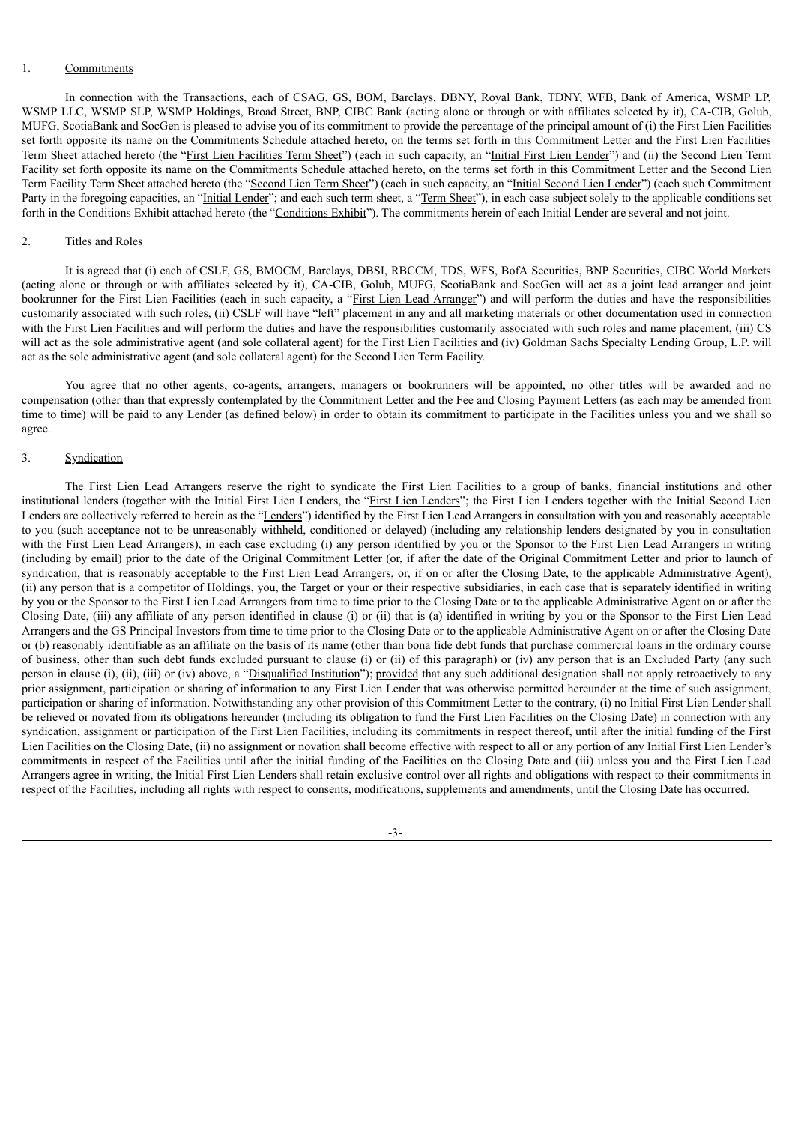#### 1. Commitments

In connection with the Transactions, each of CSAG, GS, BOM, Barclays, DBNY, Royal Bank, TDNY, WFB, Bank of America, WSMP LP, WSMP LLC, WSMP SLP, WSMP Holdings, Broad Street, BNP, CIBC Bank (acting alone or through or with affiliates selected by it), CA-CIB, Golub, MUFG, ScotiaBank and SocGen is pleased to advise you of its commitment to provide the percentage of the principal amount of (i) the First Lien Facilities set forth opposite its name on the Commitments Schedule attached hereto, on the terms set forth in this Commitment Letter and the First Lien Facilities Term Sheet attached hereto (the "First Lien Facilities Term Sheet") (each in such capacity, an "Initial First Lien Lender") and (ii) the Second Lien Term Facility set forth opposite its name on the Commitments Schedule attached hereto, on the terms set forth in this Commitment Letter and the Second Lien Term Facility Term Sheet attached hereto (the "Second Lien Term Sheet") (each in such capacity, an "Initial Second Lien Lender") (each such Commitment Party in the foregoing capacities, an "Initial Lender"; and each such term sheet, a "Term Sheet"), in each case subject solely to the applicable conditions set forth in the Conditions Exhibit attached hereto (the "Conditions Exhibit"). The commitments herein of each Initial Lender are several and not joint.

#### 2. Titles and Roles

It is agreed that (i) each of CSLF, GS, BMOCM, Barclays, DBSI, RBCCM, TDS, WFS, BofA Securities, BNP Securities, CIBC World Markets (acting alone or through or with affiliates selected by it), CA-CIB, Golub, MUFG, ScotiaBank and SocGen will act as a joint lead arranger and joint bookrunner for the First Lien Facilities (each in such capacity, a "First Lien Lead Arranger") and will perform the duties and have the responsibilities customarily associated with such roles, (ii) CSLF will have "left" placement in any and all marketing materials or other documentation used in connection with the First Lien Facilities and will perform the duties and have the responsibilities customarily associated with such roles and name placement, (iii) CS will act as the sole administrative agent (and sole collateral agent) for the First Lien Facilities and (iv) Goldman Sachs Specialty Lending Group, L.P. will act as the sole administrative agent (and sole collateral agent) for the Second Lien Term Facility.

You agree that no other agents, co-agents, arrangers, managers or bookrunners will be appointed, no other titles will be awarded and no compensation (other than that expressly contemplated by the Commitment Letter and the Fee and Closing Payment Letters (as each may be amended from time to time) will be paid to any Lender (as defined below) in order to obtain its commitment to participate in the Facilities unless you and we shall so agree.

#### 3. Syndication

The First Lien Lead Arrangers reserve the right to syndicate the First Lien Facilities to a group of banks, financial institutions and other institutional lenders (together with the Initial First Lien Lenders, the "First Lien Lenders"; the First Lien Lenders together with the Initial Second Lien Lenders are collectively referred to herein as the "Lenders") identified by the First Lien Lead Arrangers in consultation with you and reasonably acceptable to you (such acceptance not to be unreasonably withheld, conditioned or delayed) (including any relationship lenders designated by you in consultation with the First Lien Lead Arrangers), in each case excluding (i) any person identified by you or the Sponsor to the First Lien Lead Arrangers in writing (including by email) prior to the date of the Original Commitment Letter (or, if after the date of the Original Commitment Letter and prior to launch of syndication, that is reasonably acceptable to the First Lien Lead Arrangers, or, if on or after the Closing Date, to the applicable Administrative Agent), (ii) any person that is a competitor of Holdings, you, the Target or your or their respective subsidiaries, in each case that is separately identified in writing by you or the Sponsor to the First Lien Lead Arrangers from time to time prior to the Closing Date or to the applicable Administrative Agent on or after the Closing Date, (iii) any affiliate of any person identified in clause (i) or (ii) that is (a) identified in writing by you or the Sponsor to the First Lien Lead Arrangers and the GS Principal Investors from time to time prior to the Closing Date or to the applicable Administrative Agent on or after the Closing Date or (b) reasonably identifiable as an affiliate on the basis of its name (other than bona fide debt funds that purchase commercial loans in the ordinary course of business, other than such debt funds excluded pursuant to clause (i) or (ii) of this paragraph) or (iv) any person that is an Excluded Party (any such person in clause (i), (ii), (iii) or (iv) above, a "Disqualified Institution"); provided that any such additional designation shall not apply retroactively to any prior assignment, participation or sharing of information to any First Lien Lender that was otherwise permitted hereunder at the time of such assignment, participation or sharing of information. Notwithstanding any other provision of this Commitment Letter to the contrary, (i) no Initial First Lien Lender shall be relieved or novated from its obligations hereunder (including its obligation to fund the First Lien Facilities on the Closing Date) in connection with any syndication, assignment or participation of the First Lien Facilities, including its commitments in respect thereof, until after the initial funding of the First Lien Facilities on the Closing Date, (ii) no assignment or novation shall become effective with respect to all or any portion of any Initial First Lien Lender's commitments in respect of the Facilities until after the initial funding of the Facilities on the Closing Date and (iii) unless you and the First Lien Lead Arrangers agree in writing, the Initial First Lien Lenders shall retain exclusive control over all rights and obligations with respect to their commitments in respect of the Facilities, including all rights with respect to consents, modifications, supplements and amendments, until the Closing Date has occurred.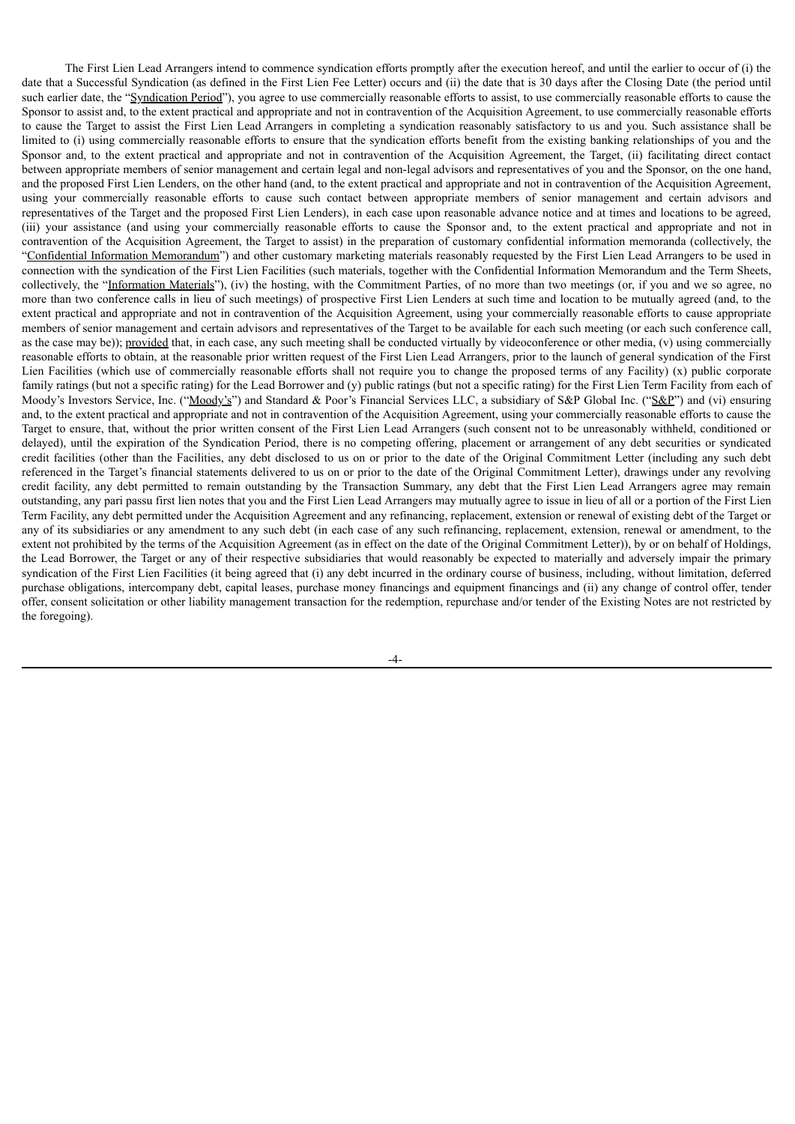The First Lien Lead Arrangers intend to commence syndication efforts promptly after the execution hereof, and until the earlier to occur of (i) the date that a Successful Syndication (as defined in the First Lien Fee Letter) occurs and (ii) the date that is 30 days after the Closing Date (the period until such earlier date, the "Syndication Period"), you agree to use commercially reasonable efforts to assist, to use commercially reasonable efforts to cause the Sponsor to assist and, to the extent practical and appropriate and not in contravention of the Acquisition Agreement, to use commercially reasonable efforts to cause the Target to assist the First Lien Lead Arrangers in completing a syndication reasonably satisfactory to us and you. Such assistance shall be limited to (i) using commercially reasonable efforts to ensure that the syndication efforts benefit from the existing banking relationships of you and the Sponsor and, to the extent practical and appropriate and not in contravention of the Acquisition Agreement, the Target, (ii) facilitating direct contact between appropriate members of senior management and certain legal and non-legal advisors and representatives of you and the Sponsor, on the one hand, and the proposed First Lien Lenders, on the other hand (and, to the extent practical and appropriate and not in contravention of the Acquisition Agreement, using your commercially reasonable efforts to cause such contact between appropriate members of senior management and certain advisors and representatives of the Target and the proposed First Lien Lenders), in each case upon reasonable advance notice and at times and locations to be agreed, (iii) your assistance (and using your commercially reasonable efforts to cause the Sponsor and, to the extent practical and appropriate and not in contravention of the Acquisition Agreement, the Target to assist) in the preparation of customary confidential information memoranda (collectively, the "Confidential Information Memorandum") and other customary marketing materials reasonably requested by the First Lien Lead Arrangers to be used in connection with the syndication of the First Lien Facilities (such materials, together with the Confidential Information Memorandum and the Term Sheets, collectively, the "Information Materials"), (iv) the hosting, with the Commitment Parties, of no more than two meetings (or, if you and we so agree, no more than two conference calls in lieu of such meetings) of prospective First Lien Lenders at such time and location to be mutually agreed (and, to the extent practical and appropriate and not in contravention of the Acquisition Agreement, using your commercially reasonable efforts to cause appropriate members of senior management and certain advisors and representatives of the Target to be available for each such meeting (or each such conference call, as the case may be)); provided that, in each case, any such meeting shall be conducted virtually by videoconference or other media, (v) using commercially reasonable efforts to obtain, at the reasonable prior written request of the First Lien Lead Arrangers, prior to the launch of general syndication of the First Lien Facilities (which use of commercially reasonable efforts shall not require you to change the proposed terms of any Facility)  $(x)$  public corporate family ratings (but not a specific rating) for the Lead Borrower and (y) public ratings (but not a specific rating) for the First Lien Term Facility from each of Moody's Investors Service, Inc. ("Moody's") and Standard & Poor's Financial Services LLC, a subsidiary of S&P Global Inc. ("S&P") and (vi) ensuring and, to the extent practical and appropriate and not in contravention of the Acquisition Agreement, using your commercially reasonable efforts to cause the Target to ensure, that, without the prior written consent of the First Lien Lead Arrangers (such consent not to be unreasonably withheld, conditioned or delayed), until the expiration of the Syndication Period, there is no competing offering, placement or arrangement of any debt securities or syndicated credit facilities (other than the Facilities, any debt disclosed to us on or prior to the date of the Original Commitment Letter (including any such debt referenced in the Target's financial statements delivered to us on or prior to the date of the Original Commitment Letter), drawings under any revolving credit facility, any debt permitted to remain outstanding by the Transaction Summary, any debt that the First Lien Lead Arrangers agree may remain outstanding, any pari passu first lien notes that you and the First Lien Lead Arrangers may mutually agree to issue in lieu of all or a portion of the First Lien Term Facility, any debt permitted under the Acquisition Agreement and any refinancing, replacement, extension or renewal of existing debt of the Target or any of its subsidiaries or any amendment to any such debt (in each case of any such refinancing, replacement, extension, renewal or amendment, to the extent not prohibited by the terms of the Acquisition Agreement (as in effect on the date of the Original Commitment Letter)), by or on behalf of Holdings, the Lead Borrower, the Target or any of their respective subsidiaries that would reasonably be expected to materially and adversely impair the primary syndication of the First Lien Facilities (it being agreed that (i) any debt incurred in the ordinary course of business, including, without limitation, deferred purchase obligations, intercompany debt, capital leases, purchase money financings and equipment financings and (ii) any change of control offer, tender offer, consent solicitation or other liability management transaction for the redemption, repurchase and/or tender of the Existing Notes are not restricted by the foregoing).

-4-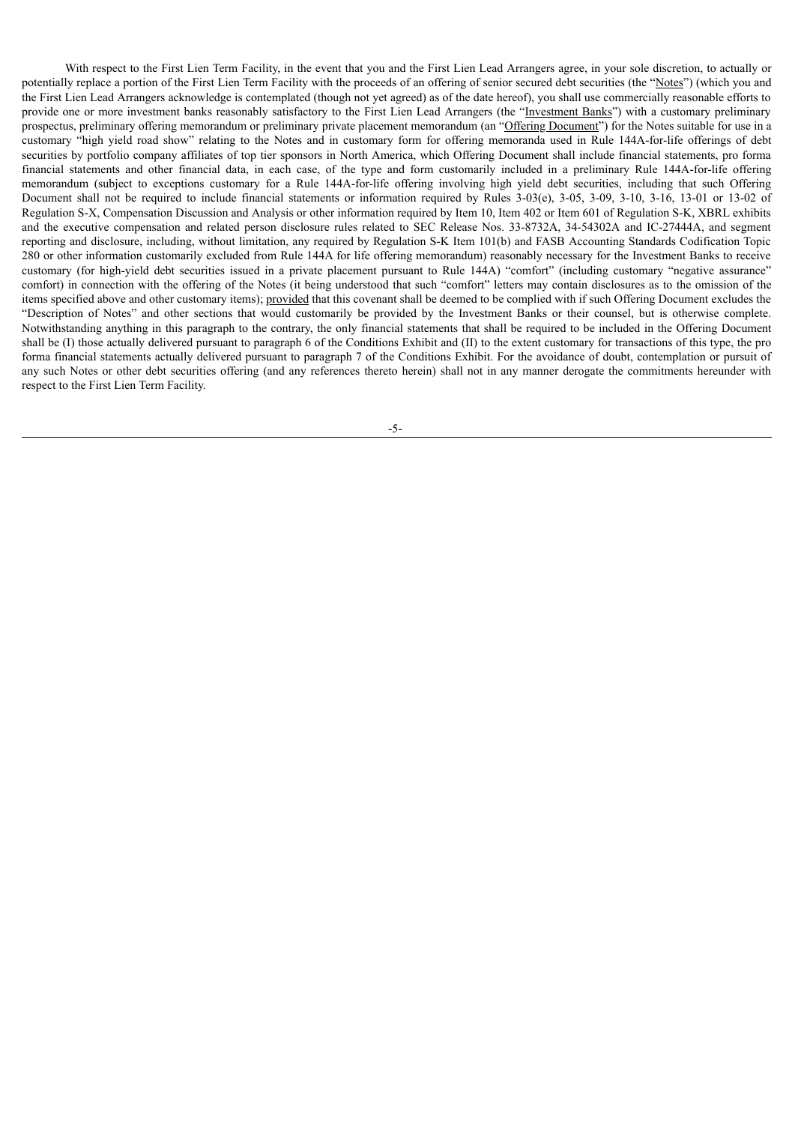With respect to the First Lien Term Facility, in the event that you and the First Lien Lead Arrangers agree, in your sole discretion, to actually or potentially replace a portion of the First Lien Term Facility with the proceeds of an offering of senior secured debt securities (the "Notes") (which you and the First Lien Lead Arrangers acknowledge is contemplated (though not yet agreed) as of the date hereof), you shall use commercially reasonable efforts to provide one or more investment banks reasonably satisfactory to the First Lien Lead Arrangers (the "Investment Banks") with a customary preliminary prospectus, preliminary offering memorandum or preliminary private placement memorandum (an "Offering Document") for the Notes suitable for use in a customary "high yield road show" relating to the Notes and in customary form for offering memoranda used in Rule 144A-for-life offerings of debt securities by portfolio company affiliates of top tier sponsors in North America, which Offering Document shall include financial statements, pro forma financial statements and other financial data, in each case, of the type and form customarily included in a preliminary Rule 144A-for-life offering memorandum (subject to exceptions customary for a Rule 144A-for-life offering involving high yield debt securities, including that such Offering Document shall not be required to include financial statements or information required by Rules 3-03(e), 3-05, 3-09, 3-10, 3-16, 13-01 or 13-02 of Regulation S-X, Compensation Discussion and Analysis or other information required by Item 10, Item 402 or Item 601 of Regulation S-K, XBRL exhibits and the executive compensation and related person disclosure rules related to SEC Release Nos. 33-8732A, 34-54302A and IC-27444A, and segment reporting and disclosure, including, without limitation, any required by Regulation S-K Item 101(b) and FASB Accounting Standards Codification Topic 280 or other information customarily excluded from Rule 144A for life offering memorandum) reasonably necessary for the Investment Banks to receive customary (for high-yield debt securities issued in a private placement pursuant to Rule 144A) "comfort" (including customary "negative assurance" comfort) in connection with the offering of the Notes (it being understood that such "comfort" letters may contain disclosures as to the omission of the items specified above and other customary items); provided that this covenant shall be deemed to be complied with if such Offering Document excludes the "Description of Notes" and other sections that would customarily be provided by the Investment Banks or their counsel, but is otherwise complete. Notwithstanding anything in this paragraph to the contrary, the only financial statements that shall be required to be included in the Offering Document shall be (I) those actually delivered pursuant to paragraph 6 of the Conditions Exhibit and (II) to the extent customary for transactions of this type, the pro forma financial statements actually delivered pursuant to paragraph 7 of the Conditions Exhibit. For the avoidance of doubt, contemplation or pursuit of any such Notes or other debt securities offering (and any references thereto herein) shall not in any manner derogate the commitments hereunder with respect to the First Lien Term Facility.

-5-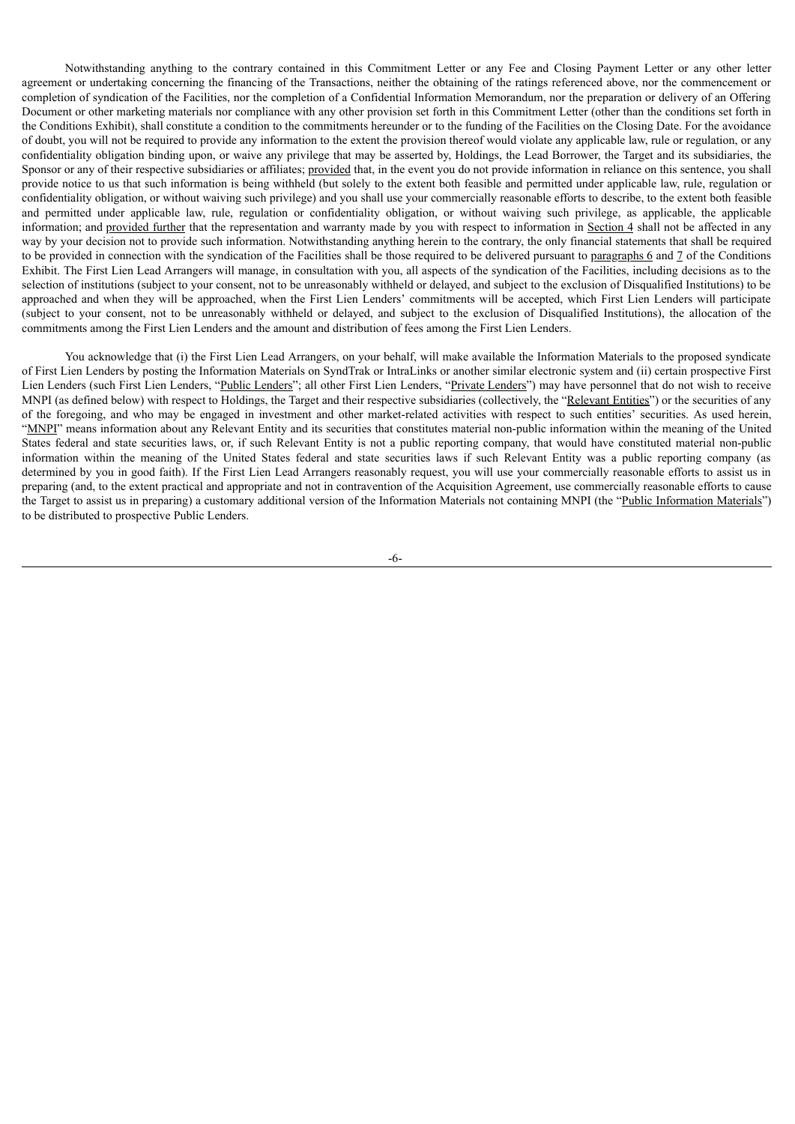Notwithstanding anything to the contrary contained in this Commitment Letter or any Fee and Closing Payment Letter or any other letter agreement or undertaking concerning the financing of the Transactions, neither the obtaining of the ratings referenced above, nor the commencement or completion of syndication of the Facilities, nor the completion of a Confidential Information Memorandum, nor the preparation or delivery of an Offering Document or other marketing materials nor compliance with any other provision set forth in this Commitment Letter (other than the conditions set forth in the Conditions Exhibit), shall constitute a condition to the commitments hereunder or to the funding of the Facilities on the Closing Date. For the avoidance of doubt, you will not be required to provide any information to the extent the provision thereof would violate any applicable law, rule or regulation, or any confidentiality obligation binding upon, or waive any privilege that may be asserted by, Holdings, the Lead Borrower, the Target and its subsidiaries, the Sponsor or any of their respective subsidiaries or affiliates; provided that, in the event you do not provide information in reliance on this sentence, you shall provide notice to us that such information is being withheld (but solely to the extent both feasible and permitted under applicable law, rule, regulation or confidentiality obligation, or without waiving such privilege) and you shall use your commercially reasonable efforts to describe, to the extent both feasible and permitted under applicable law, rule, regulation or confidentiality obligation, or without waiving such privilege, as applicable, the applicable information; and provided further that the representation and warranty made by you with respect to information in Section 4 shall not be affected in any way by your decision not to provide such information. Notwithstanding anything herein to the contrary, the only financial statements that shall be required to be provided in connection with the syndication of the Facilities shall be those required to be delivered pursuant to paragraphs 6 and 7 of the Conditions Exhibit. The First Lien Lead Arrangers will manage, in consultation with you, all aspects of the syndication of the Facilities, including decisions as to the selection of institutions (subject to your consent, not to be unreasonably withheld or delayed, and subject to the exclusion of Disqualified Institutions) to be approached and when they will be approached, when the First Lien Lenders' commitments will be accepted, which First Lien Lenders will participate (subject to your consent, not to be unreasonably withheld or delayed, and subject to the exclusion of Disqualified Institutions), the allocation of the commitments among the First Lien Lenders and the amount and distribution of fees among the First Lien Lenders.

You acknowledge that (i) the First Lien Lead Arrangers, on your behalf, will make available the Information Materials to the proposed syndicate of First Lien Lenders by posting the Information Materials on SyndTrak or IntraLinks or another similar electronic system and (ii) certain prospective First Lien Lenders (such First Lien Lenders, "Public Lenders"; all other First Lien Lenders, "Private Lenders") may have personnel that do not wish to receive MNPI (as defined below) with respect to Holdings, the Target and their respective subsidiaries (collectively, the "Relevant Entities") or the securities of any of the foregoing, and who may be engaged in investment and other market-related activities with respect to such entities' securities. As used herein, "MNPI" means information about any Relevant Entity and its securities that constitutes material non-public information within the meaning of the United States federal and state securities laws, or, if such Relevant Entity is not a public reporting company, that would have constituted material non-public information within the meaning of the United States federal and state securities laws if such Relevant Entity was a public reporting company (as determined by you in good faith). If the First Lien Lead Arrangers reasonably request, you will use your commercially reasonable efforts to assist us in preparing (and, to the extent practical and appropriate and not in contravention of the Acquisition Agreement, use commercially reasonable efforts to cause the Target to assist us in preparing) a customary additional version of the Information Materials not containing MNPI (the "Public Information Materials") to be distributed to prospective Public Lenders.

-6-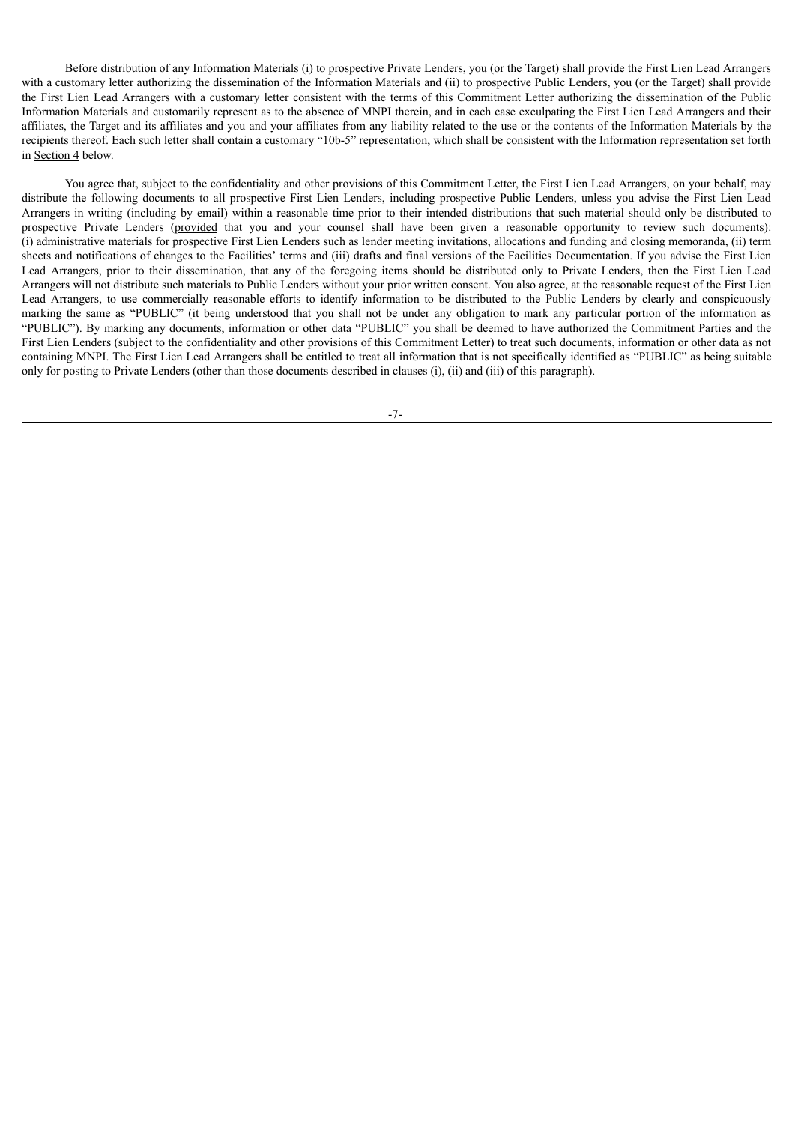Before distribution of any Information Materials (i) to prospective Private Lenders, you (or the Target) shall provide the First Lien Lead Arrangers with a customary letter authorizing the dissemination of the Information Materials and (ii) to prospective Public Lenders, you (or the Target) shall provide the First Lien Lead Arrangers with a customary letter consistent with the terms of this Commitment Letter authorizing the dissemination of the Public Information Materials and customarily represent as to the absence of MNPI therein, and in each case exculpating the First Lien Lead Arrangers and their affiliates, the Target and its affiliates and you and your affiliates from any liability related to the use or the contents of the Information Materials by the recipients thereof. Each such letter shall contain a customary "10b-5" representation, which shall be consistent with the Information representation set forth in Section 4 below.

You agree that, subject to the confidentiality and other provisions of this Commitment Letter, the First Lien Lead Arrangers, on your behalf, may distribute the following documents to all prospective First Lien Lenders, including prospective Public Lenders, unless you advise the First Lien Lead Arrangers in writing (including by email) within a reasonable time prior to their intended distributions that such material should only be distributed to prospective Private Lenders (provided that you and your counsel shall have been given a reasonable opportunity to review such documents): (i) administrative materials for prospective First Lien Lenders such as lender meeting invitations, allocations and funding and closing memoranda, (ii) term sheets and notifications of changes to the Facilities' terms and (iii) drafts and final versions of the Facilities Documentation. If you advise the First Lien Lead Arrangers, prior to their dissemination, that any of the foregoing items should be distributed only to Private Lenders, then the First Lien Lead Arrangers will not distribute such materials to Public Lenders without your prior written consent. You also agree, at the reasonable request of the First Lien Lead Arrangers, to use commercially reasonable efforts to identify information to be distributed to the Public Lenders by clearly and conspicuously marking the same as "PUBLIC" (it being understood that you shall not be under any obligation to mark any particular portion of the information as "PUBLIC"). By marking any documents, information or other data "PUBLIC" you shall be deemed to have authorized the Commitment Parties and the First Lien Lenders (subject to the confidentiality and other provisions of this Commitment Letter) to treat such documents, information or other data as not containing MNPI. The First Lien Lead Arrangers shall be entitled to treat all information that is not specifically identified as "PUBLIC" as being suitable only for posting to Private Lenders (other than those documents described in clauses (i), (ii) and (iii) of this paragraph).

-7-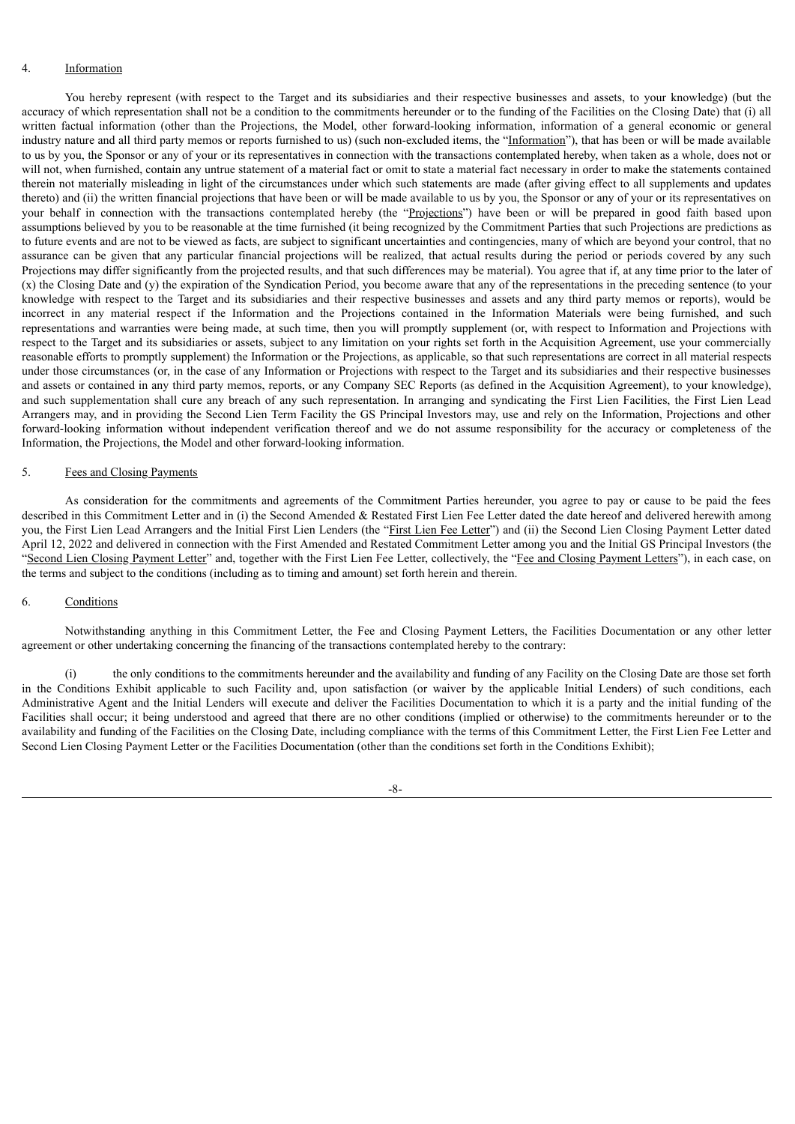#### 4. Information

You hereby represent (with respect to the Target and its subsidiaries and their respective businesses and assets, to your knowledge) (but the accuracy of which representation shall not be a condition to the commitments hereunder or to the funding of the Facilities on the Closing Date) that (i) all written factual information (other than the Projections, the Model, other forward-looking information, information of a general economic or general industry nature and all third party memos or reports furnished to us) (such non-excluded items, the "Information"), that has been or will be made available to us by you, the Sponsor or any of your or its representatives in connection with the transactions contemplated hereby, when taken as a whole, does not or will not, when furnished, contain any untrue statement of a material fact or omit to state a material fact necessary in order to make the statements contained therein not materially misleading in light of the circumstances under which such statements are made (after giving effect to all supplements and updates thereto) and (ii) the written financial projections that have been or will be made available to us by you, the Sponsor or any of your or its representatives on your behalf in connection with the transactions contemplated hereby (the "Projections") have been or will be prepared in good faith based upon assumptions believed by you to be reasonable at the time furnished (it being recognized by the Commitment Parties that such Projections are predictions as to future events and are not to be viewed as facts, are subject to significant uncertainties and contingencies, many of which are beyond your control, that no assurance can be given that any particular financial projections will be realized, that actual results during the period or periods covered by any such Projections may differ significantly from the projected results, and that such differences may be material). You agree that if, at any time prior to the later of (x) the Closing Date and (y) the expiration of the Syndication Period, you become aware that any of the representations in the preceding sentence (to your knowledge with respect to the Target and its subsidiaries and their respective businesses and assets and any third party memos or reports), would be incorrect in any material respect if the Information and the Projections contained in the Information Materials were being furnished, and such representations and warranties were being made, at such time, then you will promptly supplement (or, with respect to Information and Projections with respect to the Target and its subsidiaries or assets, subject to any limitation on your rights set forth in the Acquisition Agreement, use your commercially reasonable efforts to promptly supplement) the Information or the Projections, as applicable, so that such representations are correct in all material respects under those circumstances (or, in the case of any Information or Projections with respect to the Target and its subsidiaries and their respective businesses and assets or contained in any third party memos, reports, or any Company SEC Reports (as defined in the Acquisition Agreement), to your knowledge), and such supplementation shall cure any breach of any such representation. In arranging and syndicating the First Lien Facilities, the First Lien Lead Arrangers may, and in providing the Second Lien Term Facility the GS Principal Investors may, use and rely on the Information, Projections and other forward-looking information without independent verification thereof and we do not assume responsibility for the accuracy or completeness of the Information, the Projections, the Model and other forward-looking information.

#### 5. Fees and Closing Payments

As consideration for the commitments and agreements of the Commitment Parties hereunder, you agree to pay or cause to be paid the fees described in this Commitment Letter and in (i) the Second Amended & Restated First Lien Fee Letter dated the date hereof and delivered herewith among you, the First Lien Lead Arrangers and the Initial First Lien Lenders (the "First Lien Fee Letter") and (ii) the Second Lien Closing Payment Letter dated April 12, 2022 and delivered in connection with the First Amended and Restated Commitment Letter among you and the Initial GS Principal Investors (the "Second Lien Closing Payment Letter" and, together with the First Lien Fee Letter, collectively, the "Fee and Closing Payment Letters"), in each case, on the terms and subject to the conditions (including as to timing and amount) set forth herein and therein.

#### 6. Conditions

Notwithstanding anything in this Commitment Letter, the Fee and Closing Payment Letters, the Facilities Documentation or any other letter agreement or other undertaking concerning the financing of the transactions contemplated hereby to the contrary:

(i) the only conditions to the commitments hereunder and the availability and funding of any Facility on the Closing Date are those set forth in the Conditions Exhibit applicable to such Facility and, upon satisfaction (or waiver by the applicable Initial Lenders) of such conditions, each Administrative Agent and the Initial Lenders will execute and deliver the Facilities Documentation to which it is a party and the initial funding of the Facilities shall occur; it being understood and agreed that there are no other conditions (implied or otherwise) to the commitments hereunder or to the availability and funding of the Facilities on the Closing Date, including compliance with the terms of this Commitment Letter, the First Lien Fee Letter and Second Lien Closing Payment Letter or the Facilities Documentation (other than the conditions set forth in the Conditions Exhibit);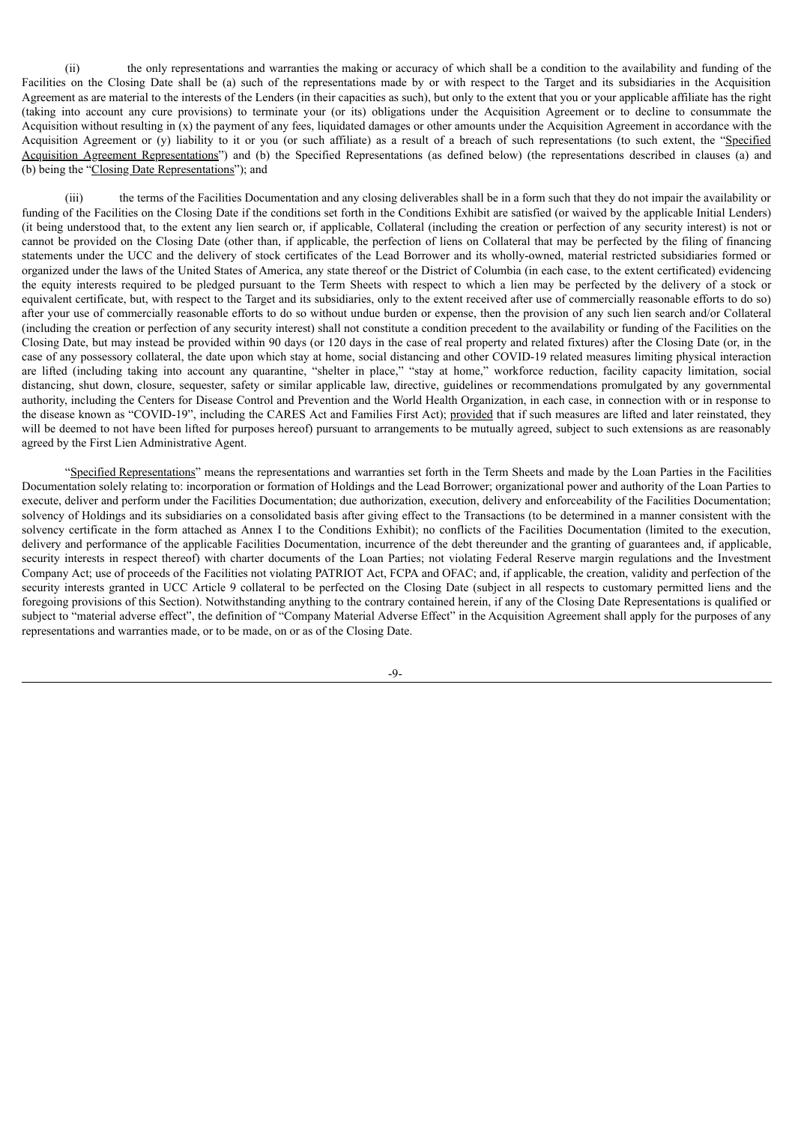(ii) the only representations and warranties the making or accuracy of which shall be a condition to the availability and funding of the Facilities on the Closing Date shall be (a) such of the representations made by or with respect to the Target and its subsidiaries in the Acquisition Agreement as are material to the interests of the Lenders (in their capacities as such), but only to the extent that you or your applicable affiliate has the right (taking into account any cure provisions) to terminate your (or its) obligations under the Acquisition Agreement or to decline to consummate the Acquisition without resulting in (x) the payment of any fees, liquidated damages or other amounts under the Acquisition Agreement in accordance with the Acquisition Agreement or (y) liability to it or you (or such affiliate) as a result of a breach of such representations (to such extent, the "Specified Acquisition Agreement Representations") and (b) the Specified Representations (as defined below) (the representations described in clauses (a) and (b) being the "Closing Date Representations"); and

(iii) the terms of the Facilities Documentation and any closing deliverables shall be in a form such that they do not impair the availability or funding of the Facilities on the Closing Date if the conditions set forth in the Conditions Exhibit are satisfied (or waived by the applicable Initial Lenders) (it being understood that, to the extent any lien search or, if applicable, Collateral (including the creation or perfection of any security interest) is not or cannot be provided on the Closing Date (other than, if applicable, the perfection of liens on Collateral that may be perfected by the filing of financing statements under the UCC and the delivery of stock certificates of the Lead Borrower and its wholly-owned, material restricted subsidiaries formed or organized under the laws of the United States of America, any state thereof or the District of Columbia (in each case, to the extent certificated) evidencing the equity interests required to be pledged pursuant to the Term Sheets with respect to which a lien may be perfected by the delivery of a stock or equivalent certificate, but, with respect to the Target and its subsidiaries, only to the extent received after use of commercially reasonable efforts to do so) after your use of commercially reasonable efforts to do so without undue burden or expense, then the provision of any such lien search and/or Collateral (including the creation or perfection of any security interest) shall not constitute a condition precedent to the availability or funding of the Facilities on the Closing Date, but may instead be provided within 90 days (or 120 days in the case of real property and related fixtures) after the Closing Date (or, in the case of any possessory collateral, the date upon which stay at home, social distancing and other COVID-19 related measures limiting physical interaction are lifted (including taking into account any quarantine, "shelter in place," "stay at home," workforce reduction, facility capacity limitation, social distancing, shut down, closure, sequester, safety or similar applicable law, directive, guidelines or recommendations promulgated by any governmental authority, including the Centers for Disease Control and Prevention and the World Health Organization, in each case, in connection with or in response to the disease known as "COVID-19", including the CARES Act and Families First Act); provided that if such measures are lifted and later reinstated, they will be deemed to not have been lifted for purposes hereof) pursuant to arrangements to be mutually agreed, subject to such extensions as are reasonably agreed by the First Lien Administrative Agent.

"Specified Representations" means the representations and warranties set forth in the Term Sheets and made by the Loan Parties in the Facilities Documentation solely relating to: incorporation or formation of Holdings and the Lead Borrower; organizational power and authority of the Loan Parties to execute, deliver and perform under the Facilities Documentation; due authorization, execution, delivery and enforceability of the Facilities Documentation; solvency of Holdings and its subsidiaries on a consolidated basis after giving effect to the Transactions (to be determined in a manner consistent with the solvency certificate in the form attached as Annex I to the Conditions Exhibit); no conflicts of the Facilities Documentation (limited to the execution, delivery and performance of the applicable Facilities Documentation, incurrence of the debt thereunder and the granting of guarantees and, if applicable, security interests in respect thereof) with charter documents of the Loan Parties; not violating Federal Reserve margin regulations and the Investment Company Act; use of proceeds of the Facilities not violating PATRIOT Act, FCPA and OFAC; and, if applicable, the creation, validity and perfection of the security interests granted in UCC Article 9 collateral to be perfected on the Closing Date (subject in all respects to customary permitted liens and the foregoing provisions of this Section). Notwithstanding anything to the contrary contained herein, if any of the Closing Date Representations is qualified or subject to "material adverse effect", the definition of "Company Material Adverse Effect" in the Acquisition Agreement shall apply for the purposes of any representations and warranties made, or to be made, on or as of the Closing Date.

-9-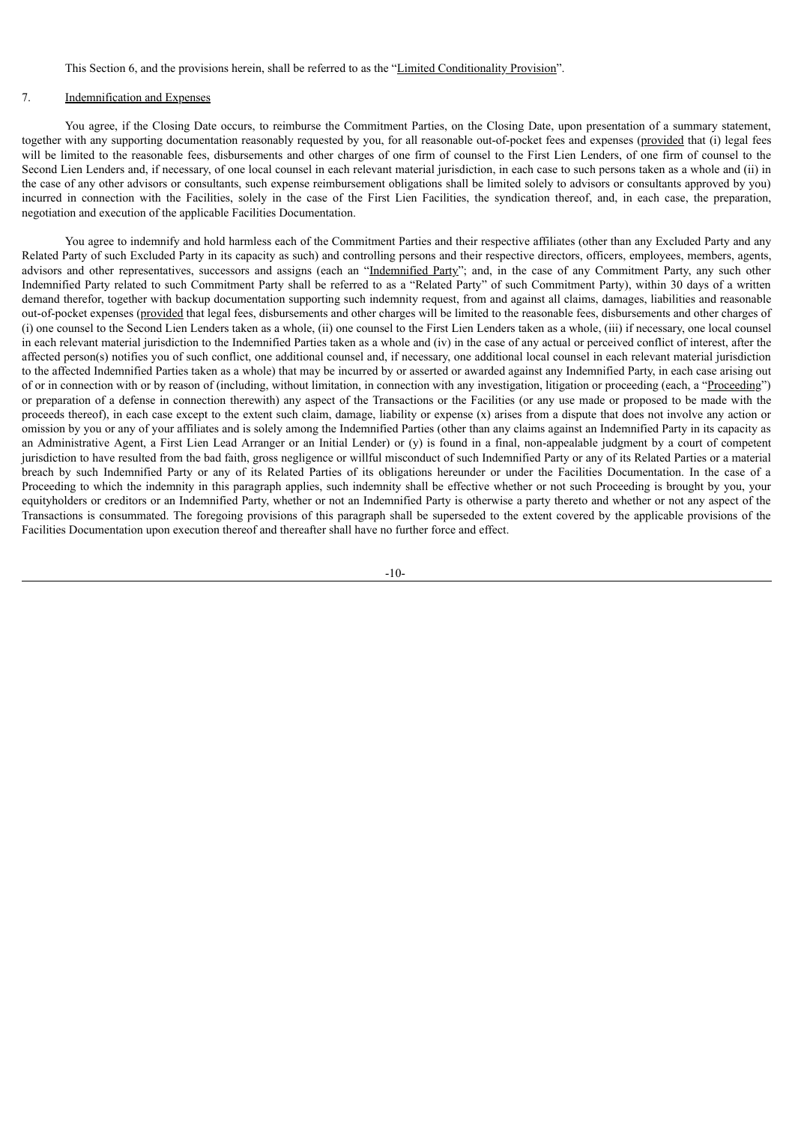This Section 6, and the provisions herein, shall be referred to as the "Limited Conditionality Provision".

## 7. Indemnification and Expenses

You agree, if the Closing Date occurs, to reimburse the Commitment Parties, on the Closing Date, upon presentation of a summary statement, together with any supporting documentation reasonably requested by you, for all reasonable out-of-pocket fees and expenses (provided that (i) legal fees will be limited to the reasonable fees, disbursements and other charges of one firm of counsel to the First Lien Lenders, of one firm of counsel to the Second Lien Lenders and, if necessary, of one local counsel in each relevant material jurisdiction, in each case to such persons taken as a whole and (ii) in the case of any other advisors or consultants, such expense reimbursement obligations shall be limited solely to advisors or consultants approved by you) incurred in connection with the Facilities, solely in the case of the First Lien Facilities, the syndication thereof, and, in each case, the preparation, negotiation and execution of the applicable Facilities Documentation.

You agree to indemnify and hold harmless each of the Commitment Parties and their respective affiliates (other than any Excluded Party and any Related Party of such Excluded Party in its capacity as such) and controlling persons and their respective directors, officers, employees, members, agents, advisors and other representatives, successors and assigns (each an "Indemnified Party"; and, in the case of any Commitment Party, any such other Indemnified Party related to such Commitment Party shall be referred to as a "Related Party" of such Commitment Party), within 30 days of a written demand therefor, together with backup documentation supporting such indemnity request, from and against all claims, damages, liabilities and reasonable out-of-pocket expenses (provided that legal fees, disbursements and other charges will be limited to the reasonable fees, disbursements and other charges of (i) one counsel to the Second Lien Lenders taken as a whole, (ii) one counsel to the First Lien Lenders taken as a whole, (iii) if necessary, one local counsel in each relevant material jurisdiction to the Indemnified Parties taken as a whole and (iv) in the case of any actual or perceived conflict of interest, after the affected person(s) notifies you of such conflict, one additional counsel and, if necessary, one additional local counsel in each relevant material jurisdiction to the affected Indemnified Parties taken as a whole) that may be incurred by or asserted or awarded against any Indemnified Party, in each case arising out of or in connection with or by reason of (including, without limitation, in connection with any investigation, litigation or proceeding (each, a "Proceeding") or preparation of a defense in connection therewith) any aspect of the Transactions or the Facilities (or any use made or proposed to be made with the proceeds thereof), in each case except to the extent such claim, damage, liability or expense (x) arises from a dispute that does not involve any action or omission by you or any of your affiliates and is solely among the Indemnified Parties (other than any claims against an Indemnified Party in its capacity as an Administrative Agent, a First Lien Lead Arranger or an Initial Lender) or (y) is found in a final, non-appealable judgment by a court of competent jurisdiction to have resulted from the bad faith, gross negligence or willful misconduct of such Indemnified Party or any of its Related Parties or a material breach by such Indemnified Party or any of its Related Parties of its obligations hereunder or under the Facilities Documentation. In the case of a Proceeding to which the indemnity in this paragraph applies, such indemnity shall be effective whether or not such Proceeding is brought by you, your equityholders or creditors or an Indemnified Party, whether or not an Indemnified Party is otherwise a party thereto and whether or not any aspect of the Transactions is consummated. The foregoing provisions of this paragraph shall be superseded to the extent covered by the applicable provisions of the Facilities Documentation upon execution thereof and thereafter shall have no further force and effect.

-10-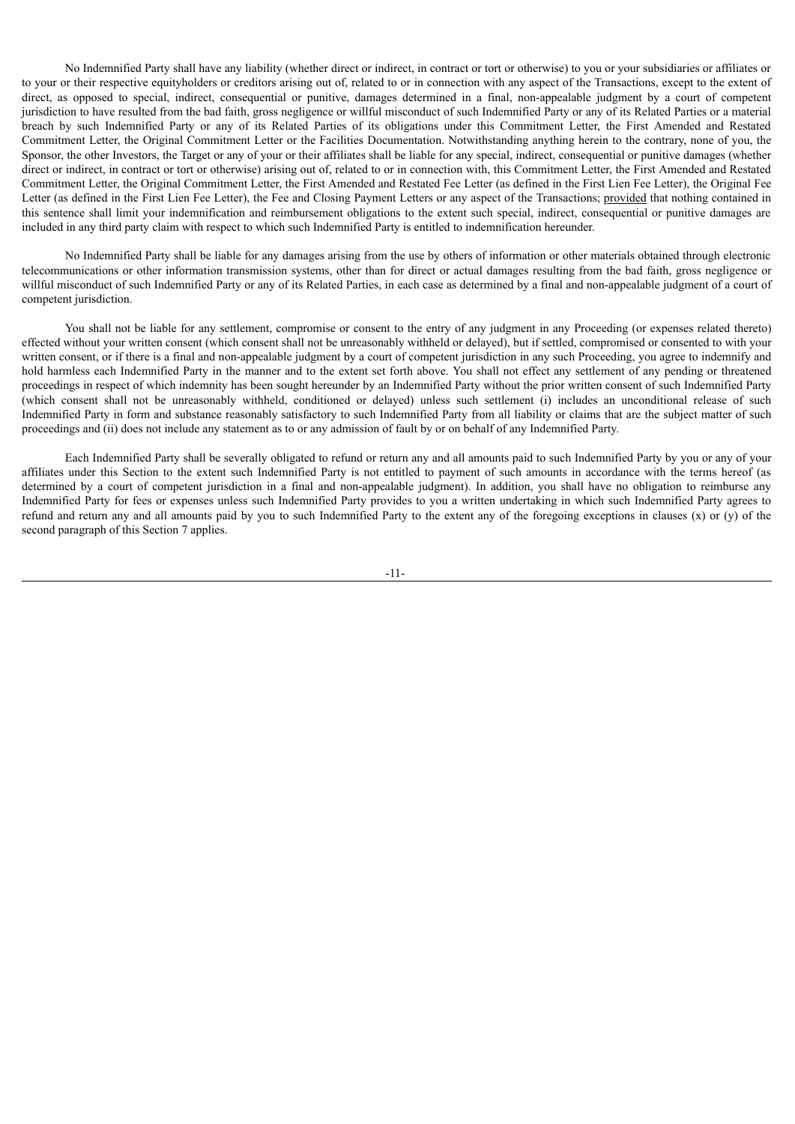No Indemnified Party shall have any liability (whether direct or indirect, in contract or tort or otherwise) to you or your subsidiaries or affiliates or to your or their respective equityholders or creditors arising out of, related to or in connection with any aspect of the Transactions, except to the extent of direct, as opposed to special, indirect, consequential or punitive, damages determined in a final, non-appealable judgment by a court of competent jurisdiction to have resulted from the bad faith, gross negligence or willful misconduct of such Indemnified Party or any of its Related Parties or a material breach by such Indemnified Party or any of its Related Parties of its obligations under this Commitment Letter, the First Amended and Restated Commitment Letter, the Original Commitment Letter or the Facilities Documentation. Notwithstanding anything herein to the contrary, none of you, the Sponsor, the other Investors, the Target or any of your or their affiliates shall be liable for any special, indirect, consequential or punitive damages (whether direct or indirect, in contract or tort or otherwise) arising out of, related to or in connection with, this Commitment Letter, the First Amended and Restated Commitment Letter, the Original Commitment Letter, the First Amended and Restated Fee Letter (as defined in the First Lien Fee Letter), the Original Fee Letter (as defined in the First Lien Fee Letter), the Fee and Closing Payment Letters or any aspect of the Transactions; provided that nothing contained in this sentence shall limit your indemnification and reimbursement obligations to the extent such special, indirect, consequential or punitive damages are included in any third party claim with respect to which such Indemnified Party is entitled to indemnification hereunder.

No Indemnified Party shall be liable for any damages arising from the use by others of information or other materials obtained through electronic telecommunications or other information transmission systems, other than for direct or actual damages resulting from the bad faith, gross negligence or willful misconduct of such Indemnified Party or any of its Related Parties, in each case as determined by a final and non-appealable judgment of a court of competent jurisdiction.

You shall not be liable for any settlement, compromise or consent to the entry of any judgment in any Proceeding (or expenses related thereto) effected without your written consent (which consent shall not be unreasonably withheld or delayed), but if settled, compromised or consented to with your written consent, or if there is a final and non-appealable judgment by a court of competent jurisdiction in any such Proceeding, you agree to indemnify and hold harmless each Indemnified Party in the manner and to the extent set forth above. You shall not effect any settlement of any pending or threatened proceedings in respect of which indemnity has been sought hereunder by an Indemnified Party without the prior written consent of such Indemnified Party (which consent shall not be unreasonably withheld, conditioned or delayed) unless such settlement (i) includes an unconditional release of such Indemnified Party in form and substance reasonably satisfactory to such Indemnified Party from all liability or claims that are the subject matter of such proceedings and (ii) does not include any statement as to or any admission of fault by or on behalf of any Indemnified Party.

Each Indemnified Party shall be severally obligated to refund or return any and all amounts paid to such Indemnified Party by you or any of your affiliates under this Section to the extent such Indemnified Party is not entitled to payment of such amounts in accordance with the terms hereof (as determined by a court of competent jurisdiction in a final and non-appealable judgment). In addition, you shall have no obligation to reimburse any Indemnified Party for fees or expenses unless such Indemnified Party provides to you a written undertaking in which such Indemnified Party agrees to refund and return any and all amounts paid by you to such Indemnified Party to the extent any of the foregoing exceptions in clauses  $(x)$  or  $(y)$  of the second paragraph of this Section 7 applies.

-11-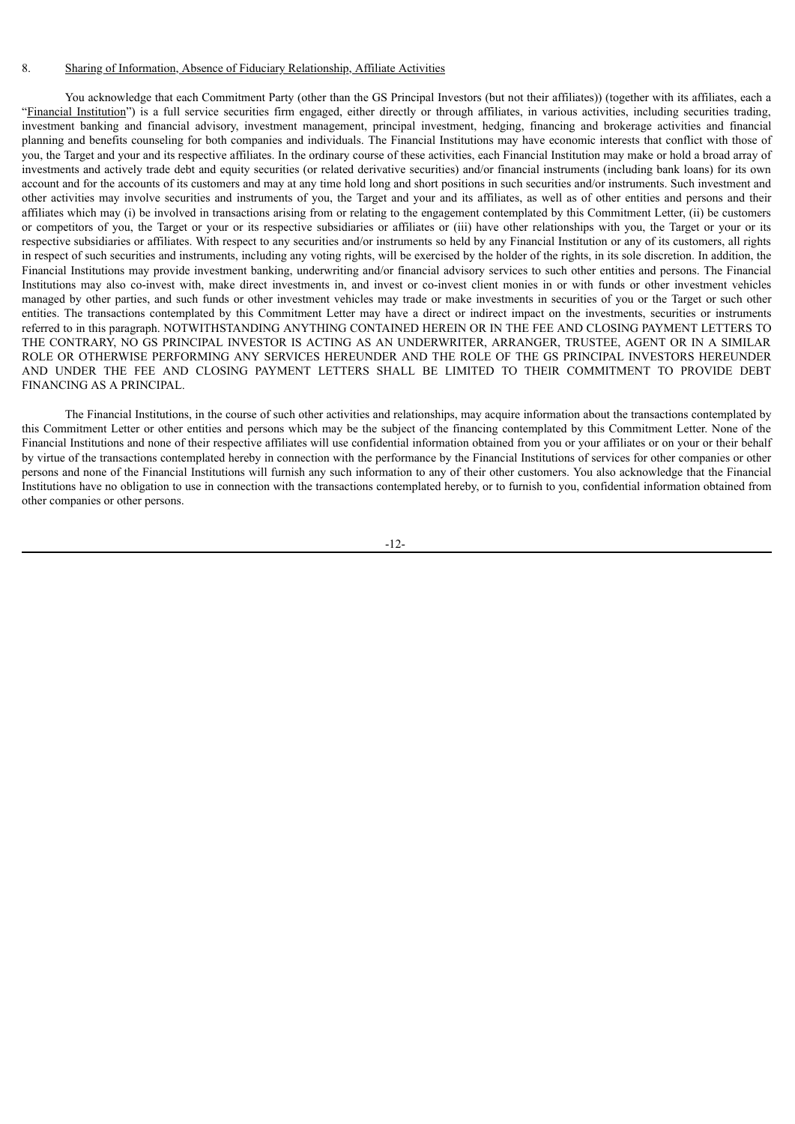#### 8. Sharing of Information, Absence of Fiduciary Relationship, Affiliate Activities

You acknowledge that each Commitment Party (other than the GS Principal Investors (but not their affiliates)) (together with its affiliates, each a "Financial Institution") is a full service securities firm engaged, either directly or through affiliates, in various activities, including securities trading, investment banking and financial advisory, investment management, principal investment, hedging, financing and brokerage activities and financial planning and benefits counseling for both companies and individuals. The Financial Institutions may have economic interests that conflict with those of you, the Target and your and its respective affiliates. In the ordinary course of these activities, each Financial Institution may make or hold a broad array of investments and actively trade debt and equity securities (or related derivative securities) and/or financial instruments (including bank loans) for its own account and for the accounts of its customers and may at any time hold long and short positions in such securities and/or instruments. Such investment and other activities may involve securities and instruments of you, the Target and your and its affiliates, as well as of other entities and persons and their affiliates which may (i) be involved in transactions arising from or relating to the engagement contemplated by this Commitment Letter, (ii) be customers or competitors of you, the Target or your or its respective subsidiaries or affiliates or (iii) have other relationships with you, the Target or your or its respective subsidiaries or affiliates. With respect to any securities and/or instruments so held by any Financial Institution or any of its customers, all rights in respect of such securities and instruments, including any voting rights, will be exercised by the holder of the rights, in its sole discretion. In addition, the Financial Institutions may provide investment banking, underwriting and/or financial advisory services to such other entities and persons. The Financial Institutions may also co-invest with, make direct investments in, and invest or co-invest client monies in or with funds or other investment vehicles managed by other parties, and such funds or other investment vehicles may trade or make investments in securities of you or the Target or such other entities. The transactions contemplated by this Commitment Letter may have a direct or indirect impact on the investments, securities or instruments referred to in this paragraph. NOTWITHSTANDING ANYTHING CONTAINED HEREIN OR IN THE FEE AND CLOSING PAYMENT LETTERS TO THE CONTRARY, NO GS PRINCIPAL INVESTOR IS ACTING AS AN UNDERWRITER, ARRANGER, TRUSTEE, AGENT OR IN A SIMILAR ROLE OR OTHERWISE PERFORMING ANY SERVICES HEREUNDER AND THE ROLE OF THE GS PRINCIPAL INVESTORS HEREUNDER AND UNDER THE FEE AND CLOSING PAYMENT LETTERS SHALL BE LIMITED TO THEIR COMMITMENT TO PROVIDE DEBT FINANCING AS A PRINCIPAL.

The Financial Institutions, in the course of such other activities and relationships, may acquire information about the transactions contemplated by this Commitment Letter or other entities and persons which may be the subject of the financing contemplated by this Commitment Letter. None of the Financial Institutions and none of their respective affiliates will use confidential information obtained from you or your affiliates or on your or their behalf by virtue of the transactions contemplated hereby in connection with the performance by the Financial Institutions of services for other companies or other persons and none of the Financial Institutions will furnish any such information to any of their other customers. You also acknowledge that the Financial Institutions have no obligation to use in connection with the transactions contemplated hereby, or to furnish to you, confidential information obtained from other companies or other persons.

-12-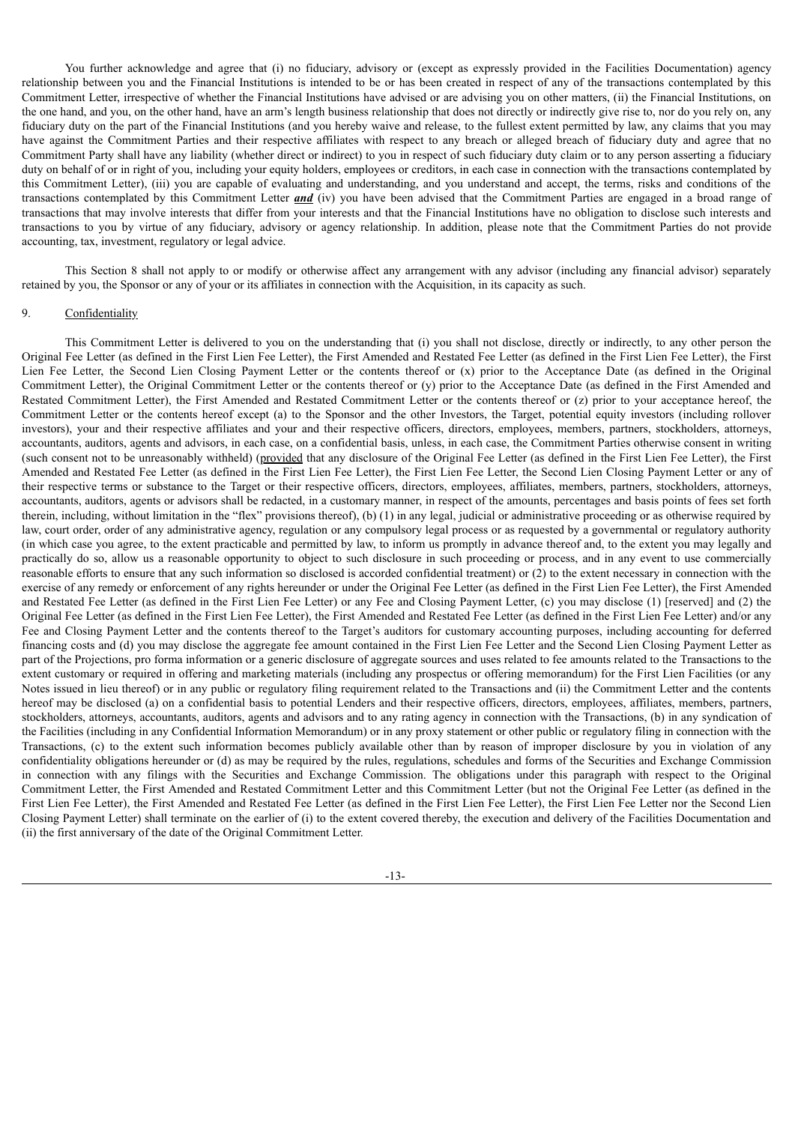You further acknowledge and agree that (i) no fiduciary, advisory or (except as expressly provided in the Facilities Documentation) agency relationship between you and the Financial Institutions is intended to be or has been created in respect of any of the transactions contemplated by this Commitment Letter, irrespective of whether the Financial Institutions have advised or are advising you on other matters, (ii) the Financial Institutions, on the one hand, and you, on the other hand, have an arm's length business relationship that does not directly or indirectly give rise to, nor do you rely on, any fiduciary duty on the part of the Financial Institutions (and you hereby waive and release, to the fullest extent permitted by law, any claims that you may have against the Commitment Parties and their respective affiliates with respect to any breach or alleged breach of fiduciary duty and agree that no Commitment Party shall have any liability (whether direct or indirect) to you in respect of such fiduciary duty claim or to any person asserting a fiduciary duty on behalf of or in right of you, including your equity holders, employees or creditors, in each case in connection with the transactions contemplated by this Commitment Letter), (iii) you are capable of evaluating and understanding, and you understand and accept, the terms, risks and conditions of the transactions contemplated by this Commitment Letter *and* (iv) you have been advised that the Commitment Parties are engaged in a broad range of transactions that may involve interests that differ from your interests and that the Financial Institutions have no obligation to disclose such interests and transactions to you by virtue of any fiduciary, advisory or agency relationship. In addition, please note that the Commitment Parties do not provide accounting, tax, investment, regulatory or legal advice.

This Section 8 shall not apply to or modify or otherwise affect any arrangement with any advisor (including any financial advisor) separately retained by you, the Sponsor or any of your or its affiliates in connection with the Acquisition, in its capacity as such.

## 9. Confidentiality

This Commitment Letter is delivered to you on the understanding that (i) you shall not disclose, directly or indirectly, to any other person the Original Fee Letter (as defined in the First Lien Fee Letter), the First Amended and Restated Fee Letter (as defined in the First Lien Fee Letter), the First Lien Fee Letter, the Second Lien Closing Payment Letter or the contents thereof or (x) prior to the Acceptance Date (as defined in the Original Commitment Letter), the Original Commitment Letter or the contents thereof or (y) prior to the Acceptance Date (as defined in the First Amended and Restated Commitment Letter), the First Amended and Restated Commitment Letter or the contents thereof or (z) prior to your acceptance hereof, the Commitment Letter or the contents hereof except (a) to the Sponsor and the other Investors, the Target, potential equity investors (including rollover investors), your and their respective affiliates and your and their respective officers, directors, employees, members, partners, stockholders, attorneys, accountants, auditors, agents and advisors, in each case, on a confidential basis, unless, in each case, the Commitment Parties otherwise consent in writing (such consent not to be unreasonably withheld) (provided that any disclosure of the Original Fee Letter (as defined in the First Lien Fee Letter), the First Amended and Restated Fee Letter (as defined in the First Lien Fee Letter), the First Lien Fee Letter, the Second Lien Closing Payment Letter or any of their respective terms or substance to the Target or their respective officers, directors, employees, affiliates, members, partners, stockholders, attorneys, accountants, auditors, agents or advisors shall be redacted, in a customary manner, in respect of the amounts, percentages and basis points of fees set forth therein, including, without limitation in the "flex" provisions thereof), (b) (1) in any legal, judicial or administrative proceeding or as otherwise required by law, court order, order of any administrative agency, regulation or any compulsory legal process or as requested by a governmental or regulatory authority (in which case you agree, to the extent practicable and permitted by law, to inform us promptly in advance thereof and, to the extent you may legally and practically do so, allow us a reasonable opportunity to object to such disclosure in such proceeding or process, and in any event to use commercially reasonable efforts to ensure that any such information so disclosed is accorded confidential treatment) or (2) to the extent necessary in connection with the exercise of any remedy or enforcement of any rights hereunder or under the Original Fee Letter (as defined in the First Lien Fee Letter), the First Amended and Restated Fee Letter (as defined in the First Lien Fee Letter) or any Fee and Closing Payment Letter, (c) you may disclose (1) [reserved] and (2) the Original Fee Letter (as defined in the First Lien Fee Letter), the First Amended and Restated Fee Letter (as defined in the First Lien Fee Letter) and/or any Fee and Closing Payment Letter and the contents thereof to the Target's auditors for customary accounting purposes, including accounting for deferred financing costs and (d) you may disclose the aggregate fee amount contained in the First Lien Fee Letter and the Second Lien Closing Payment Letter as part of the Projections, pro forma information or a generic disclosure of aggregate sources and uses related to fee amounts related to the Transactions to the extent customary or required in offering and marketing materials (including any prospectus or offering memorandum) for the First Lien Facilities (or any Notes issued in lieu thereof) or in any public or regulatory filing requirement related to the Transactions and (ii) the Commitment Letter and the contents hereof may be disclosed (a) on a confidential basis to potential Lenders and their respective officers, directors, employees, affiliates, members, partners, stockholders, attorneys, accountants, auditors, agents and advisors and to any rating agency in connection with the Transactions, (b) in any syndication of the Facilities (including in any Confidential Information Memorandum) or in any proxy statement or other public or regulatory filing in connection with the Transactions, (c) to the extent such information becomes publicly available other than by reason of improper disclosure by you in violation of any confidentiality obligations hereunder or (d) as may be required by the rules, regulations, schedules and forms of the Securities and Exchange Commission in connection with any filings with the Securities and Exchange Commission. The obligations under this paragraph with respect to the Original Commitment Letter, the First Amended and Restated Commitment Letter and this Commitment Letter (but not the Original Fee Letter (as defined in the First Lien Fee Letter), the First Amended and Restated Fee Letter (as defined in the First Lien Fee Letter), the First Lien Fee Letter nor the Second Lien Closing Payment Letter) shall terminate on the earlier of (i) to the extent covered thereby, the execution and delivery of the Facilities Documentation and (ii) the first anniversary of the date of the Original Commitment Letter.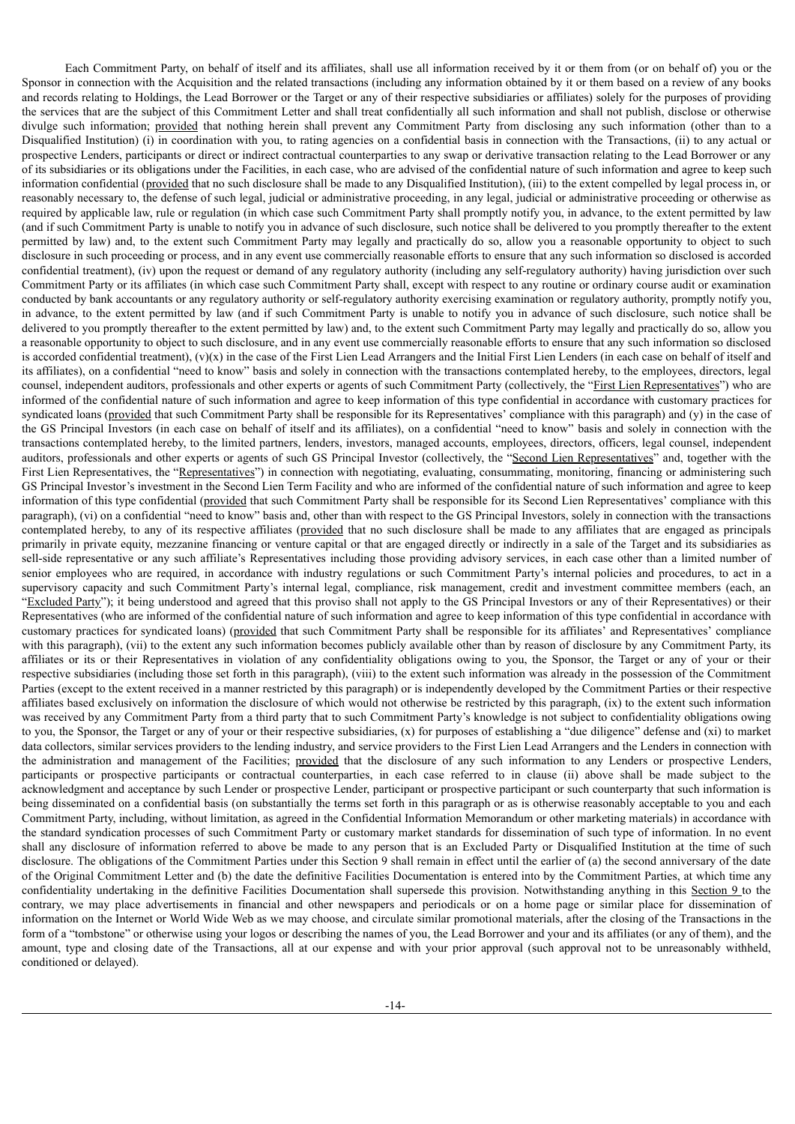Each Commitment Party, on behalf of itself and its affiliates, shall use all information received by it or them from (or on behalf of) you or the Sponsor in connection with the Acquisition and the related transactions (including any information obtained by it or them based on a review of any books and records relating to Holdings, the Lead Borrower or the Target or any of their respective subsidiaries or affiliates) solely for the purposes of providing the services that are the subject of this Commitment Letter and shall treat confidentially all such information and shall not publish, disclose or otherwise divulge such information; provided that nothing herein shall prevent any Commitment Party from disclosing any such information (other than to a Disqualified Institution) (i) in coordination with you, to rating agencies on a confidential basis in connection with the Transactions, (ii) to any actual or prospective Lenders, participants or direct or indirect contractual counterparties to any swap or derivative transaction relating to the Lead Borrower or any of its subsidiaries or its obligations under the Facilities, in each case, who are advised of the confidential nature of such information and agree to keep such information confidential (provided that no such disclosure shall be made to any Disqualified Institution), (iii) to the extent compelled by legal process in, or reasonably necessary to, the defense of such legal, judicial or administrative proceeding, in any legal, judicial or administrative proceeding or otherwise as required by applicable law, rule or regulation (in which case such Commitment Party shall promptly notify you, in advance, to the extent permitted by law (and if such Commitment Party is unable to notify you in advance of such disclosure, such notice shall be delivered to you promptly thereafter to the extent permitted by law) and, to the extent such Commitment Party may legally and practically do so, allow you a reasonable opportunity to object to such disclosure in such proceeding or process, and in any event use commercially reasonable efforts to ensure that any such information so disclosed is accorded confidential treatment), (iv) upon the request or demand of any regulatory authority (including any self-regulatory authority) having jurisdiction over such Commitment Party or its affiliates (in which case such Commitment Party shall, except with respect to any routine or ordinary course audit or examination conducted by bank accountants or any regulatory authority or self-regulatory authority exercising examination or regulatory authority, promptly notify you, in advance, to the extent permitted by law (and if such Commitment Party is unable to notify you in advance of such disclosure, such notice shall be delivered to you promptly thereafter to the extent permitted by law) and, to the extent such Commitment Party may legally and practically do so, allow you a reasonable opportunity to object to such disclosure, and in any event use commercially reasonable efforts to ensure that any such information so disclosed is accorded confidential treatment),  $(v)(x)$  in the case of the First Lien Lead Arrangers and the Initial First Lien Lenders (in each case on behalf of itself and its affiliates), on a confidential "need to know" basis and solely in connection with the transactions contemplated hereby, to the employees, directors, legal counsel, independent auditors, professionals and other experts or agents of such Commitment Party (collectively, the "First Lien Representatives") who are informed of the confidential nature of such information and agree to keep information of this type confidential in accordance with customary practices for syndicated loans (provided that such Commitment Party shall be responsible for its Representatives' compliance with this paragraph) and (y) in the case of the GS Principal Investors (in each case on behalf of itself and its affiliates), on a confidential "need to know" basis and solely in connection with the transactions contemplated hereby, to the limited partners, lenders, investors, managed accounts, employees, directors, officers, legal counsel, independent auditors, professionals and other experts or agents of such GS Principal Investor (collectively, the "Second Lien Representatives" and, together with the First Lien Representatives, the "Representatives") in connection with negotiating, evaluating, consummating, monitoring, financing or administering such GS Principal Investor's investment in the Second Lien Term Facility and who are informed of the confidential nature of such information and agree to keep information of this type confidential (provided that such Commitment Party shall be responsible for its Second Lien Representatives' compliance with this paragraph), (vi) on a confidential "need to know" basis and, other than with respect to the GS Principal Investors, solely in connection with the transactions contemplated hereby, to any of its respective affiliates (provided that no such disclosure shall be made to any affiliates that are engaged as principals primarily in private equity, mezzanine financing or venture capital or that are engaged directly or indirectly in a sale of the Target and its subsidiaries as sell-side representative or any such affiliate's Representatives including those providing advisory services, in each case other than a limited number of senior employees who are required, in accordance with industry regulations or such Commitment Party's internal policies and procedures, to act in a supervisory capacity and such Commitment Party's internal legal, compliance, risk management, credit and investment committee members (each, an "Excluded Party"); it being understood and agreed that this proviso shall not apply to the GS Principal Investors or any of their Representatives) or their Representatives (who are informed of the confidential nature of such information and agree to keep information of this type confidential in accordance with customary practices for syndicated loans) (provided that such Commitment Party shall be responsible for its affiliates' and Representatives' compliance with this paragraph), (vii) to the extent any such information becomes publicly available other than by reason of disclosure by any Commitment Party, its affiliates or its or their Representatives in violation of any confidentiality obligations owing to you, the Sponsor, the Target or any of your or their respective subsidiaries (including those set forth in this paragraph), (viii) to the extent such information was already in the possession of the Commitment Parties (except to the extent received in a manner restricted by this paragraph) or is independently developed by the Commitment Parties or their respective affiliates based exclusively on information the disclosure of which would not otherwise be restricted by this paragraph, (ix) to the extent such information was received by any Commitment Party from a third party that to such Commitment Party's knowledge is not subject to confidentiality obligations owing to you, the Sponsor, the Target or any of your or their respective subsidiaries, (x) for purposes of establishing a "due diligence" defense and (xi) to market data collectors, similar services providers to the lending industry, and service providers to the First Lien Lead Arrangers and the Lenders in connection with the administration and management of the Facilities; provided that the disclosure of any such information to any Lenders or prospective Lenders, participants or prospective participants or contractual counterparties, in each case referred to in clause (ii) above shall be made subject to the acknowledgment and acceptance by such Lender or prospective Lender, participant or prospective participant or such counterparty that such information is being disseminated on a confidential basis (on substantially the terms set forth in this paragraph or as is otherwise reasonably acceptable to you and each Commitment Party, including, without limitation, as agreed in the Confidential Information Memorandum or other marketing materials) in accordance with the standard syndication processes of such Commitment Party or customary market standards for dissemination of such type of information. In no event shall any disclosure of information referred to above be made to any person that is an Excluded Party or Disqualified Institution at the time of such disclosure. The obligations of the Commitment Parties under this Section 9 shall remain in effect until the earlier of (a) the second anniversary of the date of the Original Commitment Letter and (b) the date the definitive Facilities Documentation is entered into by the Commitment Parties, at which time any confidentiality undertaking in the definitive Facilities Documentation shall supersede this provision. Notwithstanding anything in this Section 9 to the contrary, we may place advertisements in financial and other newspapers and periodicals or on a home page or similar place for dissemination of information on the Internet or World Wide Web as we may choose, and circulate similar promotional materials, after the closing of the Transactions in the form of a "tombstone" or otherwise using your logos or describing the names of you, the Lead Borrower and your and its affiliates (or any of them), and the amount, type and closing date of the Transactions, all at our expense and with your prior approval (such approval not to be unreasonably withheld, conditioned or delayed).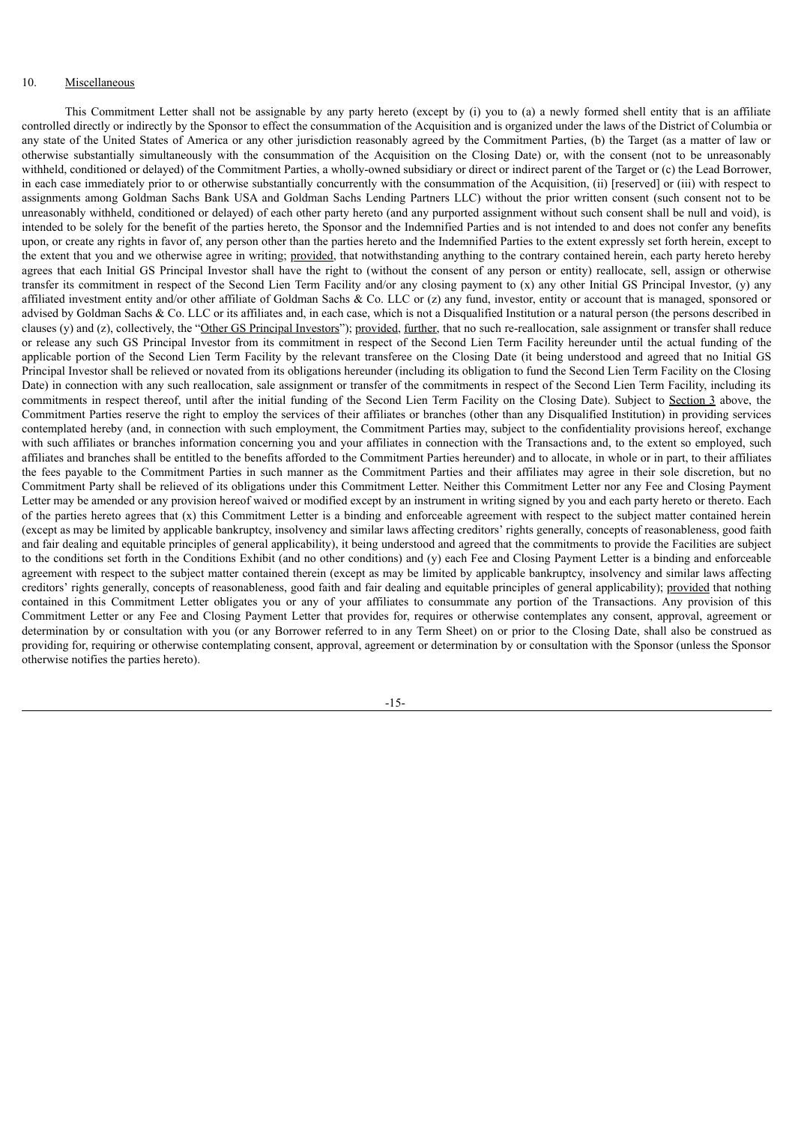## 10. Miscellaneous

This Commitment Letter shall not be assignable by any party hereto (except by (i) you to (a) a newly formed shell entity that is an affiliate controlled directly or indirectly by the Sponsor to effect the consummation of the Acquisition and is organized under the laws of the District of Columbia or any state of the United States of America or any other jurisdiction reasonably agreed by the Commitment Parties, (b) the Target (as a matter of law or otherwise substantially simultaneously with the consummation of the Acquisition on the Closing Date) or, with the consent (not to be unreasonably withheld, conditioned or delayed) of the Commitment Parties, a wholly-owned subsidiary or direct or indirect parent of the Target or (c) the Lead Borrower, in each case immediately prior to or otherwise substantially concurrently with the consummation of the Acquisition, (ii) [reserved] or (iii) with respect to assignments among Goldman Sachs Bank USA and Goldman Sachs Lending Partners LLC) without the prior written consent (such consent not to be unreasonably withheld, conditioned or delayed) of each other party hereto (and any purported assignment without such consent shall be null and void), is intended to be solely for the benefit of the parties hereto, the Sponsor and the Indemnified Parties and is not intended to and does not confer any benefits upon, or create any rights in favor of, any person other than the parties hereto and the Indemnified Parties to the extent expressly set forth herein, except to the extent that you and we otherwise agree in writing; provided, that notwithstanding anything to the contrary contained herein, each party hereto hereby agrees that each Initial GS Principal Investor shall have the right to (without the consent of any person or entity) reallocate, sell, assign or otherwise transfer its commitment in respect of the Second Lien Term Facility and/or any closing payment to (x) any other Initial GS Principal Investor, (y) any affiliated investment entity and/or other affiliate of Goldman Sachs  $\&$  Co. LLC or (z) any fund, investor, entity or account that is managed, sponsored or advised by Goldman Sachs & Co. LLC or its affiliates and, in each case, which is not a Disqualified Institution or a natural person (the persons described in clauses (y) and (z), collectively, the "Other GS Principal Investors"); provided, further, that no such re-reallocation, sale assignment or transfer shall reduce or release any such GS Principal Investor from its commitment in respect of the Second Lien Term Facility hereunder until the actual funding of the applicable portion of the Second Lien Term Facility by the relevant transferee on the Closing Date (it being understood and agreed that no Initial GS Principal Investor shall be relieved or novated from its obligations hereunder (including its obligation to fund the Second Lien Term Facility on the Closing Date) in connection with any such reallocation, sale assignment or transfer of the commitments in respect of the Second Lien Term Facility, including its commitments in respect thereof, until after the initial funding of the Second Lien Term Facility on the Closing Date). Subject to Section 3 above, the Commitment Parties reserve the right to employ the services of their affiliates or branches (other than any Disqualified Institution) in providing services contemplated hereby (and, in connection with such employment, the Commitment Parties may, subject to the confidentiality provisions hereof, exchange with such affiliates or branches information concerning you and your affiliates in connection with the Transactions and, to the extent so employed, such affiliates and branches shall be entitled to the benefits afforded to the Commitment Parties hereunder) and to allocate, in whole or in part, to their affiliates the fees payable to the Commitment Parties in such manner as the Commitment Parties and their affiliates may agree in their sole discretion, but no Commitment Party shall be relieved of its obligations under this Commitment Letter. Neither this Commitment Letter nor any Fee and Closing Payment Letter may be amended or any provision hereof waived or modified except by an instrument in writing signed by you and each party hereto or thereto. Each of the parties hereto agrees that (x) this Commitment Letter is a binding and enforceable agreement with respect to the subject matter contained herein (except as may be limited by applicable bankruptcy, insolvency and similar laws affecting creditors' rights generally, concepts of reasonableness, good faith and fair dealing and equitable principles of general applicability), it being understood and agreed that the commitments to provide the Facilities are subject to the conditions set forth in the Conditions Exhibit (and no other conditions) and (y) each Fee and Closing Payment Letter is a binding and enforceable agreement with respect to the subject matter contained therein (except as may be limited by applicable bankruptcy, insolvency and similar laws affecting creditors' rights generally, concepts of reasonableness, good faith and fair dealing and equitable principles of general applicability); provided that nothing contained in this Commitment Letter obligates you or any of your affiliates to consummate any portion of the Transactions. Any provision of this Commitment Letter or any Fee and Closing Payment Letter that provides for, requires or otherwise contemplates any consent, approval, agreement or determination by or consultation with you (or any Borrower referred to in any Term Sheet) on or prior to the Closing Date, shall also be construed as providing for, requiring or otherwise contemplating consent, approval, agreement or determination by or consultation with the Sponsor (unless the Sponsor otherwise notifies the parties hereto).

-15-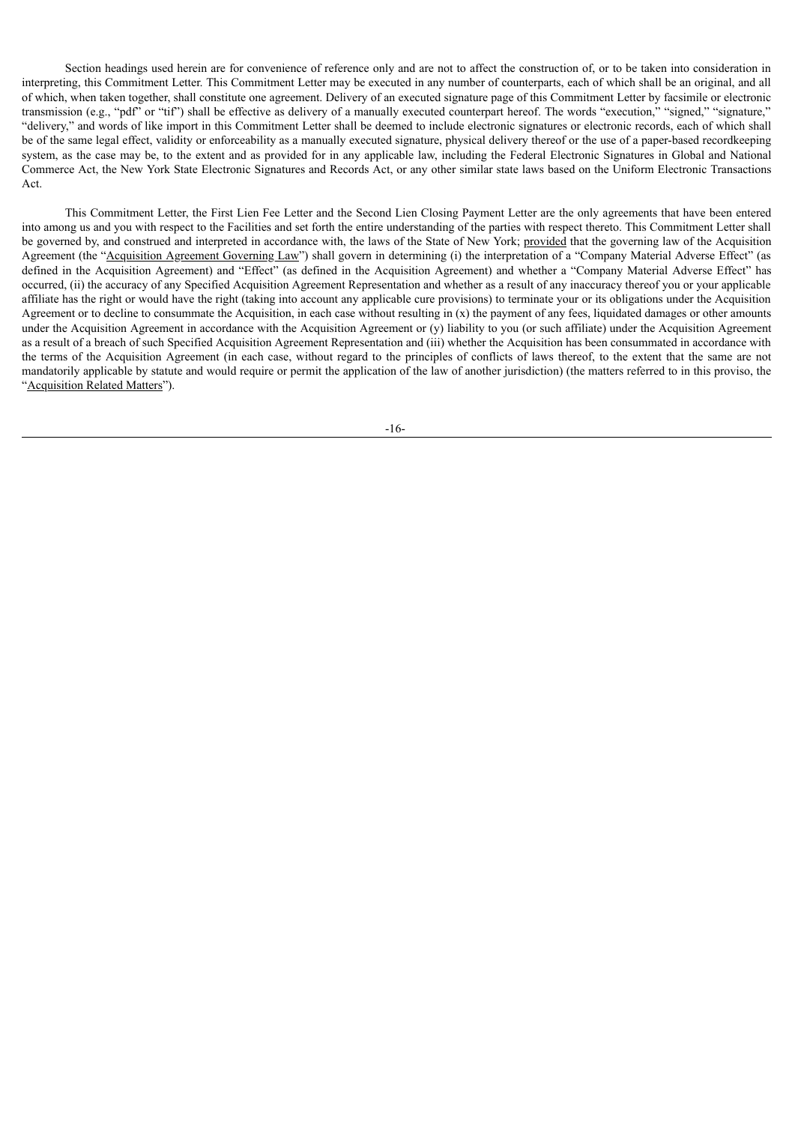Section headings used herein are for convenience of reference only and are not to affect the construction of, or to be taken into consideration in interpreting, this Commitment Letter. This Commitment Letter may be executed in any number of counterparts, each of which shall be an original, and all of which, when taken together, shall constitute one agreement. Delivery of an executed signature page of this Commitment Letter by facsimile or electronic transmission (e.g., "pdf" or "tif") shall be effective as delivery of a manually executed counterpart hereof. The words "execution," "signed," "signature," "delivery," and words of like import in this Commitment Letter shall be deemed to include electronic signatures or electronic records, each of which shall be of the same legal effect, validity or enforceability as a manually executed signature, physical delivery thereof or the use of a paper-based recordkeeping system, as the case may be, to the extent and as provided for in any applicable law, including the Federal Electronic Signatures in Global and National Commerce Act, the New York State Electronic Signatures and Records Act, or any other similar state laws based on the Uniform Electronic Transactions Act.

This Commitment Letter, the First Lien Fee Letter and the Second Lien Closing Payment Letter are the only agreements that have been entered into among us and you with respect to the Facilities and set forth the entire understanding of the parties with respect thereto. This Commitment Letter shall be governed by, and construed and interpreted in accordance with, the laws of the State of New York; provided that the governing law of the Acquisition Agreement (the "Acquisition Agreement Governing Law") shall govern in determining (i) the interpretation of a "Company Material Adverse Effect" (as defined in the Acquisition Agreement) and "Effect" (as defined in the Acquisition Agreement) and whether a "Company Material Adverse Effect" has occurred, (ii) the accuracy of any Specified Acquisition Agreement Representation and whether as a result of any inaccuracy thereof you or your applicable affiliate has the right or would have the right (taking into account any applicable cure provisions) to terminate your or its obligations under the Acquisition Agreement or to decline to consummate the Acquisition, in each case without resulting in  $(x)$  the payment of any fees, liquidated damages or other amounts under the Acquisition Agreement in accordance with the Acquisition Agreement or (y) liability to you (or such affiliate) under the Acquisition Agreement as a result of a breach of such Specified Acquisition Agreement Representation and (iii) whether the Acquisition has been consummated in accordance with the terms of the Acquisition Agreement (in each case, without regard to the principles of conflicts of laws thereof, to the extent that the same are not mandatorily applicable by statute and would require or permit the application of the law of another jurisdiction) (the matters referred to in this proviso, the "Acquisition Related Matters").

-16-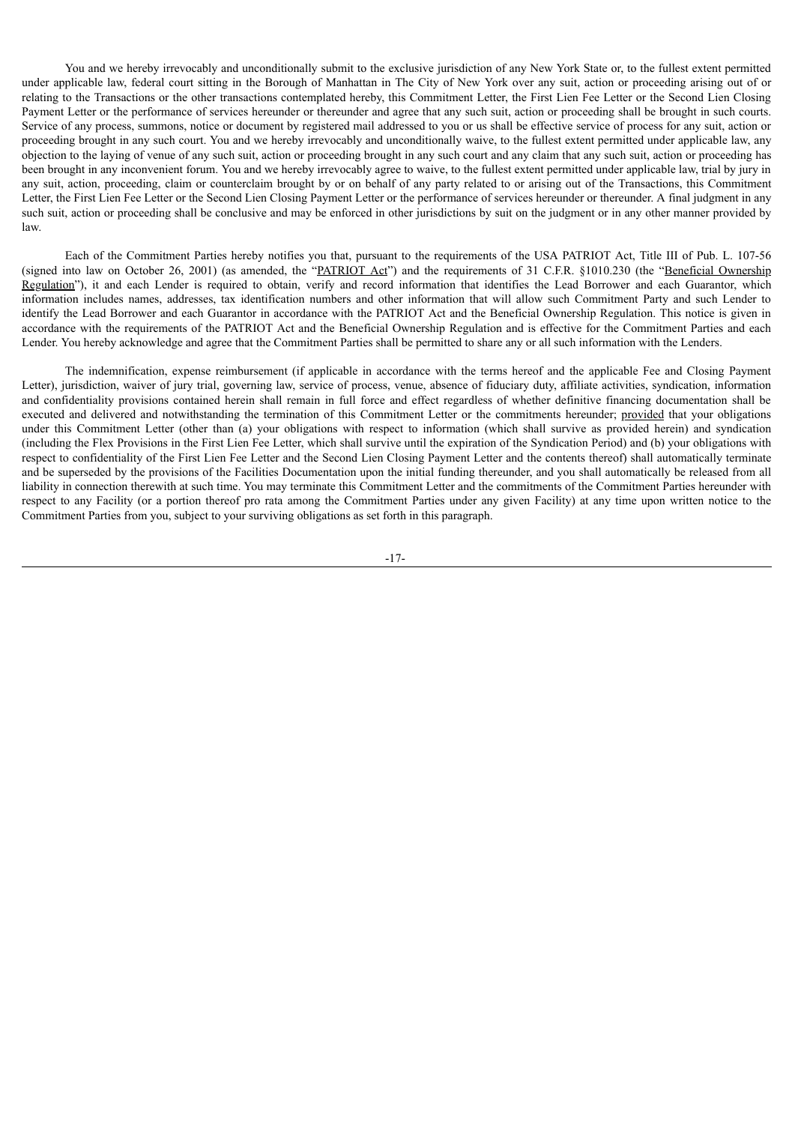You and we hereby irrevocably and unconditionally submit to the exclusive jurisdiction of any New York State or, to the fullest extent permitted under applicable law, federal court sitting in the Borough of Manhattan in The City of New York over any suit, action or proceeding arising out of or relating to the Transactions or the other transactions contemplated hereby, this Commitment Letter, the First Lien Fee Letter or the Second Lien Closing Payment Letter or the performance of services hereunder or thereunder and agree that any such suit, action or proceeding shall be brought in such courts. Service of any process, summons, notice or document by registered mail addressed to you or us shall be effective service of process for any suit, action or proceeding brought in any such court. You and we hereby irrevocably and unconditionally waive, to the fullest extent permitted under applicable law, any objection to the laying of venue of any such suit, action or proceeding brought in any such court and any claim that any such suit, action or proceeding has been brought in any inconvenient forum. You and we hereby irrevocably agree to waive, to the fullest extent permitted under applicable law, trial by jury in any suit, action, proceeding, claim or counterclaim brought by or on behalf of any party related to or arising out of the Transactions, this Commitment Letter, the First Lien Fee Letter or the Second Lien Closing Payment Letter or the performance of services hereunder or thereunder. A final judgment in any such suit, action or proceeding shall be conclusive and may be enforced in other jurisdictions by suit on the judgment or in any other manner provided by law.

Each of the Commitment Parties hereby notifies you that, pursuant to the requirements of the USA PATRIOT Act, Title III of Pub. L. 107-56 (signed into law on October 26, 2001) (as amended, the "PATRIOT Act") and the requirements of 31 C.F.R. §1010.230 (the "Beneficial Ownership Regulation"), it and each Lender is required to obtain, verify and record information that identifies the Lead Borrower and each Guarantor, which information includes names, addresses, tax identification numbers and other information that will allow such Commitment Party and such Lender to identify the Lead Borrower and each Guarantor in accordance with the PATRIOT Act and the Beneficial Ownership Regulation. This notice is given in accordance with the requirements of the PATRIOT Act and the Beneficial Ownership Regulation and is effective for the Commitment Parties and each Lender. You hereby acknowledge and agree that the Commitment Parties shall be permitted to share any or all such information with the Lenders.

The indemnification, expense reimbursement (if applicable in accordance with the terms hereof and the applicable Fee and Closing Payment Letter), jurisdiction, waiver of jury trial, governing law, service of process, venue, absence of fiduciary duty, affiliate activities, syndication, information and confidentiality provisions contained herein shall remain in full force and effect regardless of whether definitive financing documentation shall be executed and delivered and notwithstanding the termination of this Commitment Letter or the commitments hereunder; provided that your obligations under this Commitment Letter (other than (a) your obligations with respect to information (which shall survive as provided herein) and syndication (including the Flex Provisions in the First Lien Fee Letter, which shall survive until the expiration of the Syndication Period) and (b) your obligations with respect to confidentiality of the First Lien Fee Letter and the Second Lien Closing Payment Letter and the contents thereof) shall automatically terminate and be superseded by the provisions of the Facilities Documentation upon the initial funding thereunder, and you shall automatically be released from all liability in connection therewith at such time. You may terminate this Commitment Letter and the commitments of the Commitment Parties hereunder with respect to any Facility (or a portion thereof pro rata among the Commitment Parties under any given Facility) at any time upon written notice to the Commitment Parties from you, subject to your surviving obligations as set forth in this paragraph.

-17-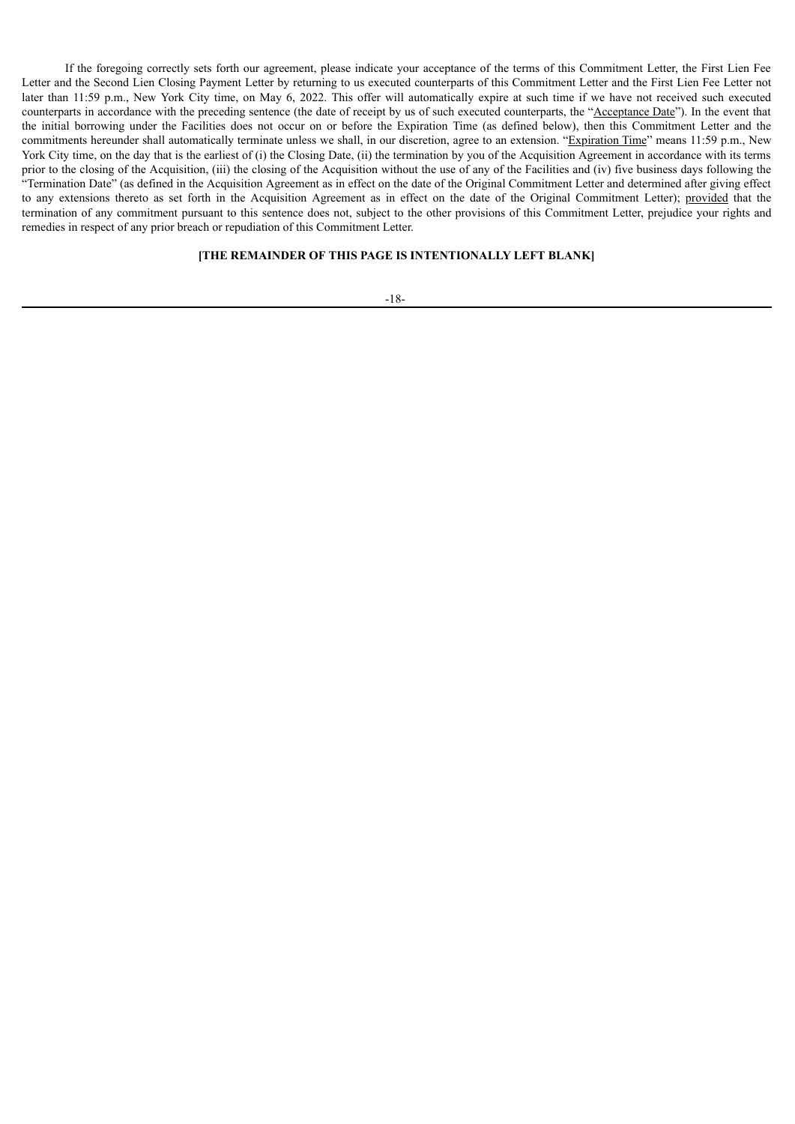If the foregoing correctly sets forth our agreement, please indicate your acceptance of the terms of this Commitment Letter, the First Lien Fee Letter and the Second Lien Closing Payment Letter by returning to us executed counterparts of this Commitment Letter and the First Lien Fee Letter not later than 11:59 p.m., New York City time, on May 6, 2022. This offer will automatically expire at such time if we have not received such executed counterparts in accordance with the preceding sentence (the date of receipt by us of such executed counterparts, the "Acceptance Date"). In the event that the initial borrowing under the Facilities does not occur on or before the Expiration Time (as defined below), then this Commitment Letter and the commitments hereunder shall automatically terminate unless we shall, in our discretion, agree to an extension. "Expiration Time" means 11:59 p.m., New York City time, on the day that is the earliest of (i) the Closing Date, (ii) the termination by you of the Acquisition Agreement in accordance with its terms prior to the closing of the Acquisition, (iii) the closing of the Acquisition without the use of any of the Facilities and (iv) five business days following the "Termination Date" (as defined in the Acquisition Agreement as in effect on the date of the Original Commitment Letter and determined after giving effect to any extensions thereto as set forth in the Acquisition Agreement as in effect on the date of the Original Commitment Letter); provided that the termination of any commitment pursuant to this sentence does not, subject to the other provisions of this Commitment Letter, prejudice your rights and remedies in respect of any prior breach or repudiation of this Commitment Letter.

## **[THE REMAINDER OF THIS PAGE IS INTENTIONALLY LEFT BLANK]**

#### -18-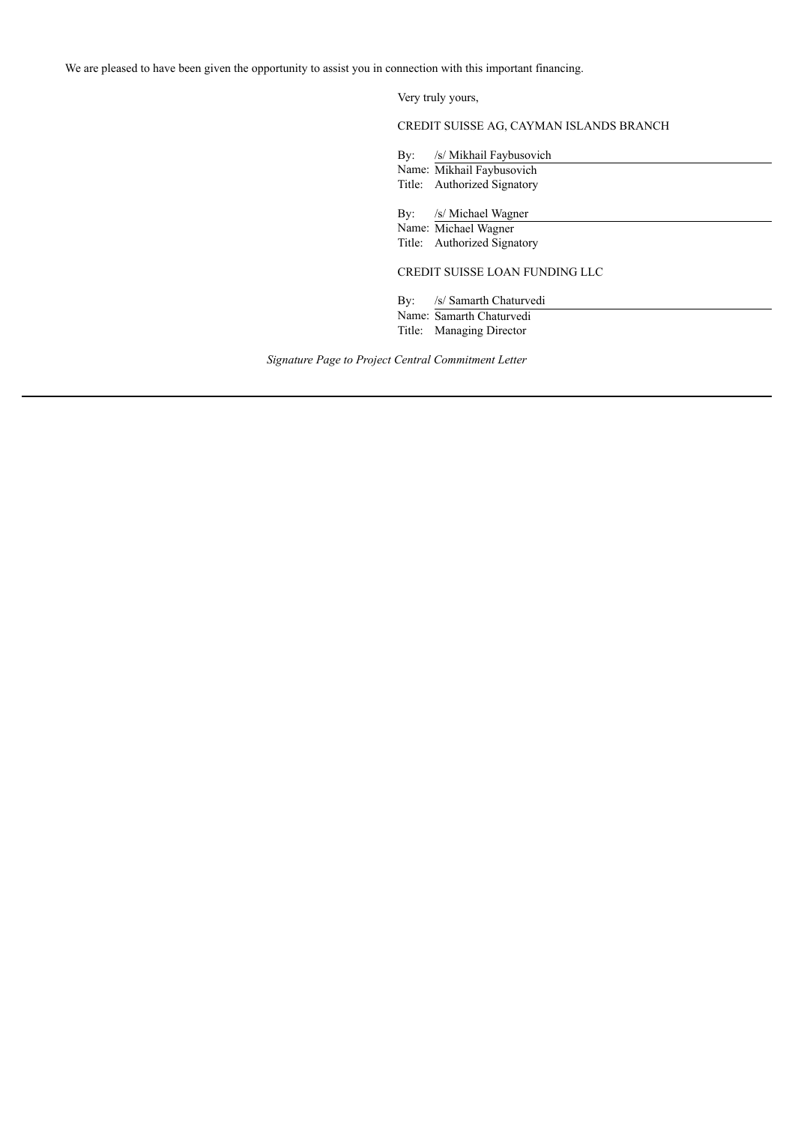Very truly yours,

CREDIT SUISSE AG, CAYMAN ISLANDS BRANCH

By: /s/ Mikhail Faybusovich

Name: Mikhail Faybusovich Title: Authorized Signatory

By: /s/ Michael Wagner

Name: Michael Wagner Title: Authorized Signatory

CREDIT SUISSE LOAN FUNDING LLC

By: /s/ Samarth Chaturvedi

Name: Samarth Chaturvedi Title: Managing Director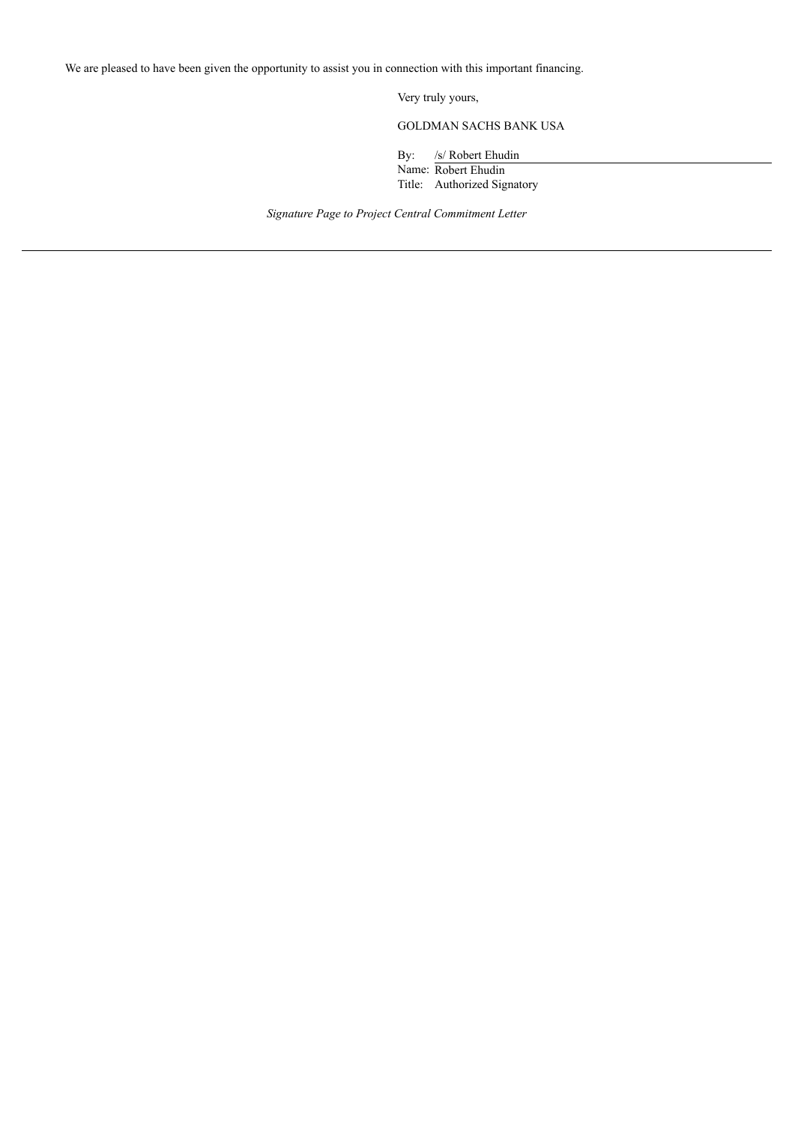Very truly yours,

GOLDMAN SACHS BANK USA

By: /s/ Robert Ehudin

Name: Robert Ehudin Title: Authorized Signatory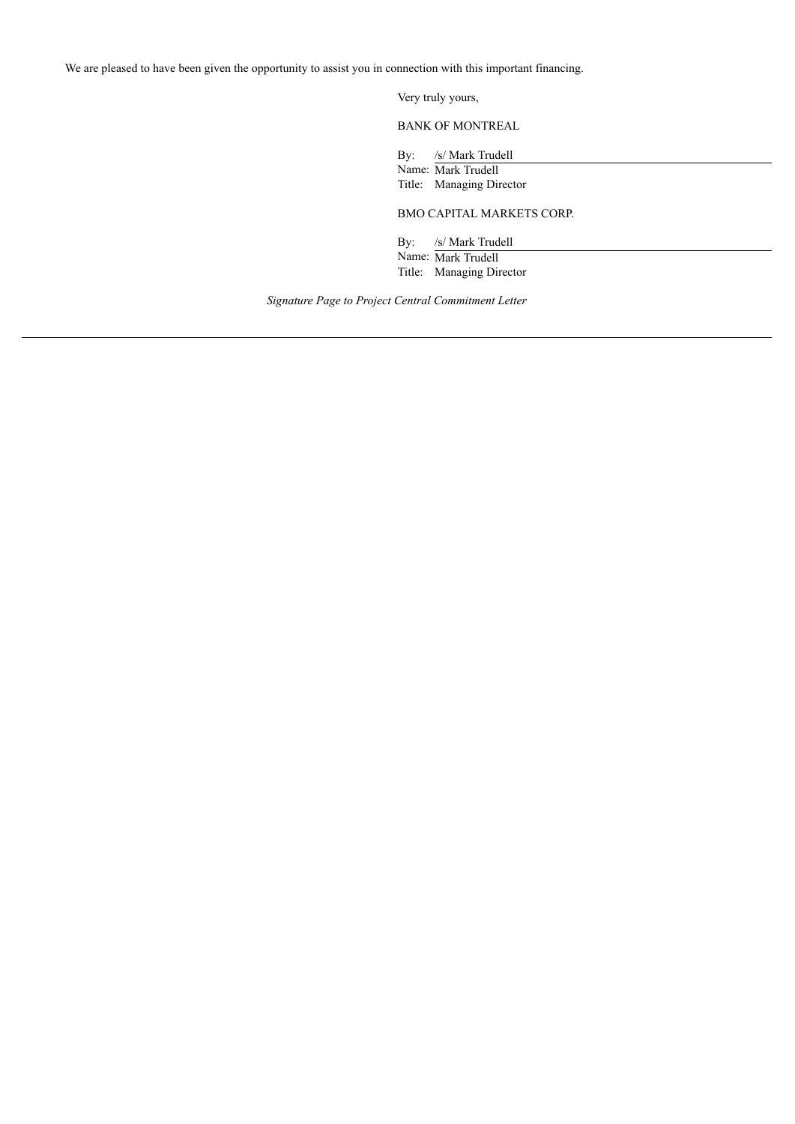Very truly yours,

BANK OF MONTREAL

By: /s/ Mark Trudell

Name: Mark Trudell Title: Managing Director

BMO CAPITAL MARKETS CORP.

By: /s/ Mark Trudell

Name: Mark Trudell Title: Managing Director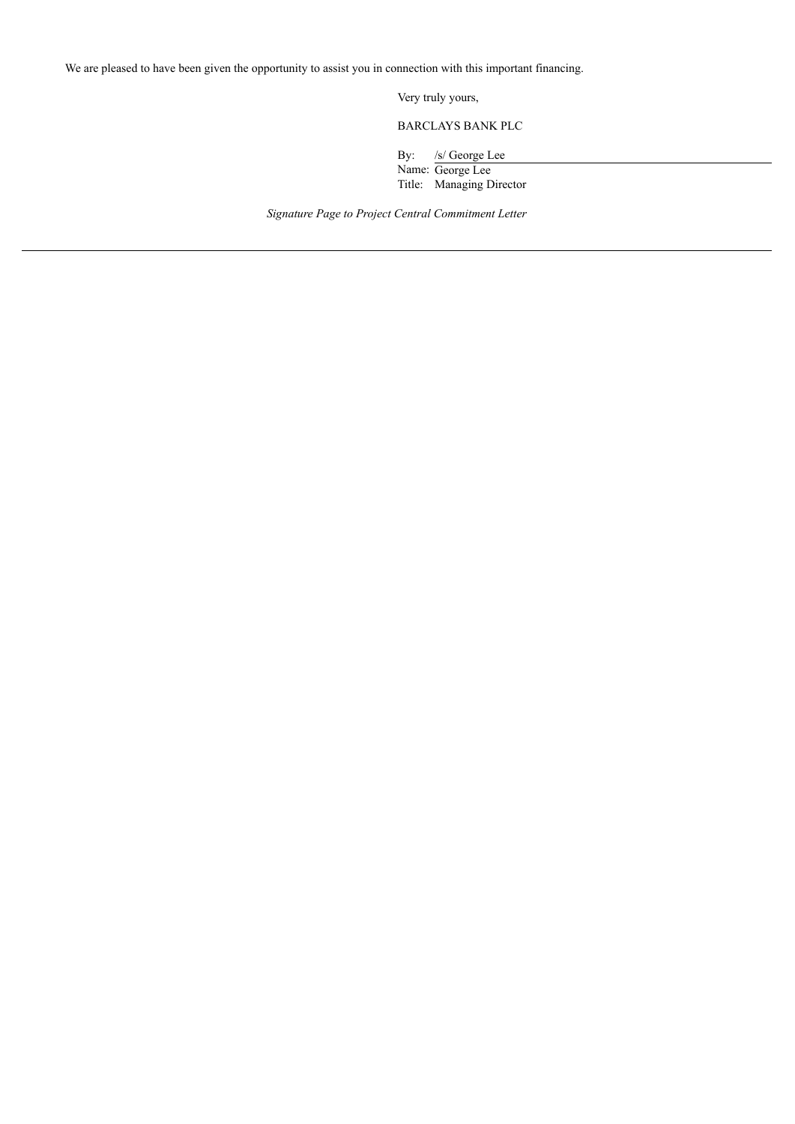Very truly yours,

BARCLAYS BANK PLC

By: /s/ George Lee

Name: George Lee Title: Managing Director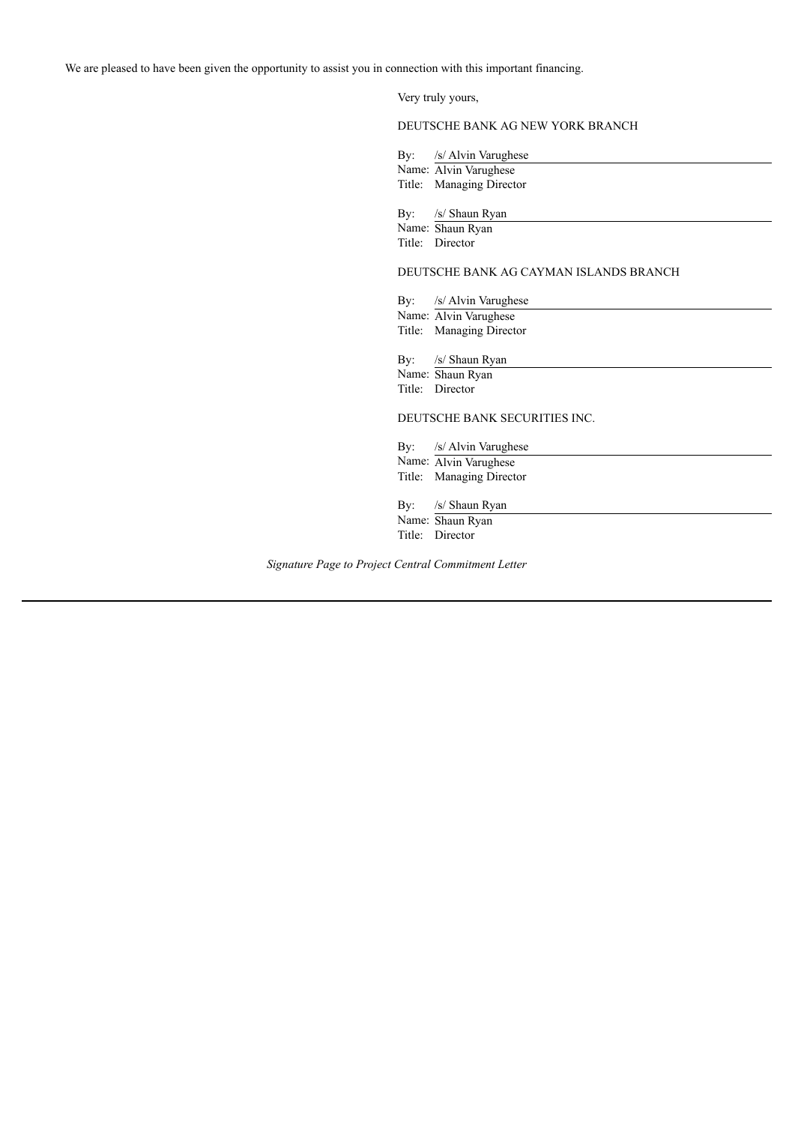Very truly yours,

## DEUTSCHE BANK AG NEW YORK BRANCH

By: /s/ Alvin Varughese Name: Alvin Varughese Title: Managing Director

By: /s/ Shaun Ryan

Name: Shaun Ryan Title: Director

#### DEUTSCHE BANK AG CAYMAN ISLANDS BRANCH

By: /s/ Alvin Varughese

Name: Alvin Varughese Title: Managing Director

By: /s/ Shaun Ryan

Name: Shaun Ryan Title: Director

## DEUTSCHE BANK SECURITIES INC.

By: /s/ Alvin Varughese Name: Alvin Varughese Title: Managing Director

By: /s/ Shaun Ryan

Name: Shaun Ryan Title: Director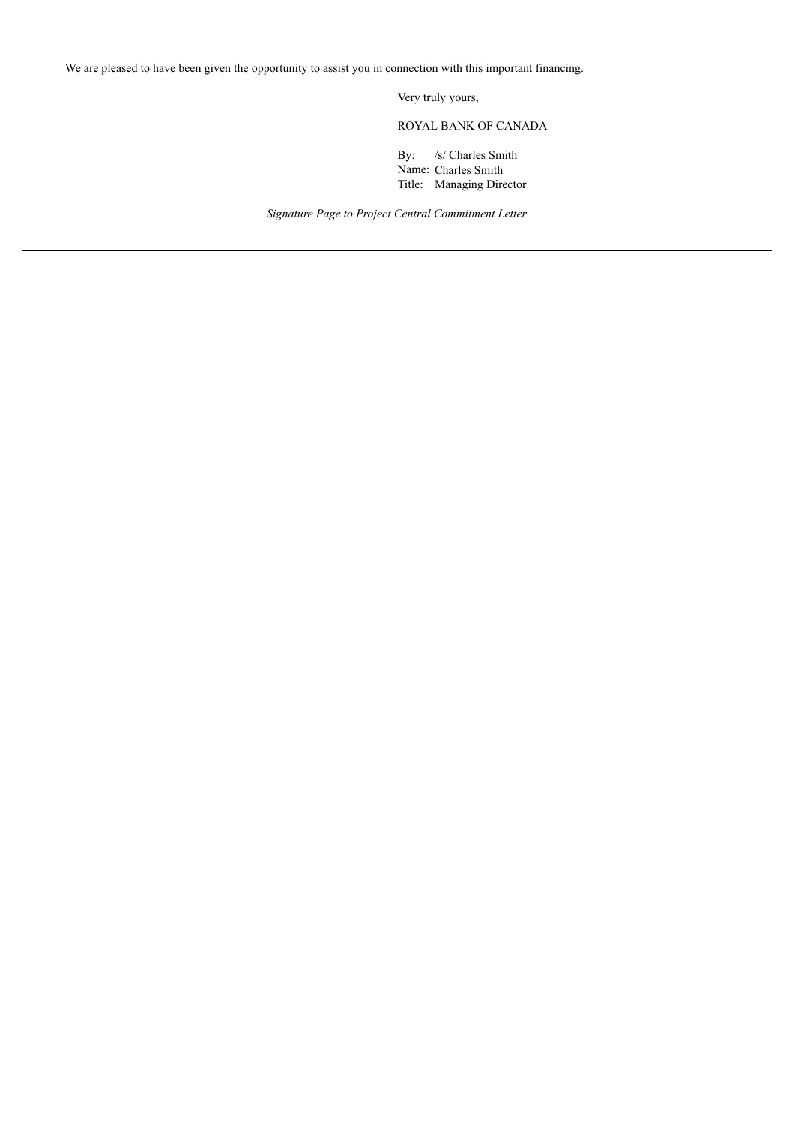Very truly yours,

ROYAL BANK OF CANADA

By: /s/ Charles Smith

Name: Charles Smith Title: Managing Director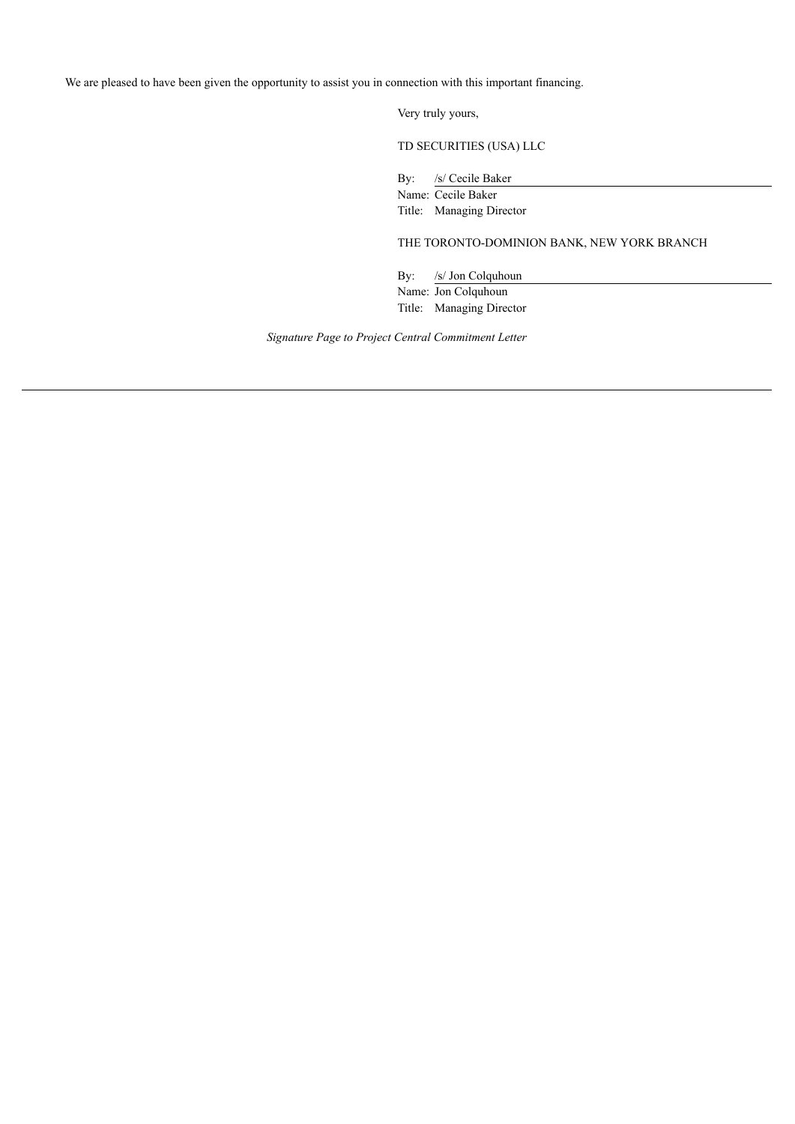Very truly yours,

TD SECURITIES (USA) LLC

By: /s/ Cecile Baker

Name: Cecile Baker

Title: Managing Director

THE TORONTO-DOMINION BANK, NEW YORK BRANCH

By: /s/ Jon Colquhoun Name: Jon Colquhoun Title: Managing Director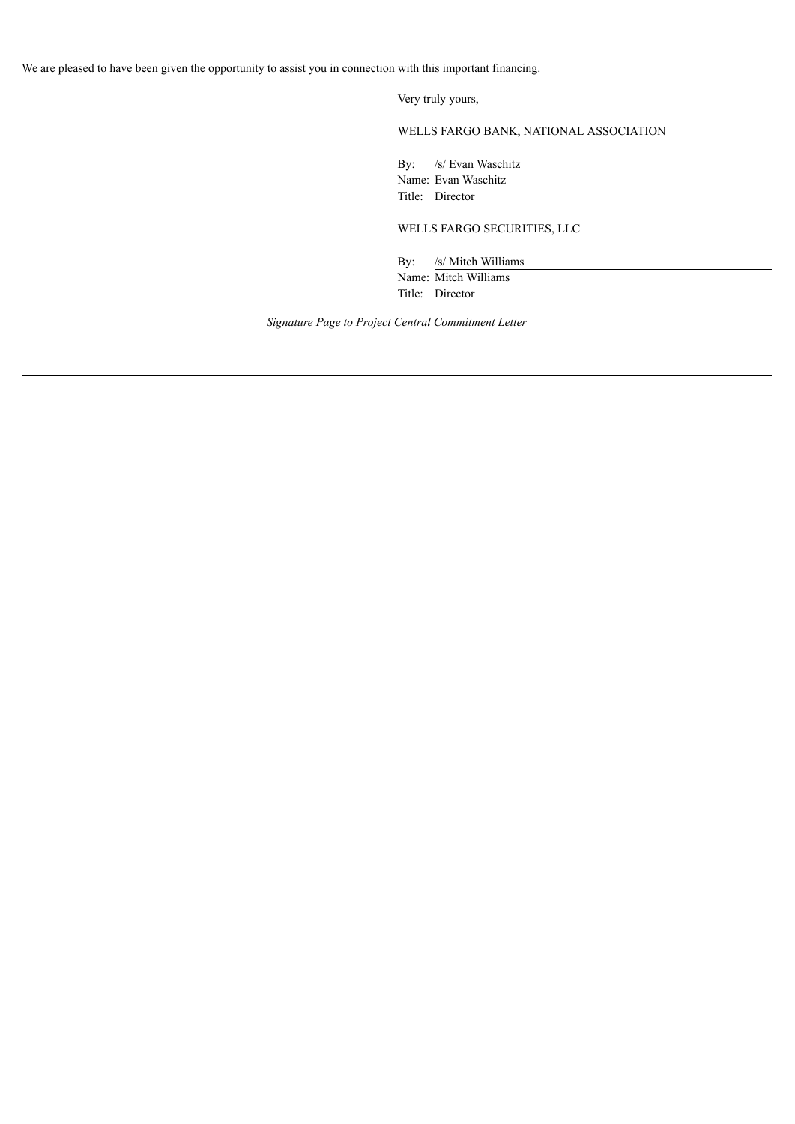Very truly yours,

WELLS FARGO BANK, NATIONAL ASSOCIATION

By: /s/ Evan Waschitz Name: Evan Waschitz

Title: Director

WELLS FARGO SECURITIES, LLC

By: /s/ Mitch Williams Name: Mitch Williams Title: Director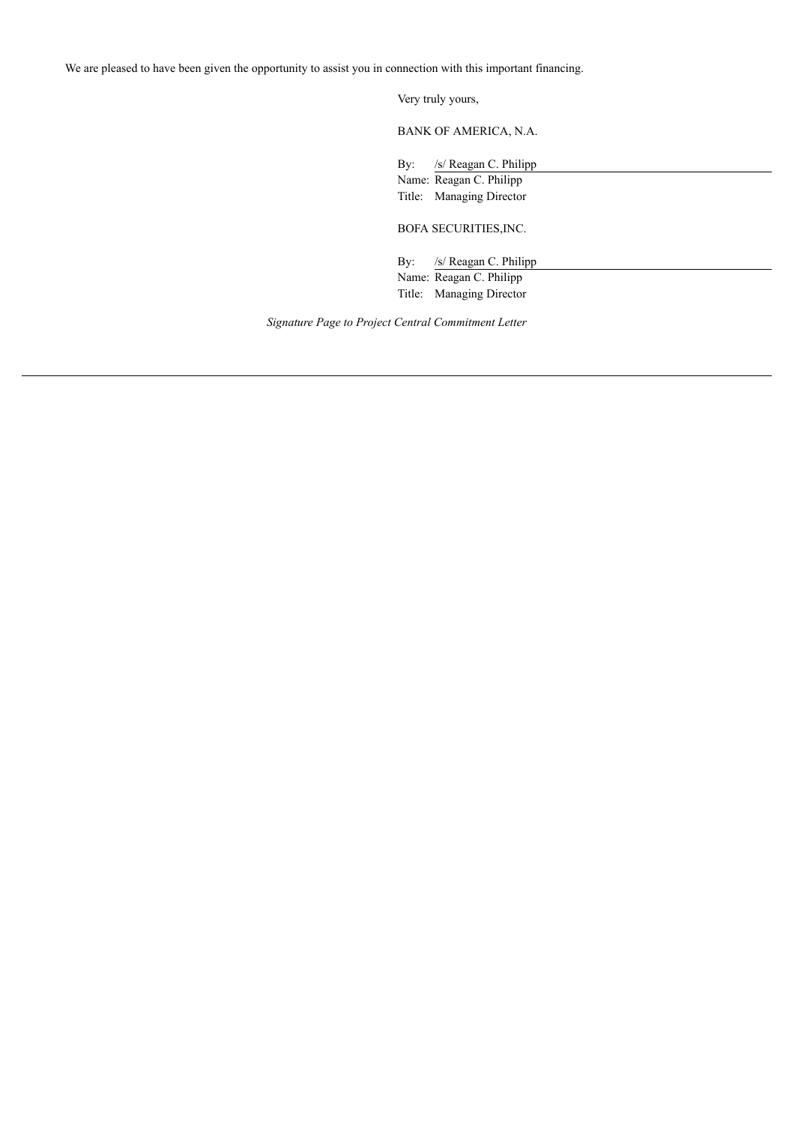Very truly yours,

BANK OF AMERICA, N.A.

By: /s/ Reagan C. Philipp Name: Reagan C. Philipp

Title: Managing Director

BOFA SECURITIES,INC.

By: /s/ Reagan C. Philipp Name: Reagan C. Philipp Title: Managing Director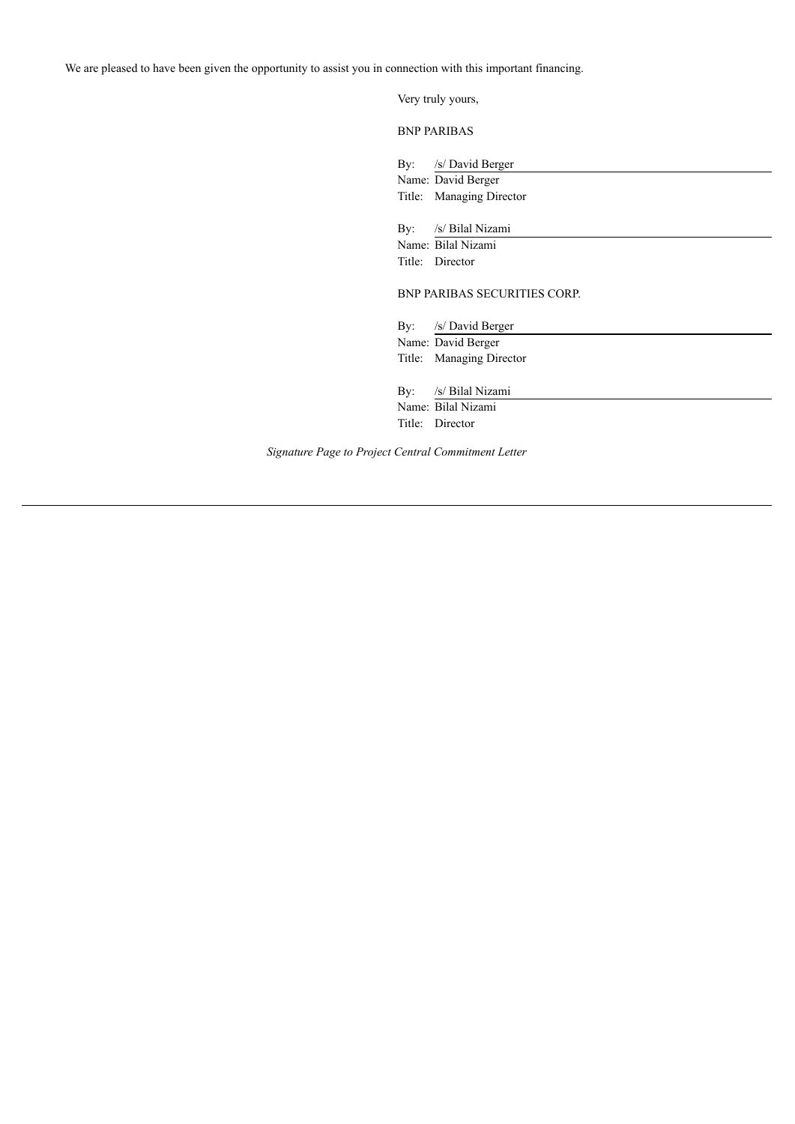|     | Very truly yours,                              |
|-----|------------------------------------------------|
|     | <b>BNP PARIBAS</b>                             |
|     | By: /s/ David Berger                           |
|     | Name: David Berger<br>Title: Managing Director |
|     | By: /s/ Bilal Nizami                           |
|     | Name: Bilal Nizami                             |
|     | Title: Director                                |
|     | <b>BNP PARIBAS SECURITIES CORP.</b>            |
|     | By: /s/ David Berger                           |
|     | Name: David Berger                             |
|     | Title: Managing Director                       |
| By: | /s/ Bilal Nizami                               |
|     | Name: Bilal Nizami                             |
|     | Title: Director                                |
|     |                                                |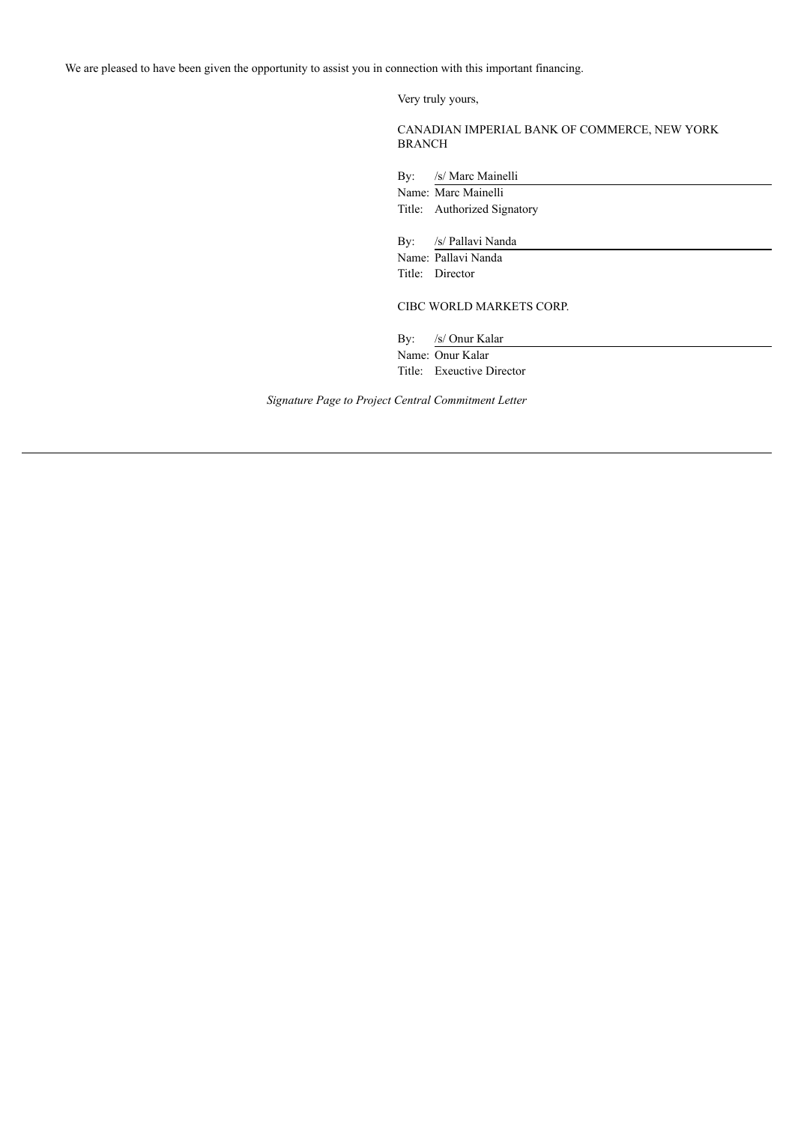Very truly yours,

CANADIAN IMPERIAL BANK OF COMMERCE, NEW YORK BRANCH

By: /s/ Marc Mainelli

Name: Marc Mainelli Title: Authorized Signatory By: /s/ Pallavi Nanda Name: Pallavi Nanda

Title: Director

CIBC WORLD MARKETS CORP.

By: /s/ Onur Kalar

Name: Onur Kalar Title: Exeuctive Director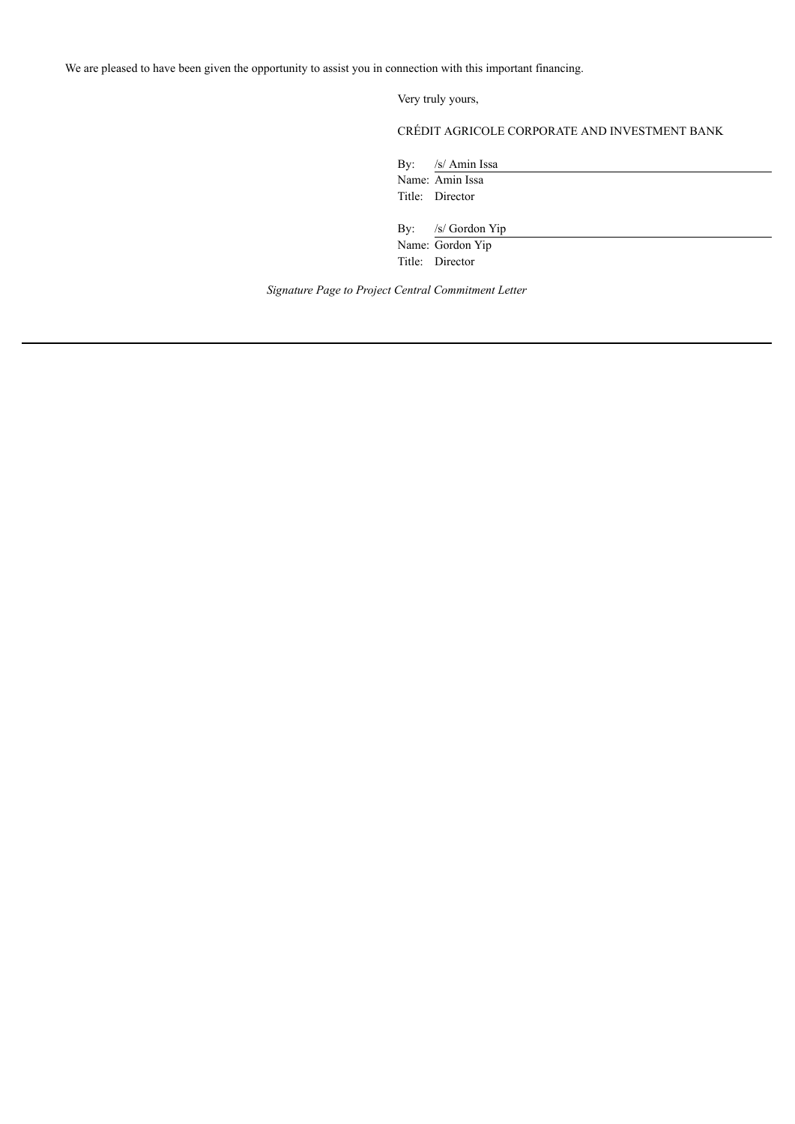Very truly yours,

## CRÉDIT AGRICOLE CORPORATE AND INVESTMENT BANK

By: /s/ Amin Issa Name: Amin Issa Title: Director

By: /s/ Gordon Yip Name: Gordon Yip Title: Director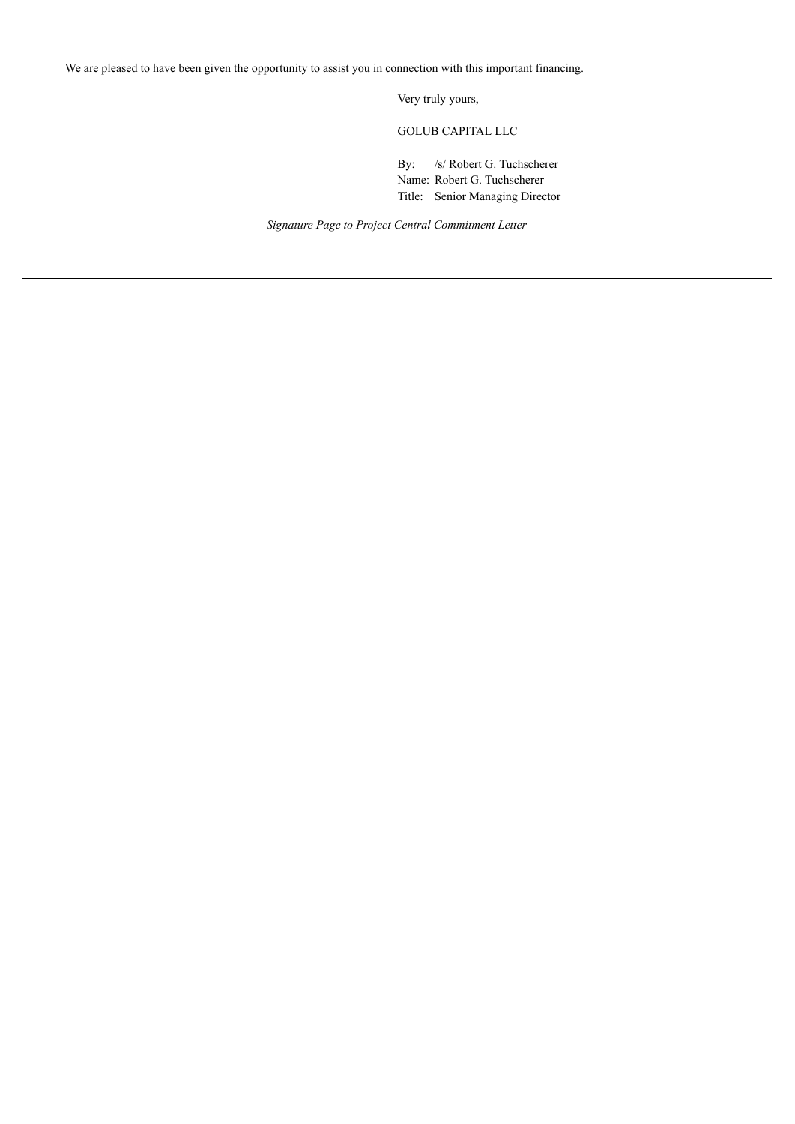Very truly yours,

GOLUB CAPITAL LLC

By: /s/ Robert G. Tuchscherer Name: Robert G. Tuchscherer Title: Senior Managing Director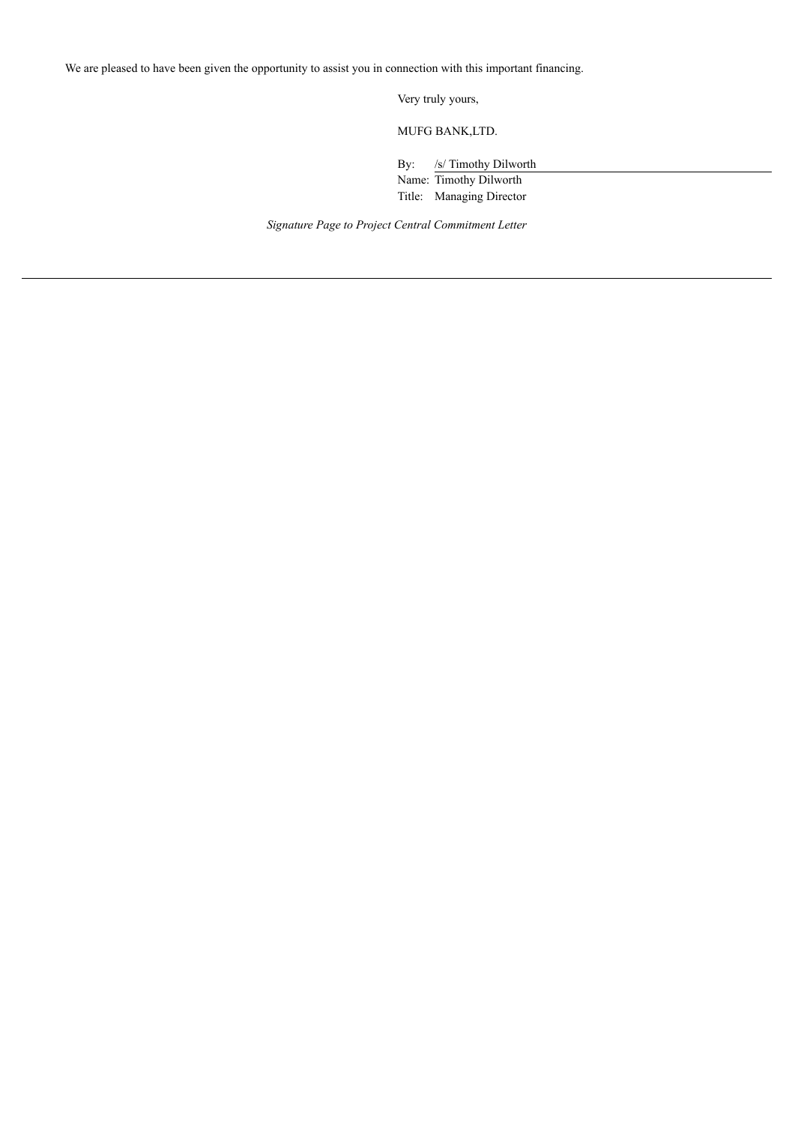Very truly yours,

MUFG BANK,LTD.

By: /s/ Timothy Dilworth

Name: Timothy Dilworth Title: Managing Director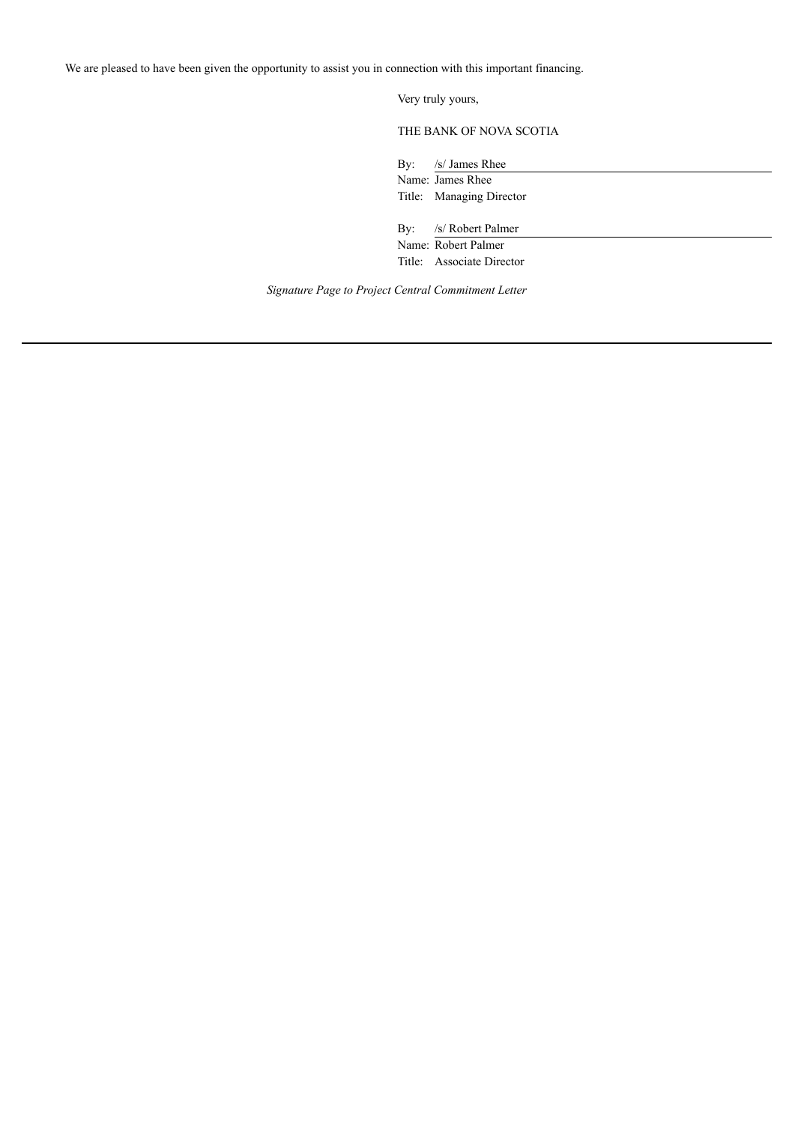Very truly yours,

THE BANK OF NOVA SCOTIA

By: /s/ James Rhee Name: James Rhee Title: Managing Director

By: /s/ Robert Palmer Name: Robert Palmer Title: Associate Director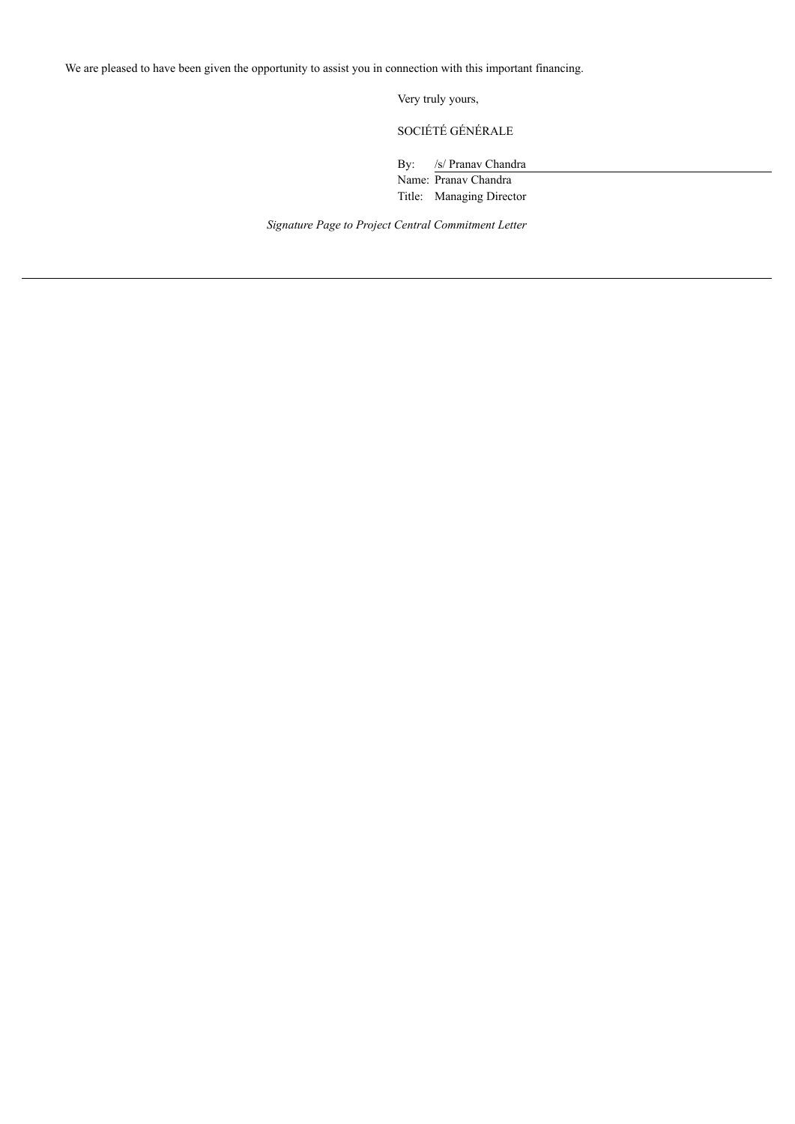Very truly yours,

SOCIÉTÉ GÉNÉRALE

By: /s/ Pranav Chandra

Name: Pranav Chandra Title: Managing Director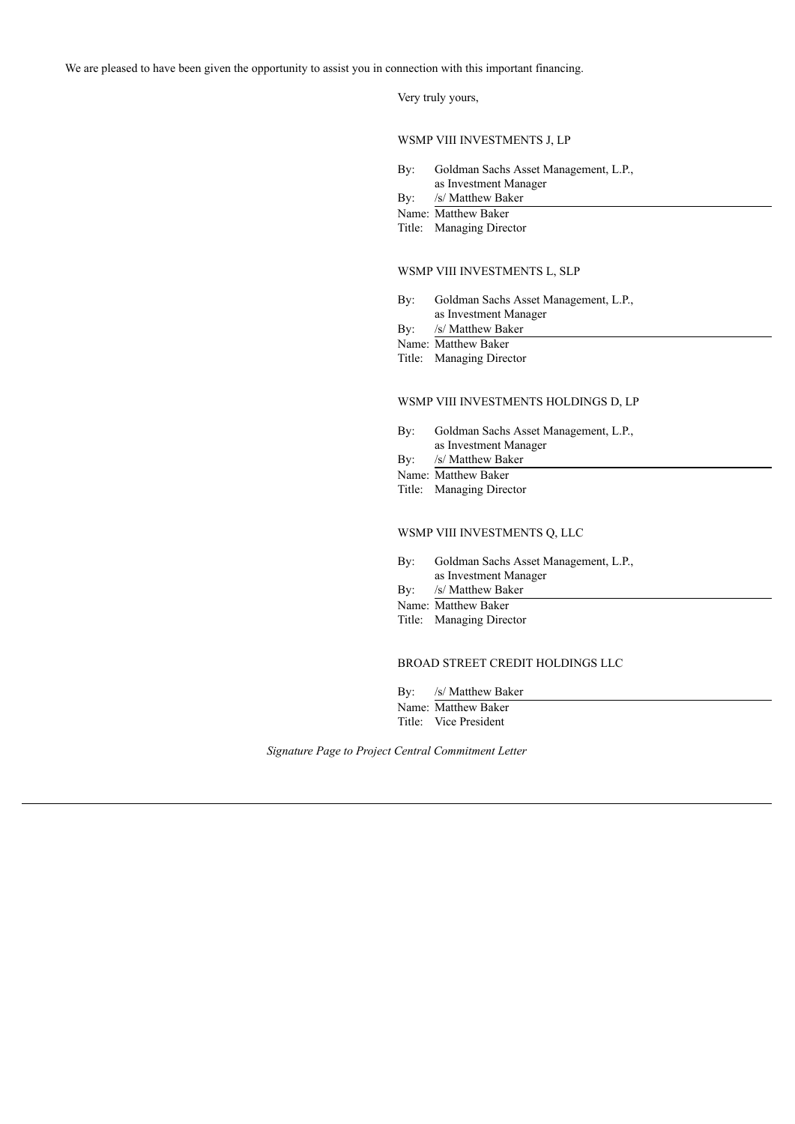Very truly yours,

WSMP VIII INVESTMENTS J, LP

- By: Goldman Sachs Asset Management, L.P., as Investment Manager
- By: /s/ Matthew Baker
- Name: Matthew Baker
- Title: Managing Director

#### WSMP VIII INVESTMENTS L, SLP

- By: Goldman Sachs Asset Management, L.P., as Investment Manager
- By: /s/ Matthew Baker
- Name: Matthew Baker
- Title: Managing Director

## WSMP VIII INVESTMENTS HOLDINGS D, LP

- By: Goldman Sachs Asset Management, L.P., as Investment Manager
- By: /s/ Matthew Baker
- Name: Matthew Baker
- Title: Managing Director

## WSMP VIII INVESTMENTS Q, LLC

- By: Goldman Sachs Asset Management, L.P., as Investment Manager
- By: /s/ Matthew Baker
- Name: Matthew Baker
- Title: Managing Director

#### BROAD STREET CREDIT HOLDINGS LLC

By: /s/ Matthew Baker

Name: Matthew Baker Title: Vice President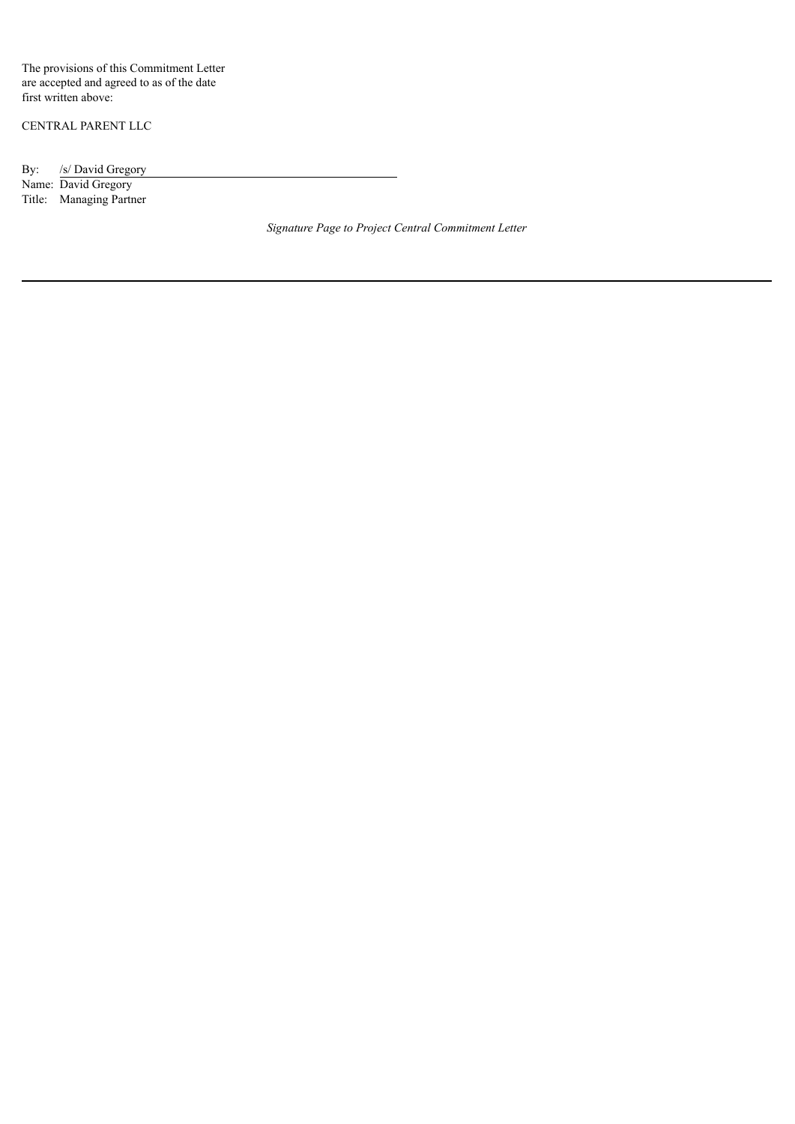The provisions of this Commitment Letter are accepted and agreed to as of the date first written above:

CENTRAL PARENT LLC

By: /s/ David Gregory

Name: David Gregory Title: Managing Partner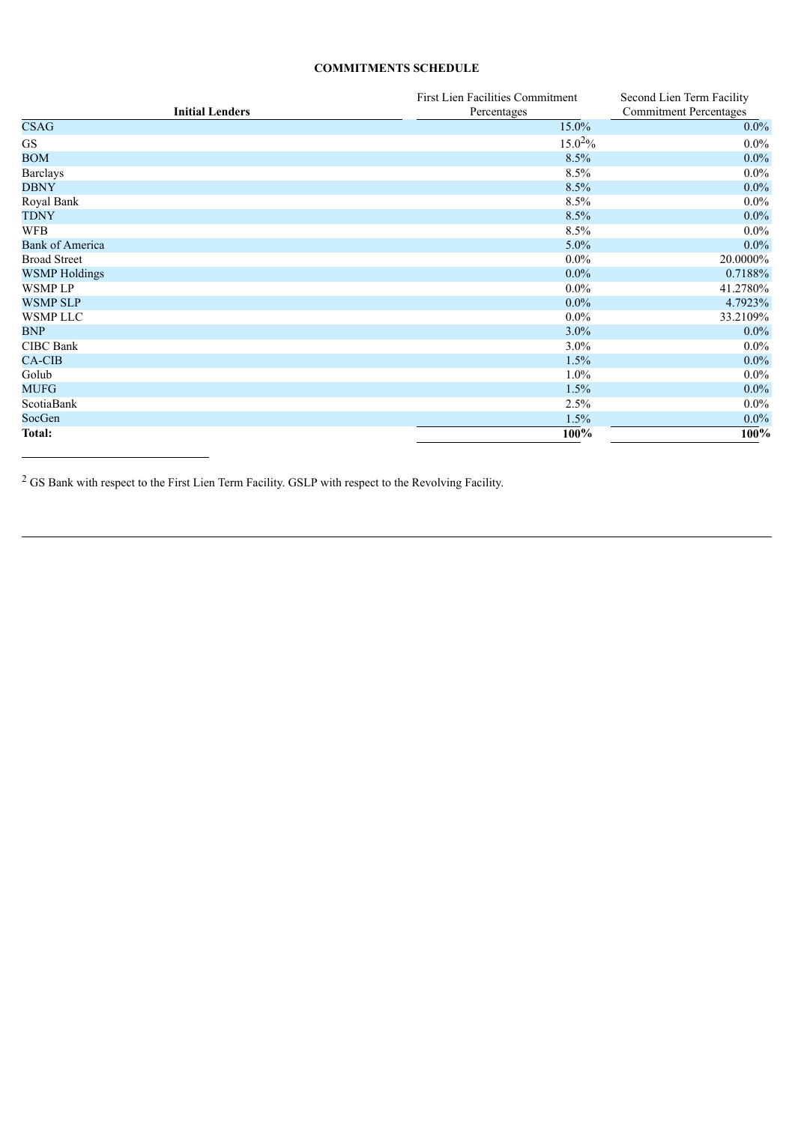## **COMMITMENTS SCHEDULE**

|                        | First Lien Facilities Commitment | Second Lien Term Facility     |
|------------------------|----------------------------------|-------------------------------|
| <b>Initial Lenders</b> | Percentages                      | <b>Commitment Percentages</b> |
| <b>CSAG</b>            | 15.0%                            | $0.0\%$                       |
| <b>GS</b>              | $15.0^{2}\%$                     | $0.0\%$                       |
| <b>BOM</b>             | 8.5%                             | $0.0\%$                       |
| <b>Barclays</b>        | 8.5%                             | $0.0\%$                       |
| <b>DBNY</b>            | 8.5%                             | $0.0\%$                       |
| Royal Bank             | 8.5%                             | $0.0\%$                       |
| <b>TDNY</b>            | 8.5%                             | $0.0\%$                       |
| <b>WFB</b>             | 8.5%                             | $0.0\%$                       |
| <b>Bank of America</b> | $5.0\%$                          | $0.0\%$                       |
| <b>Broad Street</b>    | $0.0\%$                          | 20.0000%                      |
| <b>WSMP</b> Holdings   | $0.0\%$                          | 0.7188%                       |
| <b>WSMPLP</b>          | $0.0\%$                          | 41.2780%                      |
| <b>WSMP SLP</b>        | $0.0\%$                          | 4.7923%                       |
| <b>WSMP LLC</b>        | $0.0\%$                          | 33.2109%                      |
| <b>BNP</b>             | $3.0\%$                          | $0.0\%$                       |
| <b>CIBC</b> Bank       | $3.0\%$                          | $0.0\%$                       |
| <b>CA-CIB</b>          | 1.5%                             | $0.0\%$                       |
| Golub                  | $1.0\%$                          | $0.0\%$                       |
| <b>MUFG</b>            | 1.5%                             | $0.0\%$                       |
| ScotiaBank             | 2.5%                             | $0.0\%$                       |
| SocGen                 | 1.5%                             | $0.0\%$                       |
| Total:                 | $100\%$                          | $100\%$                       |

 $^2$  GS Bank with respect to the First Lien Term Facility. GSLP with respect to the Revolving Facility.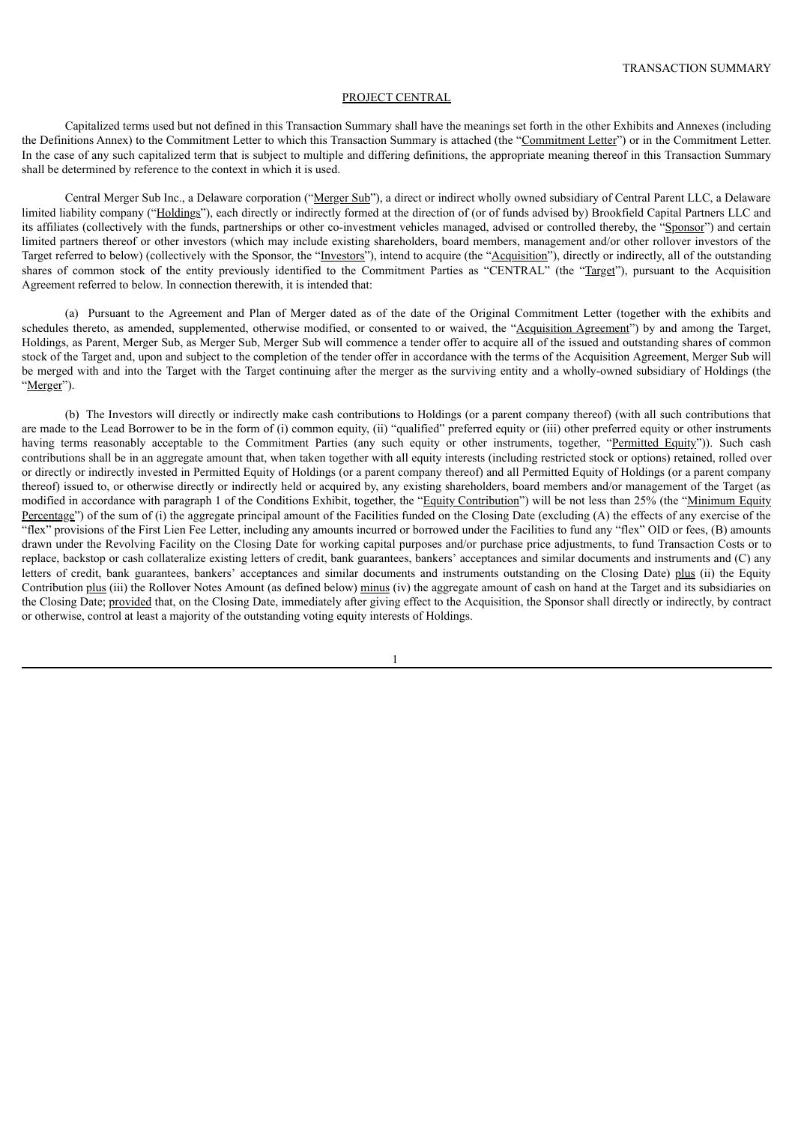#### PROJECT CENTRAL

Capitalized terms used but not defined in this Transaction Summary shall have the meanings set forth in the other Exhibits and Annexes (including the Definitions Annex) to the Commitment Letter to which this Transaction Summary is attached (the "Commitment Letter") or in the Commitment Letter. In the case of any such capitalized term that is subject to multiple and differing definitions, the appropriate meaning thereof in this Transaction Summary shall be determined by reference to the context in which it is used.

Central Merger Sub Inc., a Delaware corporation ("Merger Sub"), a direct or indirect wholly owned subsidiary of Central Parent LLC, a Delaware limited liability company ("Holdings"), each directly or indirectly formed at the direction of (or of funds advised by) Brookfield Capital Partners LLC and its affiliates (collectively with the funds, partnerships or other co-investment vehicles managed, advised or controlled thereby, the "Sponsor") and certain limited partners thereof or other investors (which may include existing shareholders, board members, management and/or other rollover investors of the Target referred to below) (collectively with the Sponsor, the "Investors"), intend to acquire (the "Acquisition"), directly or indirectly, all of the outstanding shares of common stock of the entity previously identified to the Commitment Parties as "CENTRAL" (the "Target"), pursuant to the Acquisition Agreement referred to below. In connection therewith, it is intended that:

(a) Pursuant to the Agreement and Plan of Merger dated as of the date of the Original Commitment Letter (together with the exhibits and schedules thereto, as amended, supplemented, otherwise modified, or consented to or waived, the "Acquisition Agreement") by and among the Target, Holdings, as Parent, Merger Sub, as Merger Sub, Merger Sub will commence a tender offer to acquire all of the issued and outstanding shares of common stock of the Target and, upon and subject to the completion of the tender offer in accordance with the terms of the Acquisition Agreement, Merger Sub will be merged with and into the Target with the Target continuing after the merger as the surviving entity and a wholly-owned subsidiary of Holdings (the "Merger").

(b) The Investors will directly or indirectly make cash contributions to Holdings (or a parent company thereof) (with all such contributions that are made to the Lead Borrower to be in the form of (i) common equity, (ii) "qualified" preferred equity or (iii) other preferred equity or other instruments having terms reasonably acceptable to the Commitment Parties (any such equity or other instruments, together, "Permitted Equity")). Such cash contributions shall be in an aggregate amount that, when taken together with all equity interests (including restricted stock or options) retained, rolled over or directly or indirectly invested in Permitted Equity of Holdings (or a parent company thereof) and all Permitted Equity of Holdings (or a parent company thereof) issued to, or otherwise directly or indirectly held or acquired by, any existing shareholders, board members and/or management of the Target (as modified in accordance with paragraph 1 of the Conditions Exhibit, together, the "Equity Contribution") will be not less than 25% (the "Minimum Equity Percentage") of the sum of (i) the aggregate principal amount of the Facilities funded on the Closing Date (excluding (A) the effects of any exercise of the "flex" provisions of the First Lien Fee Letter, including any amounts incurred or borrowed under the Facilities to fund any "flex" OID or fees, (B) amounts drawn under the Revolving Facility on the Closing Date for working capital purposes and/or purchase price adjustments, to fund Transaction Costs or to replace, backstop or cash collateralize existing letters of credit, bank guarantees, bankers' acceptances and similar documents and instruments and (C) any letters of credit, bank guarantees, bankers' acceptances and similar documents and instruments outstanding on the Closing Date) plus (ii) the Equity Contribution plus (iii) the Rollover Notes Amount (as defined below) minus (iv) the aggregate amount of cash on hand at the Target and its subsidiaries on the Closing Date; provided that, on the Closing Date, immediately after giving effect to the Acquisition, the Sponsor shall directly or indirectly, by contract or otherwise, control at least a majority of the outstanding voting equity interests of Holdings.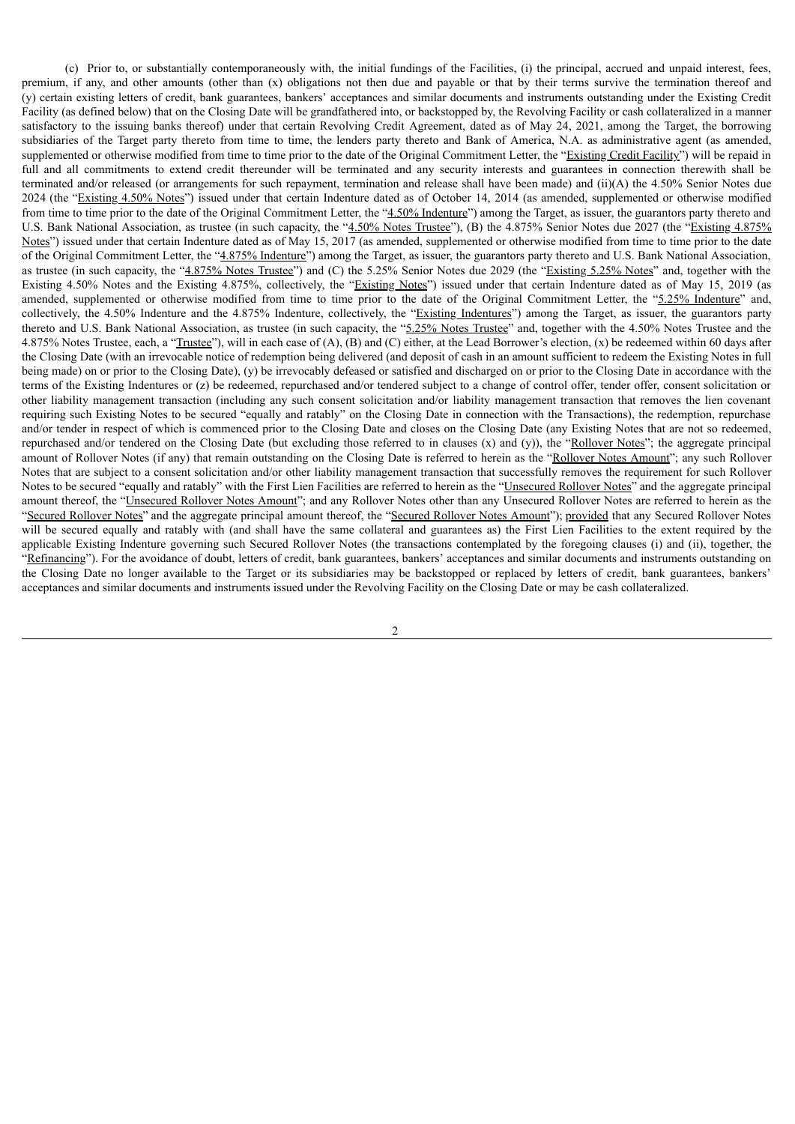(c) Prior to, or substantially contemporaneously with, the initial fundings of the Facilities, (i) the principal, accrued and unpaid interest, fees, premium, if any, and other amounts (other than (x) obligations not then due and payable or that by their terms survive the termination thereof and (y) certain existing letters of credit, bank guarantees, bankers' acceptances and similar documents and instruments outstanding under the Existing Credit Facility (as defined below) that on the Closing Date will be grandfathered into, or backstopped by, the Revolving Facility or cash collateralized in a manner satisfactory to the issuing banks thereof) under that certain Revolving Credit Agreement, dated as of May 24, 2021, among the Target, the borrowing subsidiaries of the Target party thereto from time to time, the lenders party thereto and Bank of America, N.A. as administrative agent (as amended, supplemented or otherwise modified from time to time prior to the date of the Original Commitment Letter, the "Existing Credit Facility") will be repaid in full and all commitments to extend credit thereunder will be terminated and any security interests and guarantees in connection therewith shall be terminated and/or released (or arrangements for such repayment, termination and release shall have been made) and (ii)(A) the 4.50% Senior Notes due 2024 (the "Existing 4.50% Notes") issued under that certain Indenture dated as of October 14, 2014 (as amended, supplemented or otherwise modified from time to time prior to the date of the Original Commitment Letter, the "4.50% Indenture") among the Target, as issuer, the guarantors party thereto and U.S. Bank National Association, as trustee (in such capacity, the "4.50% Notes Trustee"), (B) the 4.875% Senior Notes due 2027 (the "Existing 4.875% Notes") issued under that certain Indenture dated as of May 15, 2017 (as amended, supplemented or otherwise modified from time to time prior to the date of the Original Commitment Letter, the "4.875% Indenture") among the Target, as issuer, the guarantors party thereto and U.S. Bank National Association, as trustee (in such capacity, the "4.875% Notes Trustee") and (C) the 5.25% Senior Notes due 2029 (the "Existing 5.25% Notes" and, together with the Existing 4.50% Notes and the Existing 4.875%, collectively, the "Existing Notes") issued under that certain Indenture dated as of May 15, 2019 (as amended, supplemented or otherwise modified from time to time prior to the date of the Original Commitment Letter, the "5.25% Indenture" and, collectively, the 4.50% Indenture and the 4.875% Indenture, collectively, the "Existing Indentures") among the Target, as issuer, the guarantors party thereto and U.S. Bank National Association, as trustee (in such capacity, the "5.25% Notes Trustee" and, together with the 4.50% Notes Trustee and the 4.875% Notes Trustee, each, a "Trustee"), will in each case of (A), (B) and (C) either, at the Lead Borrower's election, (x) be redeemed within 60 days after the Closing Date (with an irrevocable notice of redemption being delivered (and deposit of cash in an amount sufficient to redeem the Existing Notes in full being made) on or prior to the Closing Date), (y) be irrevocably defeased or satisfied and discharged on or prior to the Closing Date in accordance with the terms of the Existing Indentures or (z) be redeemed, repurchased and/or tendered subject to a change of control offer, tender offer, consent solicitation or other liability management transaction (including any such consent solicitation and/or liability management transaction that removes the lien covenant requiring such Existing Notes to be secured "equally and ratably" on the Closing Date in connection with the Transactions), the redemption, repurchase and/or tender in respect of which is commenced prior to the Closing Date and closes on the Closing Date (any Existing Notes that are not so redeemed, repurchased and/or tendered on the Closing Date (but excluding those referred to in clauses (x) and (y)), the "Rollover Notes"; the aggregate principal amount of Rollover Notes (if any) that remain outstanding on the Closing Date is referred to herein as the "Rollover Notes Amount"; any such Rollover Notes that are subject to a consent solicitation and/or other liability management transaction that successfully removes the requirement for such Rollover Notes to be secured "equally and ratably" with the First Lien Facilities are referred to herein as the "Unsecured Rollover Notes" and the aggregate principal amount thereof, the "Unsecured Rollover Notes Amount"; and any Rollover Notes other than any Unsecured Rollover Notes are referred to herein as the "Secured Rollover Notes" and the aggregate principal amount thereof, the "Secured Rollover Notes Amount"); provided that any Secured Rollover Notes will be secured equally and ratably with (and shall have the same collateral and guarantees as) the First Lien Facilities to the extent required by the applicable Existing Indenture governing such Secured Rollover Notes (the transactions contemplated by the foregoing clauses (i) and (ii), together, the "Refinancing"). For the avoidance of doubt, letters of credit, bank guarantees, bankers' acceptances and similar documents and instruments outstanding on the Closing Date no longer available to the Target or its subsidiaries may be backstopped or replaced by letters of credit, bank guarantees, bankers' acceptances and similar documents and instruments issued under the Revolving Facility on the Closing Date or may be cash collateralized.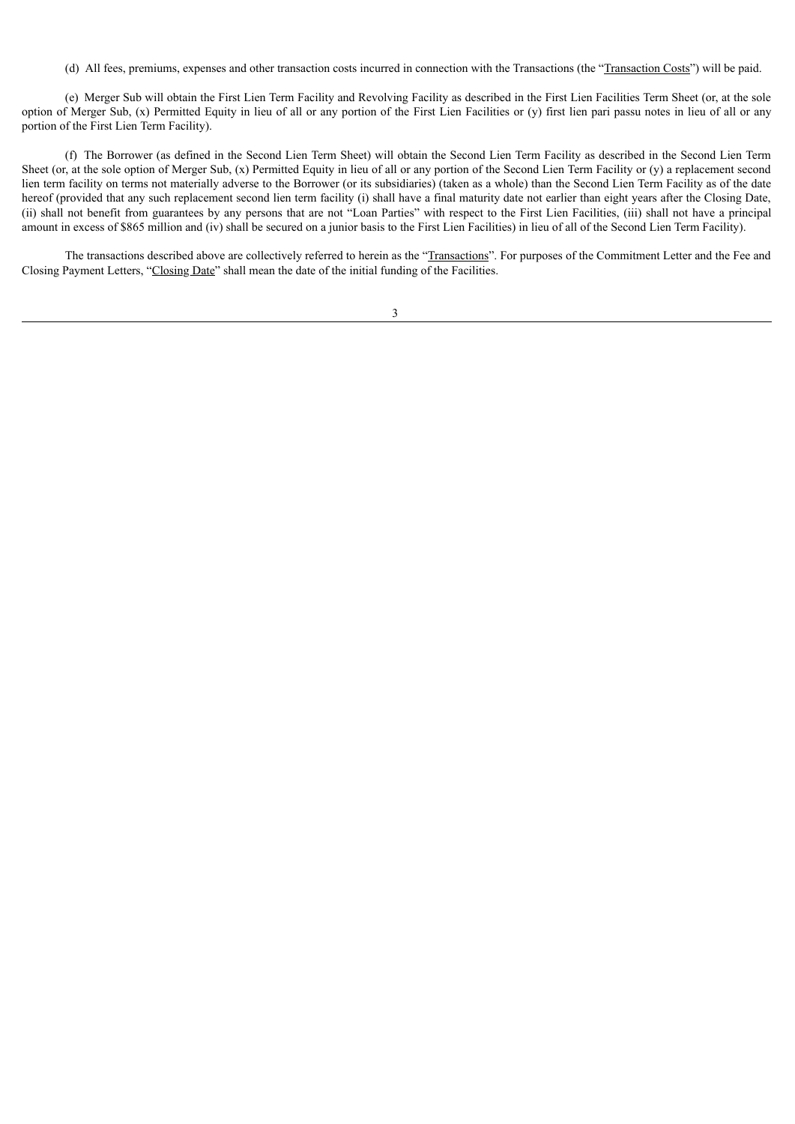(d) All fees, premiums, expenses and other transaction costs incurred in connection with the Transactions (the "Transaction Costs") will be paid.

(e) Merger Sub will obtain the First Lien Term Facility and Revolving Facility as described in the First Lien Facilities Term Sheet (or, at the sole option of Merger Sub, (x) Permitted Equity in lieu of all or any portion of the First Lien Facilities or (y) first lien pari passu notes in lieu of all or any portion of the First Lien Term Facility).

(f) The Borrower (as defined in the Second Lien Term Sheet) will obtain the Second Lien Term Facility as described in the Second Lien Term Sheet (or, at the sole option of Merger Sub, (x) Permitted Equity in lieu of all or any portion of the Second Lien Term Facility or (y) a replacement second lien term facility on terms not materially adverse to the Borrower (or its subsidiaries) (taken as a whole) than the Second Lien Term Facility as of the date hereof (provided that any such replacement second lien term facility (i) shall have a final maturity date not earlier than eight years after the Closing Date, (ii) shall not benefit from guarantees by any persons that are not "Loan Parties" with respect to the First Lien Facilities, (iii) shall not have a principal amount in excess of \$865 million and (iv) shall be secured on a junior basis to the First Lien Facilities) in lieu of all of the Second Lien Term Facility).

The transactions described above are collectively referred to herein as the "Transactions". For purposes of the Commitment Letter and the Fee and Closing Payment Letters, "Closing Date" shall mean the date of the initial funding of the Facilities.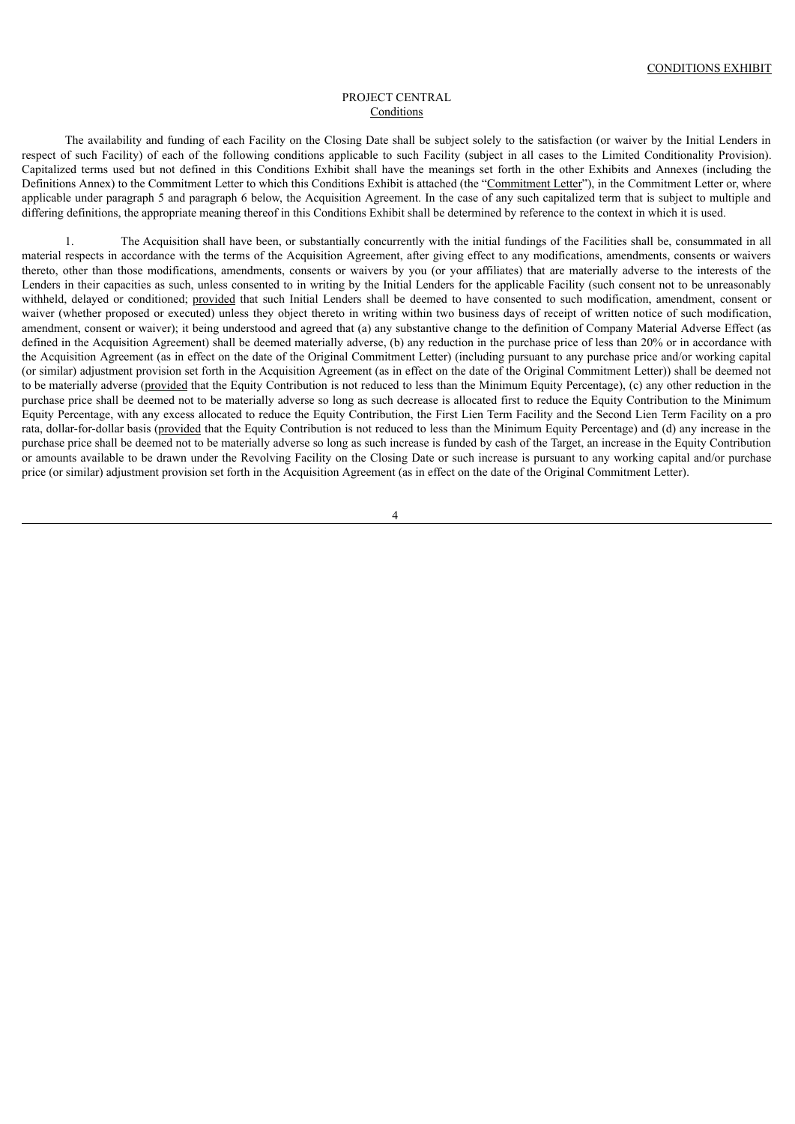#### PROJECT CENTRAL Conditions

The availability and funding of each Facility on the Closing Date shall be subject solely to the satisfaction (or waiver by the Initial Lenders in respect of such Facility) of each of the following conditions applicable to such Facility (subject in all cases to the Limited Conditionality Provision). Capitalized terms used but not defined in this Conditions Exhibit shall have the meanings set forth in the other Exhibits and Annexes (including the Definitions Annex) to the Commitment Letter to which this Conditions Exhibit is attached (the "Commitment Letter"), in the Commitment Letter or, where applicable under paragraph 5 and paragraph 6 below, the Acquisition Agreement. In the case of any such capitalized term that is subject to multiple and differing definitions, the appropriate meaning thereof in this Conditions Exhibit shall be determined by reference to the context in which it is used.

1. The Acquisition shall have been, or substantially concurrently with the initial fundings of the Facilities shall be, consummated in all material respects in accordance with the terms of the Acquisition Agreement, after giving effect to any modifications, amendments, consents or waivers thereto, other than those modifications, amendments, consents or waivers by you (or your affiliates) that are materially adverse to the interests of the Lenders in their capacities as such, unless consented to in writing by the Initial Lenders for the applicable Facility (such consent not to be unreasonably withheld, delayed or conditioned; provided that such Initial Lenders shall be deemed to have consented to such modification, amendment, consent or waiver (whether proposed or executed) unless they object thereto in writing within two business days of receipt of written notice of such modification, amendment, consent or waiver); it being understood and agreed that (a) any substantive change to the definition of Company Material Adverse Effect (as defined in the Acquisition Agreement) shall be deemed materially adverse, (b) any reduction in the purchase price of less than 20% or in accordance with the Acquisition Agreement (as in effect on the date of the Original Commitment Letter) (including pursuant to any purchase price and/or working capital (or similar) adjustment provision set forth in the Acquisition Agreement (as in effect on the date of the Original Commitment Letter)) shall be deemed not to be materially adverse (provided that the Equity Contribution is not reduced to less than the Minimum Equity Percentage), (c) any other reduction in the purchase price shall be deemed not to be materially adverse so long as such decrease is allocated first to reduce the Equity Contribution to the Minimum Equity Percentage, with any excess allocated to reduce the Equity Contribution, the First Lien Term Facility and the Second Lien Term Facility on a pro rata, dollar-for-dollar basis (provided that the Equity Contribution is not reduced to less than the Minimum Equity Percentage) and (d) any increase in the purchase price shall be deemed not to be materially adverse so long as such increase is funded by cash of the Target, an increase in the Equity Contribution or amounts available to be drawn under the Revolving Facility on the Closing Date or such increase is pursuant to any working capital and/or purchase price (or similar) adjustment provision set forth in the Acquisition Agreement (as in effect on the date of the Original Commitment Letter).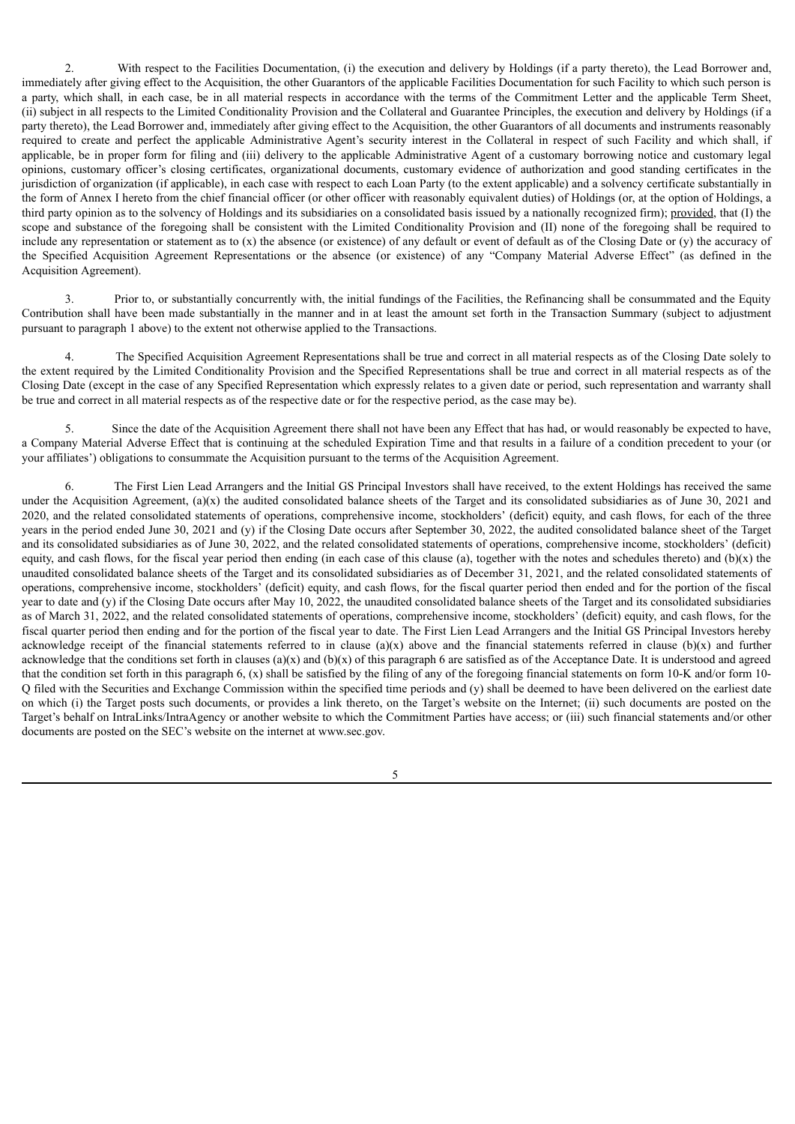2. With respect to the Facilities Documentation, (i) the execution and delivery by Holdings (if a party thereto), the Lead Borrower and, immediately after giving effect to the Acquisition, the other Guarantors of the applicable Facilities Documentation for such Facility to which such person is a party, which shall, in each case, be in all material respects in accordance with the terms of the Commitment Letter and the applicable Term Sheet, (ii) subject in all respects to the Limited Conditionality Provision and the Collateral and Guarantee Principles, the execution and delivery by Holdings (if a party thereto), the Lead Borrower and, immediately after giving effect to the Acquisition, the other Guarantors of all documents and instruments reasonably required to create and perfect the applicable Administrative Agent's security interest in the Collateral in respect of such Facility and which shall, if applicable, be in proper form for filing and (iii) delivery to the applicable Administrative Agent of a customary borrowing notice and customary legal opinions, customary officer's closing certificates, organizational documents, customary evidence of authorization and good standing certificates in the jurisdiction of organization (if applicable), in each case with respect to each Loan Party (to the extent applicable) and a solvency certificate substantially in the form of Annex I hereto from the chief financial officer (or other officer with reasonably equivalent duties) of Holdings (or, at the option of Holdings, a third party opinion as to the solvency of Holdings and its subsidiaries on a consolidated basis issued by a nationally recognized firm); provided, that (I) the scope and substance of the foregoing shall be consistent with the Limited Conditionality Provision and (II) none of the foregoing shall be required to include any representation or statement as to  $(x)$  the absence (or existence) of any default or event of default as of the Closing Date or  $(y)$  the accuracy of the Specified Acquisition Agreement Representations or the absence (or existence) of any "Company Material Adverse Effect" (as defined in the Acquisition Agreement).

3. Prior to, or substantially concurrently with, the initial fundings of the Facilities, the Refinancing shall be consummated and the Equity Contribution shall have been made substantially in the manner and in at least the amount set forth in the Transaction Summary (subject to adjustment pursuant to paragraph 1 above) to the extent not otherwise applied to the Transactions.

4. The Specified Acquisition Agreement Representations shall be true and correct in all material respects as of the Closing Date solely to the extent required by the Limited Conditionality Provision and the Specified Representations shall be true and correct in all material respects as of the Closing Date (except in the case of any Specified Representation which expressly relates to a given date or period, such representation and warranty shall be true and correct in all material respects as of the respective date or for the respective period, as the case may be).

5. Since the date of the Acquisition Agreement there shall not have been any Effect that has had, or would reasonably be expected to have, a Company Material Adverse Effect that is continuing at the scheduled Expiration Time and that results in a failure of a condition precedent to your (or your affiliates') obligations to consummate the Acquisition pursuant to the terms of the Acquisition Agreement.

6. The First Lien Lead Arrangers and the Initial GS Principal Investors shall have received, to the extent Holdings has received the same under the Acquisition Agreement,  $(a)(x)$  the audited consolidated balance sheets of the Target and its consolidated subsidiaries as of June 30, 2021 and 2020, and the related consolidated statements of operations, comprehensive income, stockholders' (deficit) equity, and cash flows, for each of the three years in the period ended June 30, 2021 and (y) if the Closing Date occurs after September 30, 2022, the audited consolidated balance sheet of the Target and its consolidated subsidiaries as of June 30, 2022, and the related consolidated statements of operations, comprehensive income, stockholders' (deficit) equity, and cash flows, for the fiscal year period then ending (in each case of this clause (a), together with the notes and schedules thereto) and (b)(x) the unaudited consolidated balance sheets of the Target and its consolidated subsidiaries as of December 31, 2021, and the related consolidated statements of operations, comprehensive income, stockholders' (deficit) equity, and cash flows, for the fiscal quarter period then ended and for the portion of the fiscal year to date and (y) if the Closing Date occurs after May 10, 2022, the unaudited consolidated balance sheets of the Target and its consolidated subsidiaries as of March 31, 2022, and the related consolidated statements of operations, comprehensive income, stockholders' (deficit) equity, and cash flows, for the fiscal quarter period then ending and for the portion of the fiscal year to date. The First Lien Lead Arrangers and the Initial GS Principal Investors hereby acknowledge receipt of the financial statements referred to in clause  $(a)(x)$  above and the financial statements referred in clause  $(b)(x)$  and further acknowledge that the conditions set forth in clauses (a)(x) and (b)(x) of this paragraph 6 are satisfied as of the Acceptance Date. It is understood and agreed that the condition set forth in this paragraph 6, (x) shall be satisfied by the filing of any of the foregoing financial statements on form 10-K and/or form 10- Q filed with the Securities and Exchange Commission within the specified time periods and (y) shall be deemed to have been delivered on the earliest date on which (i) the Target posts such documents, or provides a link thereto, on the Target's website on the Internet; (ii) such documents are posted on the Target's behalf on IntraLinks/IntraAgency or another website to which the Commitment Parties have access; or (iii) such financial statements and/or other documents are posted on the SEC's website on the internet at www.sec.gov.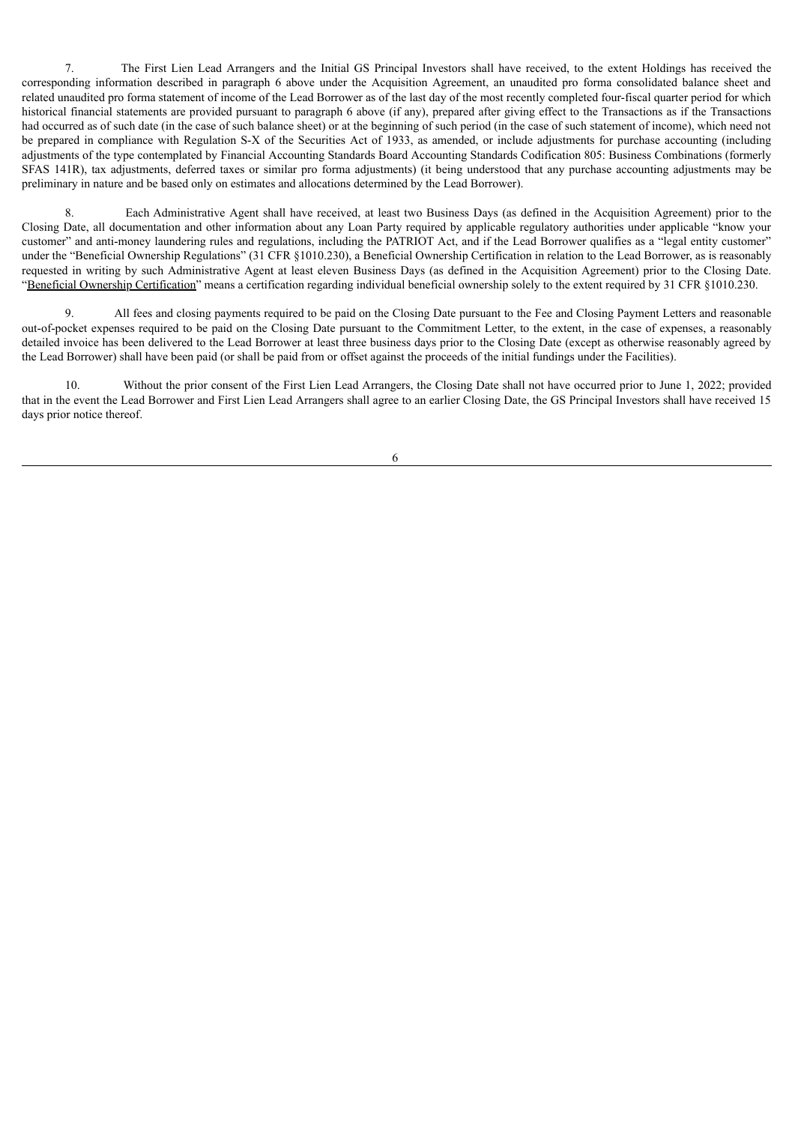7. The First Lien Lead Arrangers and the Initial GS Principal Investors shall have received, to the extent Holdings has received the corresponding information described in paragraph 6 above under the Acquisition Agreement, an unaudited pro forma consolidated balance sheet and related unaudited pro forma statement of income of the Lead Borrower as of the last day of the most recently completed four-fiscal quarter period for which historical financial statements are provided pursuant to paragraph 6 above (if any), prepared after giving effect to the Transactions as if the Transactions had occurred as of such date (in the case of such balance sheet) or at the beginning of such period (in the case of such statement of income), which need not be prepared in compliance with Regulation S-X of the Securities Act of 1933, as amended, or include adjustments for purchase accounting (including adjustments of the type contemplated by Financial Accounting Standards Board Accounting Standards Codification 805: Business Combinations (formerly SFAS 141R), tax adjustments, deferred taxes or similar pro forma adjustments) (it being understood that any purchase accounting adjustments may be preliminary in nature and be based only on estimates and allocations determined by the Lead Borrower).

8. Each Administrative Agent shall have received, at least two Business Days (as defined in the Acquisition Agreement) prior to the Closing Date, all documentation and other information about any Loan Party required by applicable regulatory authorities under applicable "know your customer" and anti-money laundering rules and regulations, including the PATRIOT Act, and if the Lead Borrower qualifies as a "legal entity customer" under the "Beneficial Ownership Regulations" (31 CFR §1010.230), a Beneficial Ownership Certification in relation to the Lead Borrower, as is reasonably requested in writing by such Administrative Agent at least eleven Business Days (as defined in the Acquisition Agreement) prior to the Closing Date. "Beneficial Ownership Certification" means a certification regarding individual beneficial ownership solely to the extent required by 31 CFR §1010.230.

9. All fees and closing payments required to be paid on the Closing Date pursuant to the Fee and Closing Payment Letters and reasonable out-of-pocket expenses required to be paid on the Closing Date pursuant to the Commitment Letter, to the extent, in the case of expenses, a reasonably detailed invoice has been delivered to the Lead Borrower at least three business days prior to the Closing Date (except as otherwise reasonably agreed by the Lead Borrower) shall have been paid (or shall be paid from or offset against the proceeds of the initial fundings under the Facilities).

10. Without the prior consent of the First Lien Lead Arrangers, the Closing Date shall not have occurred prior to June 1, 2022; provided that in the event the Lead Borrower and First Lien Lead Arrangers shall agree to an earlier Closing Date, the GS Principal Investors shall have received 15 days prior notice thereof.